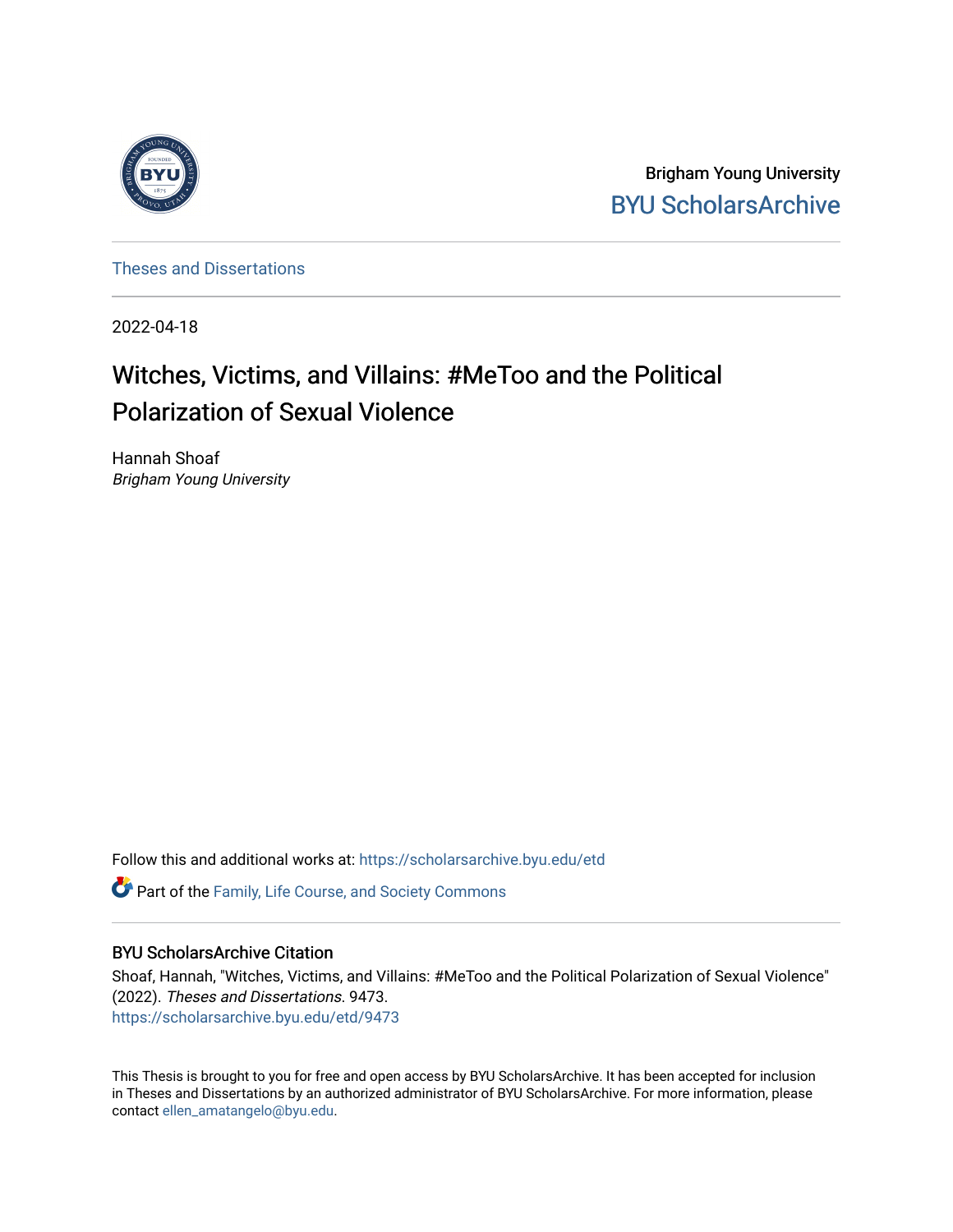

Brigham Young University [BYU ScholarsArchive](https://scholarsarchive.byu.edu/) 

[Theses and Dissertations](https://scholarsarchive.byu.edu/etd)

2022-04-18

# Witches, Victims, and Villains: #MeToo and the Political Polarization of Sexual Violence

Hannah Shoaf Brigham Young University

Follow this and additional works at: [https://scholarsarchive.byu.edu/etd](https://scholarsarchive.byu.edu/etd?utm_source=scholarsarchive.byu.edu%2Fetd%2F9473&utm_medium=PDF&utm_campaign=PDFCoverPages)

**C** Part of the Family, Life Course, and Society Commons

# BYU ScholarsArchive Citation

Shoaf, Hannah, "Witches, Victims, and Villains: #MeToo and the Political Polarization of Sexual Violence" (2022). Theses and Dissertations. 9473. [https://scholarsarchive.byu.edu/etd/9473](https://scholarsarchive.byu.edu/etd/9473?utm_source=scholarsarchive.byu.edu%2Fetd%2F9473&utm_medium=PDF&utm_campaign=PDFCoverPages) 

This Thesis is brought to you for free and open access by BYU ScholarsArchive. It has been accepted for inclusion in Theses and Dissertations by an authorized administrator of BYU ScholarsArchive. For more information, please contact [ellen\\_amatangelo@byu.edu.](mailto:ellen_amatangelo@byu.edu)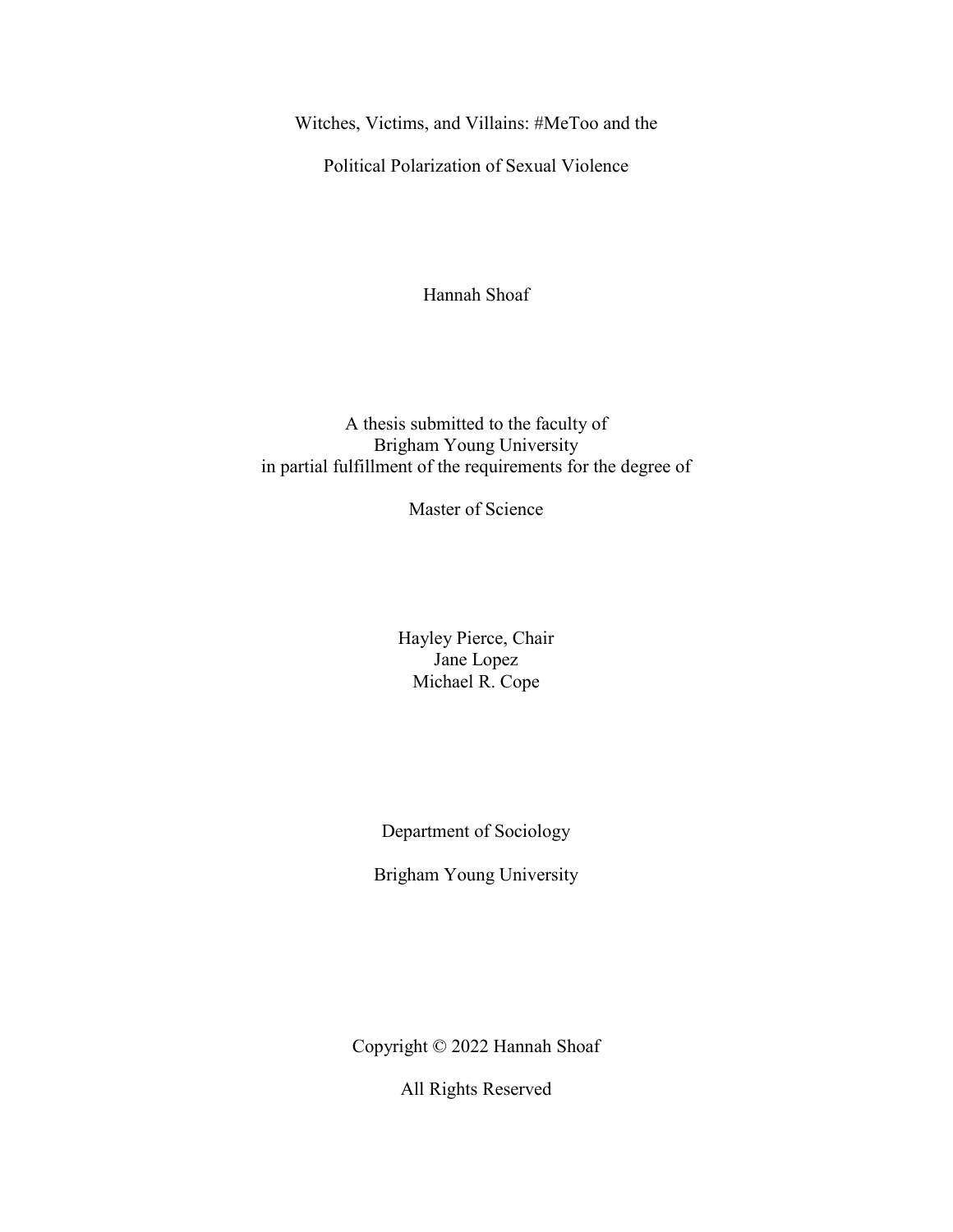<span id="page-1-0"></span>Witches, Victims, and Villains: #MeToo and the

Political Polarization of Sexual Violence

Hannah Shoaf

A thesis submitted to the faculty of Brigham Young University in partial fulfillment of the requirements for the degree of

Master of Science

Hayley Pierce, Chair Jane Lopez Michael R. Cope

Department of Sociology

Brigham Young University

Copyright © 2022 Hannah Shoaf

All Rights Reserved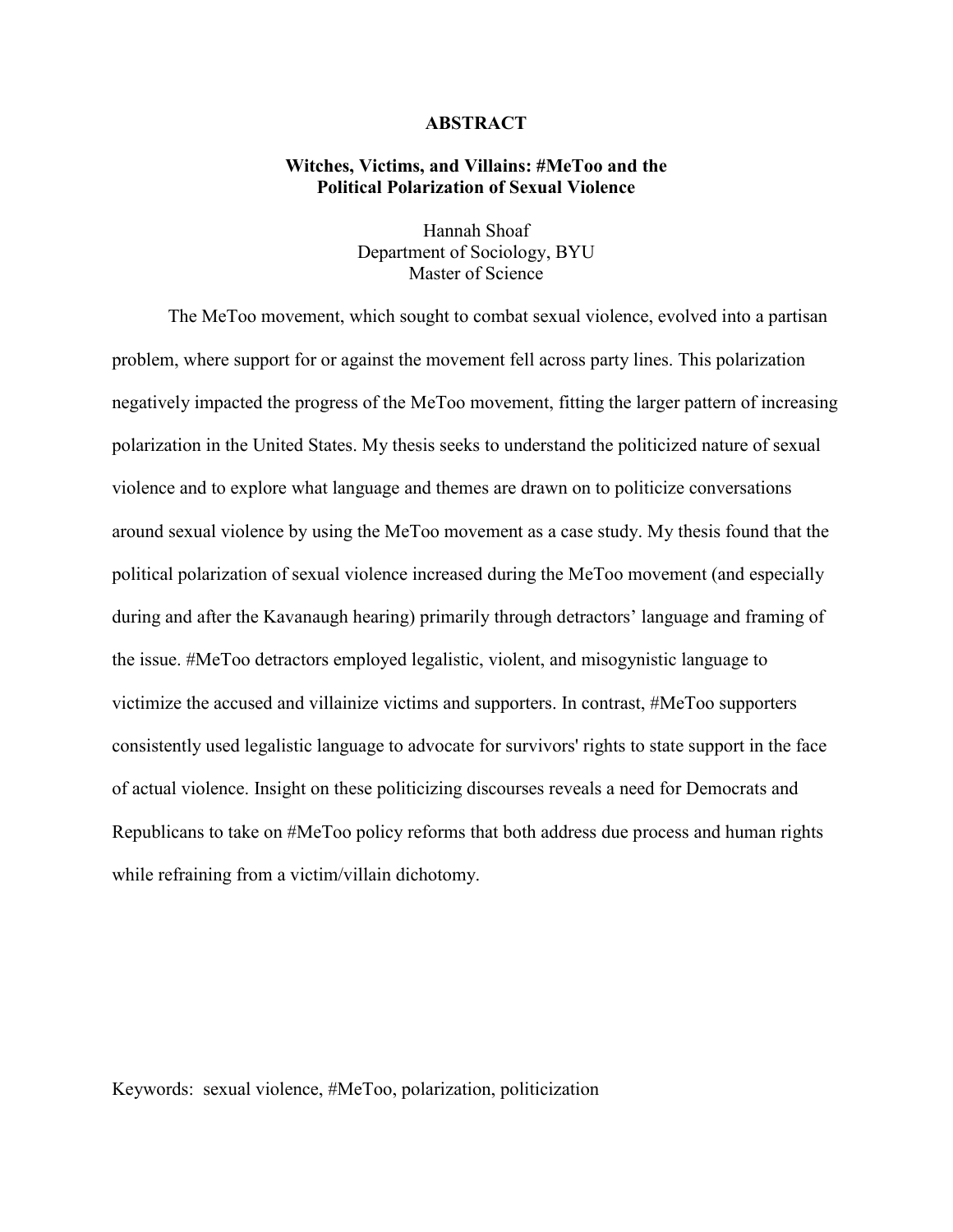# **ABSTRACT**

# <span id="page-2-0"></span>**Witches, Victims, and Villains: #MeToo and the Political Polarization of Sexual Violence**

Hannah Shoaf Department of Sociology, BYU Master of Science

The MeToo movement, which sought to combat sexual violence, evolved into a partisan problem, where support for or against the movement fell across party lines. This polarization negatively impacted the progress of the MeToo movement, fitting the larger pattern of increasing polarization in the United States. My thesis seeks to understand the politicized nature of sexual violence and to explore what language and themes are drawn on to politicize conversations around sexual violence by using the MeToo movement as a case study. My thesis found that the political polarization of sexual violence increased during the MeToo movement (and especially during and after the Kavanaugh hearing) primarily through detractors' language and framing of the issue. #MeToo detractors employed legalistic, violent, and misogynistic language to victimize the accused and villainize victims and supporters. In contrast, #MeToo supporters consistently used legalistic language to advocate for survivors' rights to state support in the face of actual violence. Insight on these politicizing discourses reveals a need for Democrats and Republicans to take on #MeToo policy reforms that both address due process and human rights while refraining from a victim/villain dichotomy.

Keywords: sexual violence, #MeToo, polarization, politicization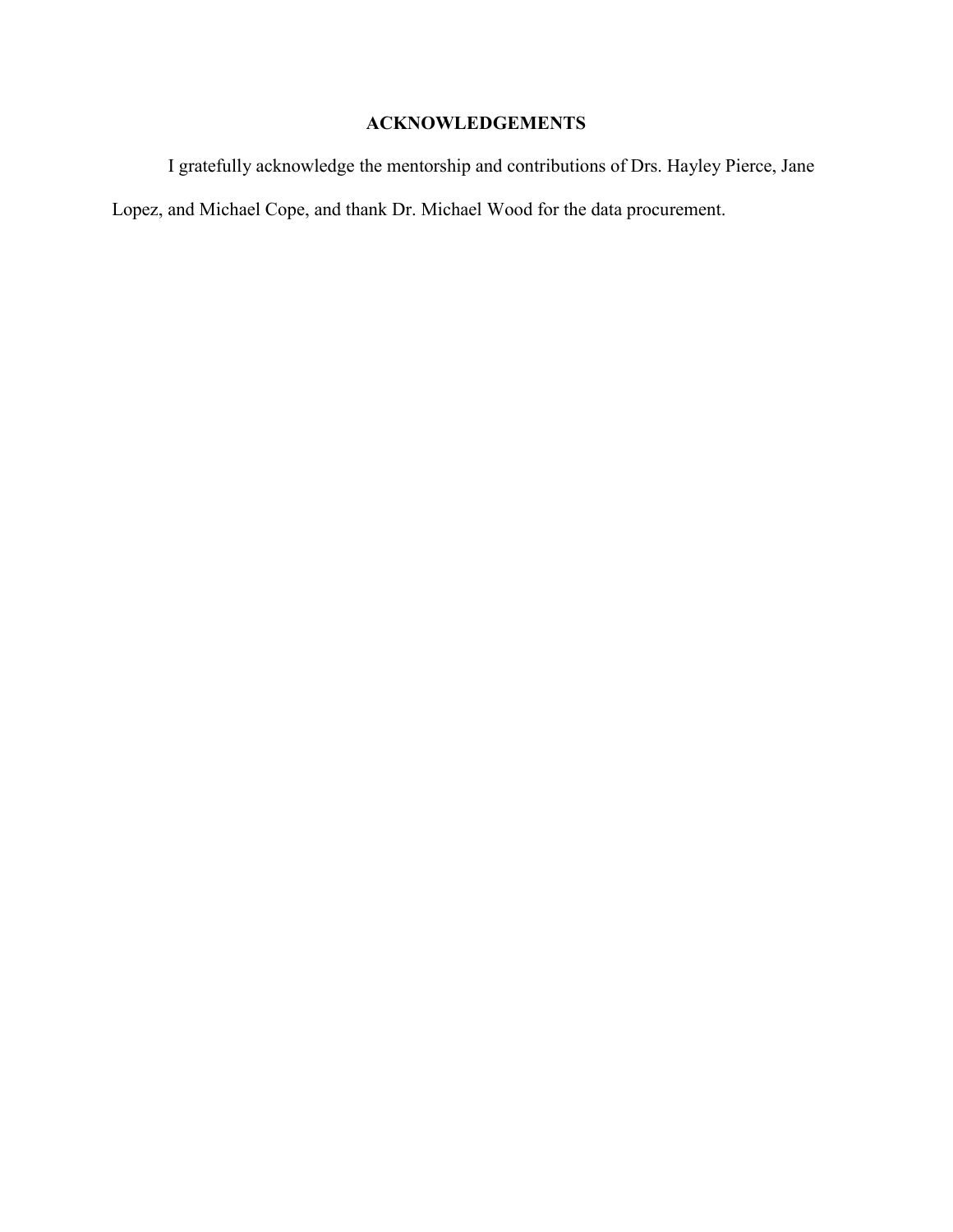# **ACKNOWLEDGEMENTS**

<span id="page-3-0"></span>I gratefully acknowledge the mentorship and contributions of Drs. Hayley Pierce, Jane Lopez, and Michael Cope, and thank Dr. Michael Wood for the data procurement.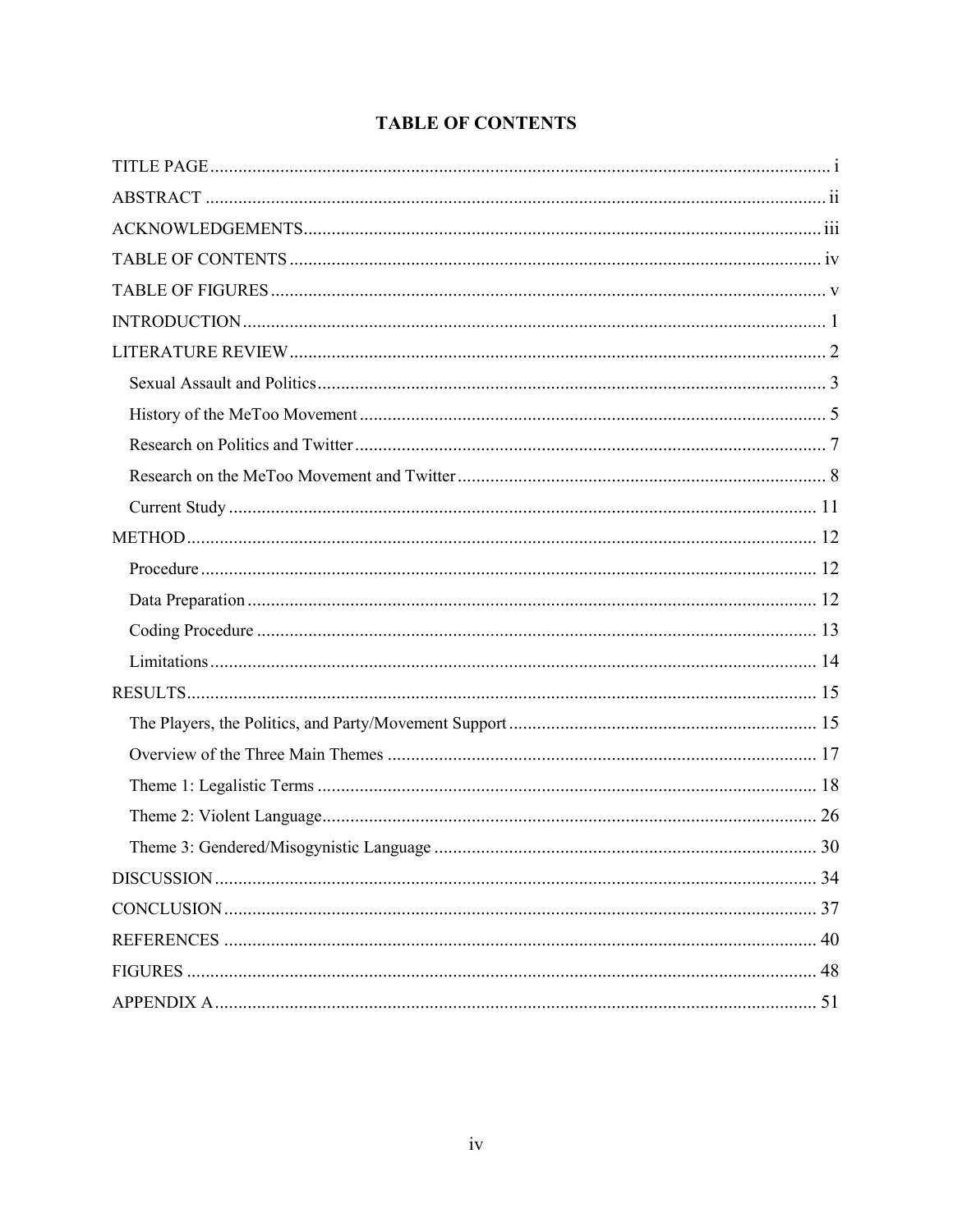# **TABLE OF CONTENTS**

<span id="page-4-0"></span>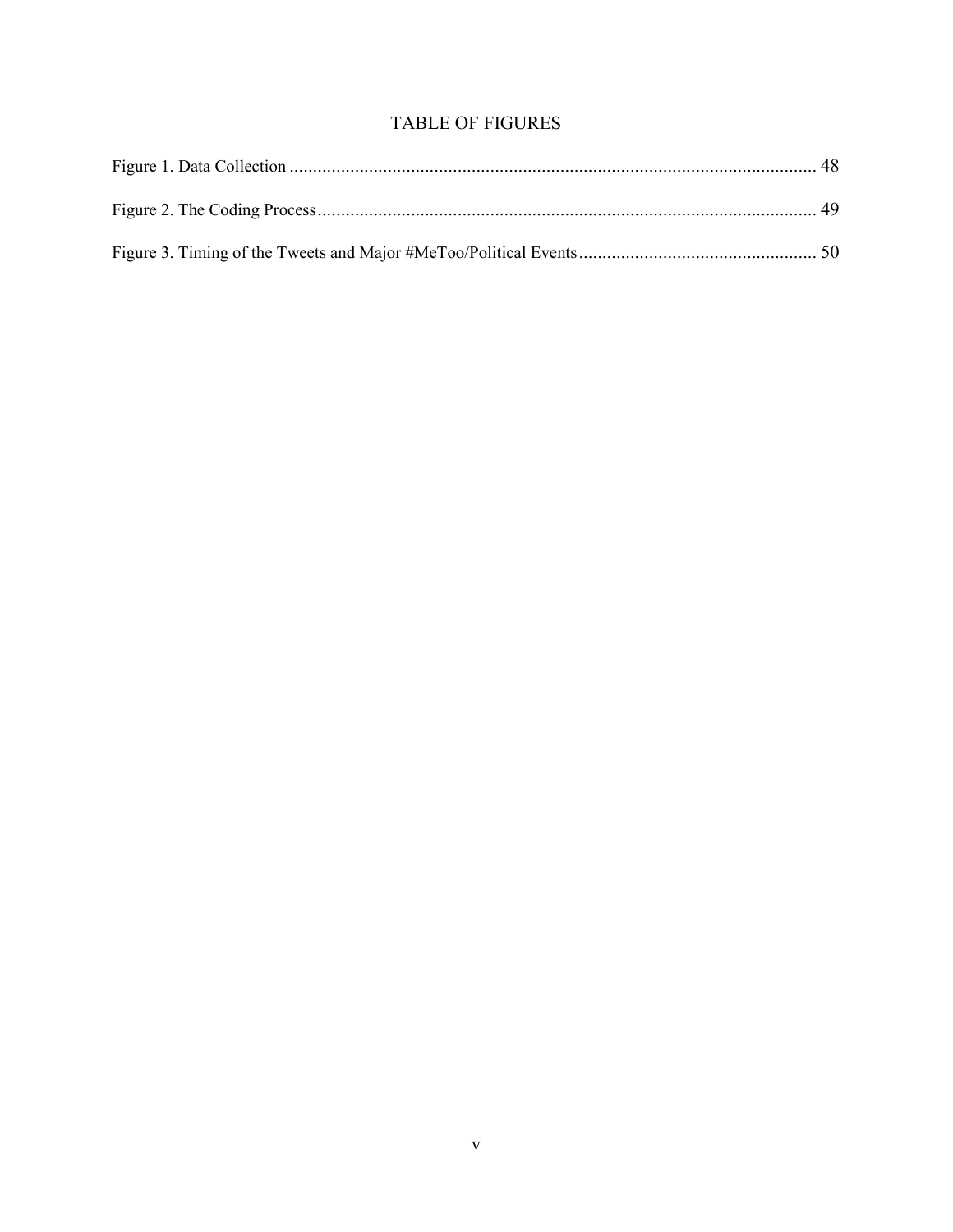# **TABLE OF FIGURES**

<span id="page-5-0"></span>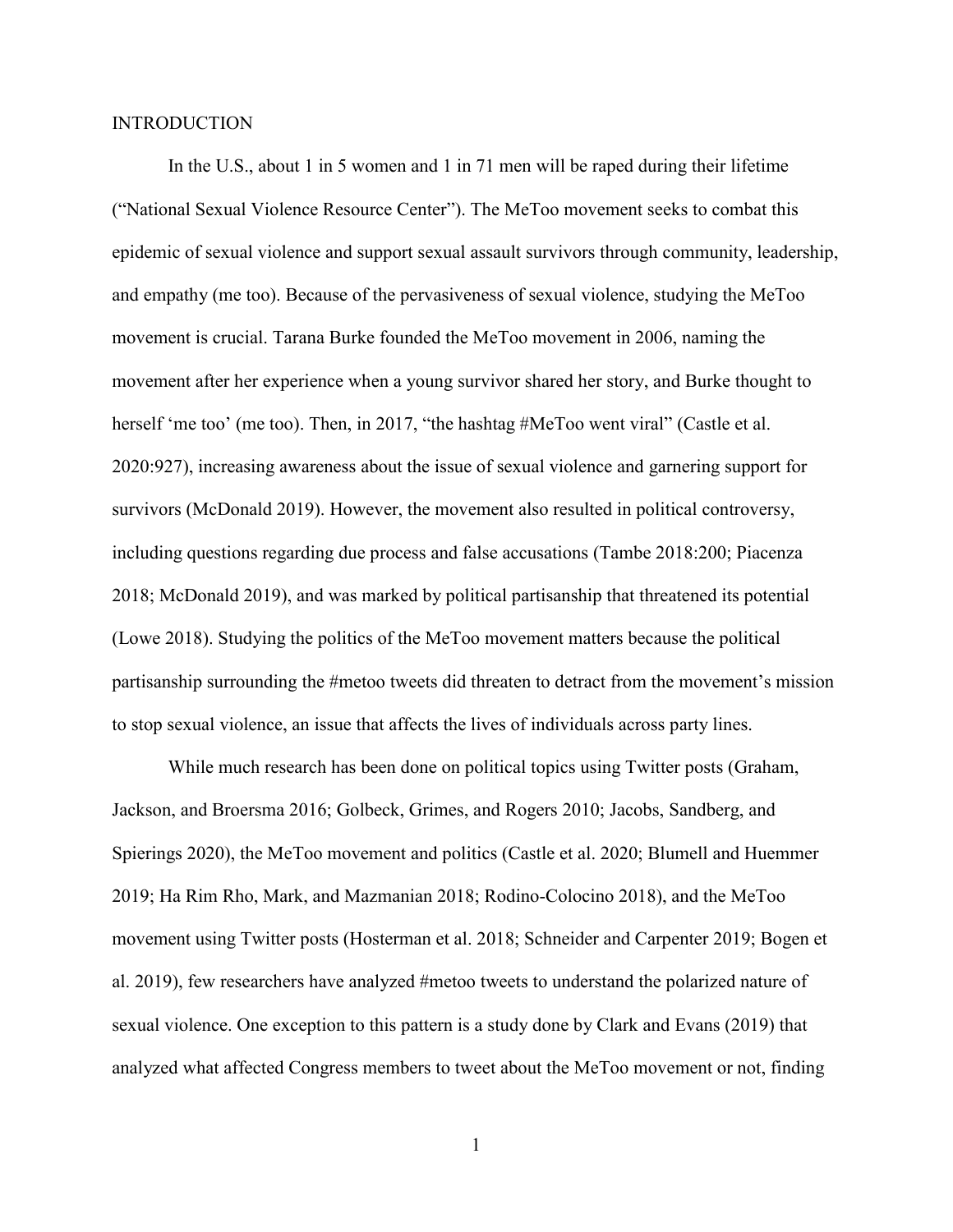### <span id="page-6-0"></span>**INTRODUCTION**

In the U.S., about 1 in 5 women and 1 in 71 men will be raped during their lifetime ("National Sexual Violence Resource Center"). The MeToo movement seeks to combat this epidemic of sexual violence and support sexual assault survivors through community, leadership, and empathy (me too). Because of the pervasiveness of sexual violence, studying the MeToo movement is crucial. Tarana Burke founded the MeToo movement in 2006, naming the movement after her experience when a young survivor shared her story, and Burke thought to herself 'me too' (me too). Then, in 2017, "the hashtag #MeToo went viral" (Castle et al. 2020:927), increasing awareness about the issue of sexual violence and garnering support for survivors (McDonald 2019). However, the movement also resulted in political controversy, including questions regarding due process and false accusations (Tambe 2018:200; Piacenza 2018; McDonald 2019), and was marked by political partisanship that threatened its potential (Lowe 2018). Studying the politics of the MeToo movement matters because the political partisanship surrounding the #metoo tweets did threaten to detract from the movement's mission to stop sexual violence, an issue that affects the lives of individuals across party lines.

While much research has been done on political topics using Twitter posts (Graham, Jackson, and Broersma 2016; Golbeck, Grimes, and Rogers 2010; Jacobs, Sandberg, and Spierings 2020), the MeToo movement and politics (Castle et al. 2020; Blumell and Huemmer 2019; Ha Rim Rho, Mark, and Mazmanian 2018; Rodino-Colocino 2018), and the MeToo movement using Twitter posts (Hosterman et al. 2018; Schneider and Carpenter 2019; Bogen et al. 2019), few researchers have analyzed #metoo tweets to understand the polarized nature of sexual violence. One exception to this pattern is a study done by Clark and Evans (2019) that analyzed what affected Congress members to tweet about the MeToo movement or not, finding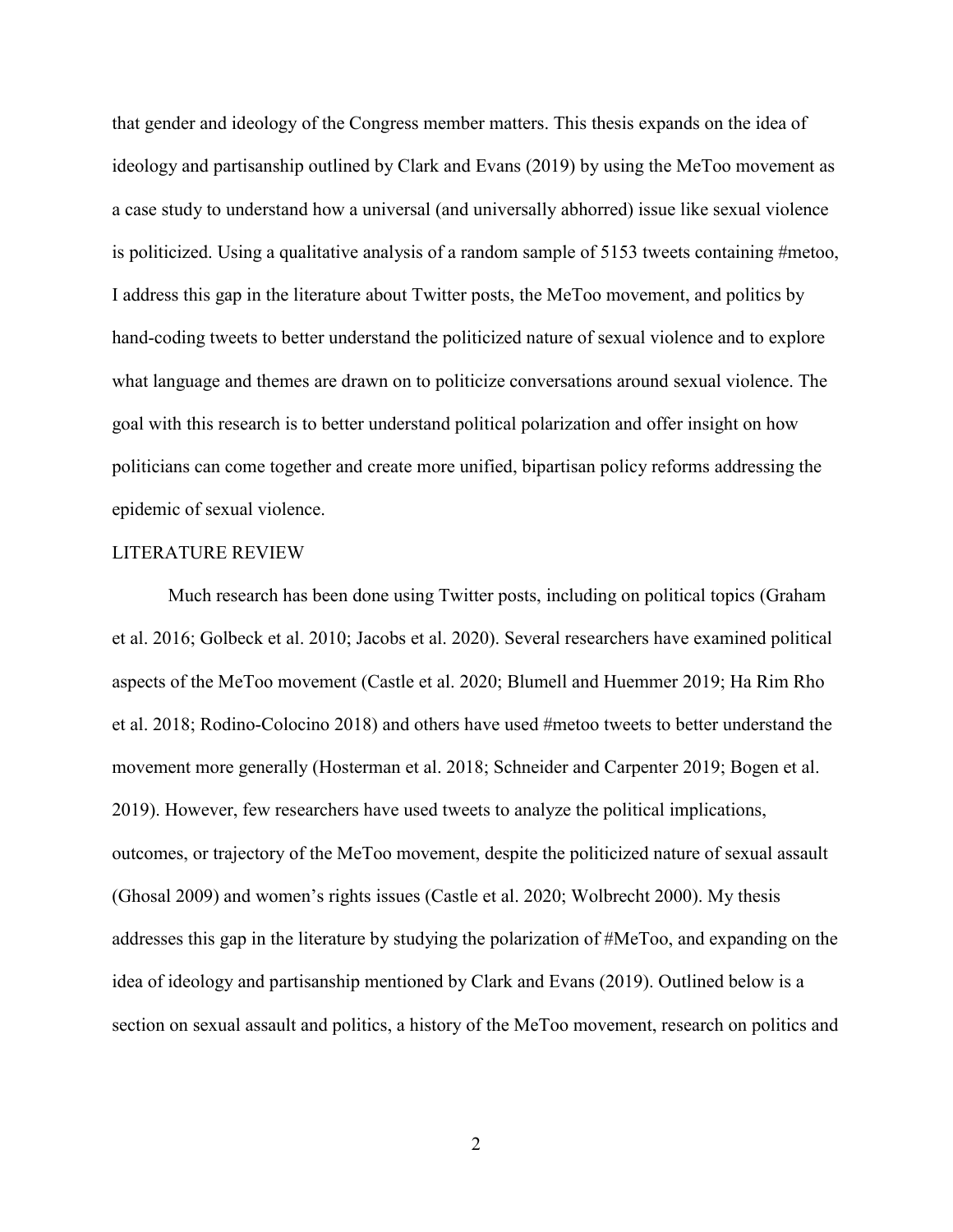that gender and ideology of the Congress member matters. This thesis expands on the idea of ideology and partisanship outlined by Clark and Evans (2019) by using the MeToo movement as a case study to understand how a universal (and universally abhorred) issue like sexual violence is politicized. Using a qualitative analysis of a random sample of 5153 tweets containing #metoo, I address this gap in the literature about Twitter posts, the MeToo movement, and politics by hand-coding tweets to better understand the politicized nature of sexual violence and to explore what language and themes are drawn on to politicize conversations around sexual violence. The goal with this research is to better understand political polarization and offer insight on how politicians can come together and create more unified, bipartisan policy reforms addressing the epidemic of sexual violence.

#### <span id="page-7-0"></span>LITERATURE REVIEW

Much research has been done using Twitter posts, including on political topics (Graham et al. 2016; Golbeck et al. 2010; Jacobs et al. 2020). Several researchers have examined political aspects of the MeToo movement (Castle et al. 2020; Blumell and Huemmer 2019; Ha Rim Rho et al. 2018; Rodino-Colocino 2018) and others have used #metoo tweets to better understand the movement more generally (Hosterman et al. 2018; Schneider and Carpenter 2019; Bogen et al. 2019). However, few researchers have used tweets to analyze the political implications, outcomes, or trajectory of the MeToo movement, despite the politicized nature of sexual assault (Ghosal 2009) and women's rights issues (Castle et al. 2020; Wolbrecht 2000). My thesis addresses this gap in the literature by studying the polarization of #MeToo, and expanding on the idea of ideology and partisanship mentioned by Clark and Evans (2019). Outlined below is a section on sexual assault and politics, a history of the MeToo movement, research on politics and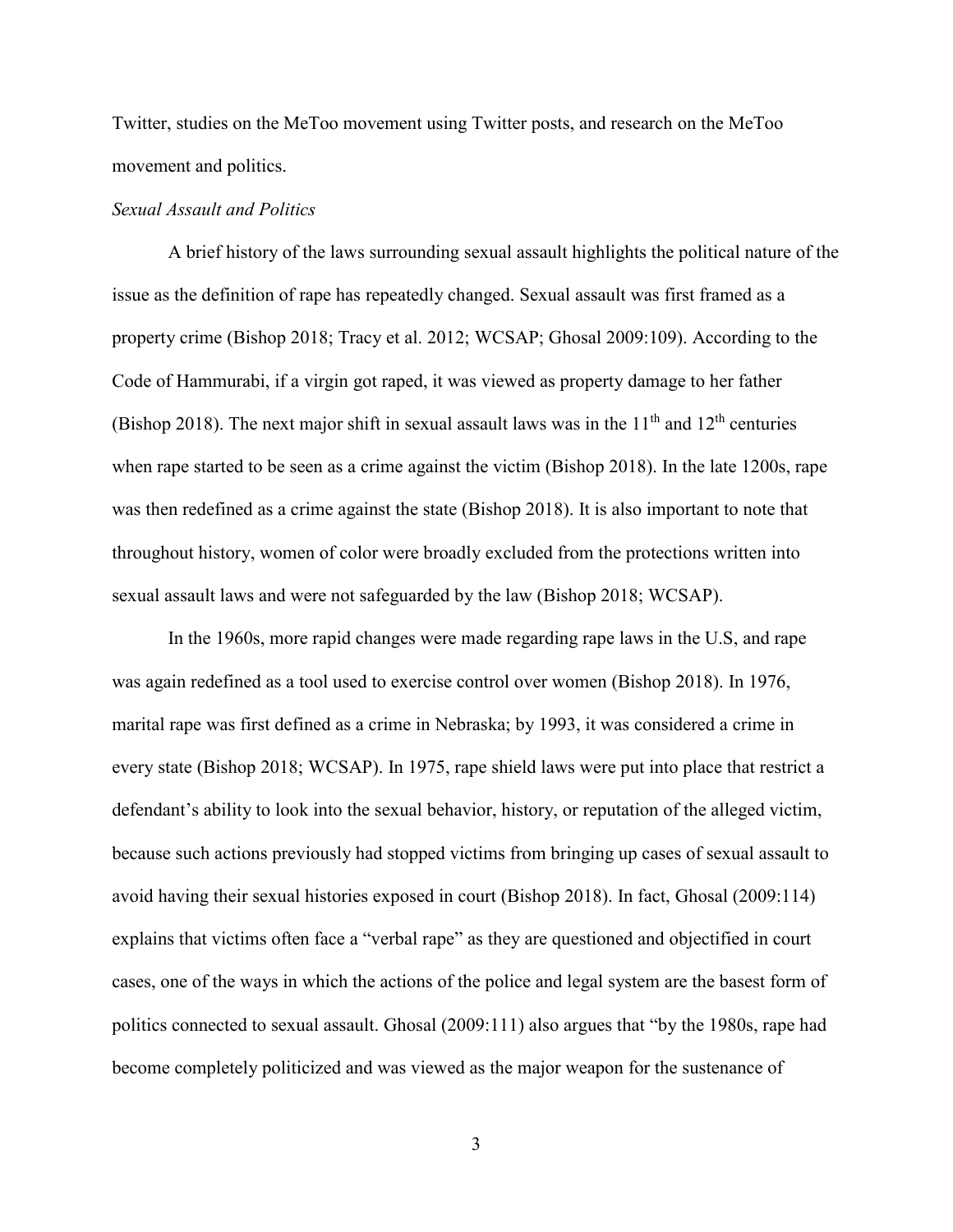Twitter, studies on the MeToo movement using Twitter posts, and research on the MeToo movement and politics.

# <span id="page-8-0"></span>*Sexual Assault and Politics*

A brief history of the laws surrounding sexual assault highlights the political nature of the issue as the definition of rape has repeatedly changed. Sexual assault was first framed as a property crime (Bishop 2018; Tracy et al. 2012; WCSAP; Ghosal 2009:109). According to the Code of Hammurabi, if a virgin got raped, it was viewed as property damage to her father (Bishop 2018). The next major shift in sexual assault laws was in the  $11<sup>th</sup>$  and  $12<sup>th</sup>$  centuries when rape started to be seen as a crime against the victim (Bishop 2018). In the late 1200s, rape was then redefined as a crime against the state (Bishop 2018). It is also important to note that throughout history, women of color were broadly excluded from the protections written into sexual assault laws and were not safeguarded by the law (Bishop 2018; WCSAP).

In the 1960s, more rapid changes were made regarding rape laws in the U.S, and rape was again redefined as a tool used to exercise control over women (Bishop 2018). In 1976, marital rape was first defined as a crime in Nebraska; by 1993, it was considered a crime in every state (Bishop 2018; WCSAP). In 1975, rape shield laws were put into place that restrict a defendant's ability to look into the sexual behavior, history, or reputation of the alleged victim, because such actions previously had stopped victims from bringing up cases of sexual assault to avoid having their sexual histories exposed in court (Bishop 2018). In fact, Ghosal (2009:114) explains that victims often face a "verbal rape" as they are questioned and objectified in court cases, one of the ways in which the actions of the police and legal system are the basest form of politics connected to sexual assault. Ghosal (2009:111) also argues that "by the 1980s, rape had become completely politicized and was viewed as the major weapon for the sustenance of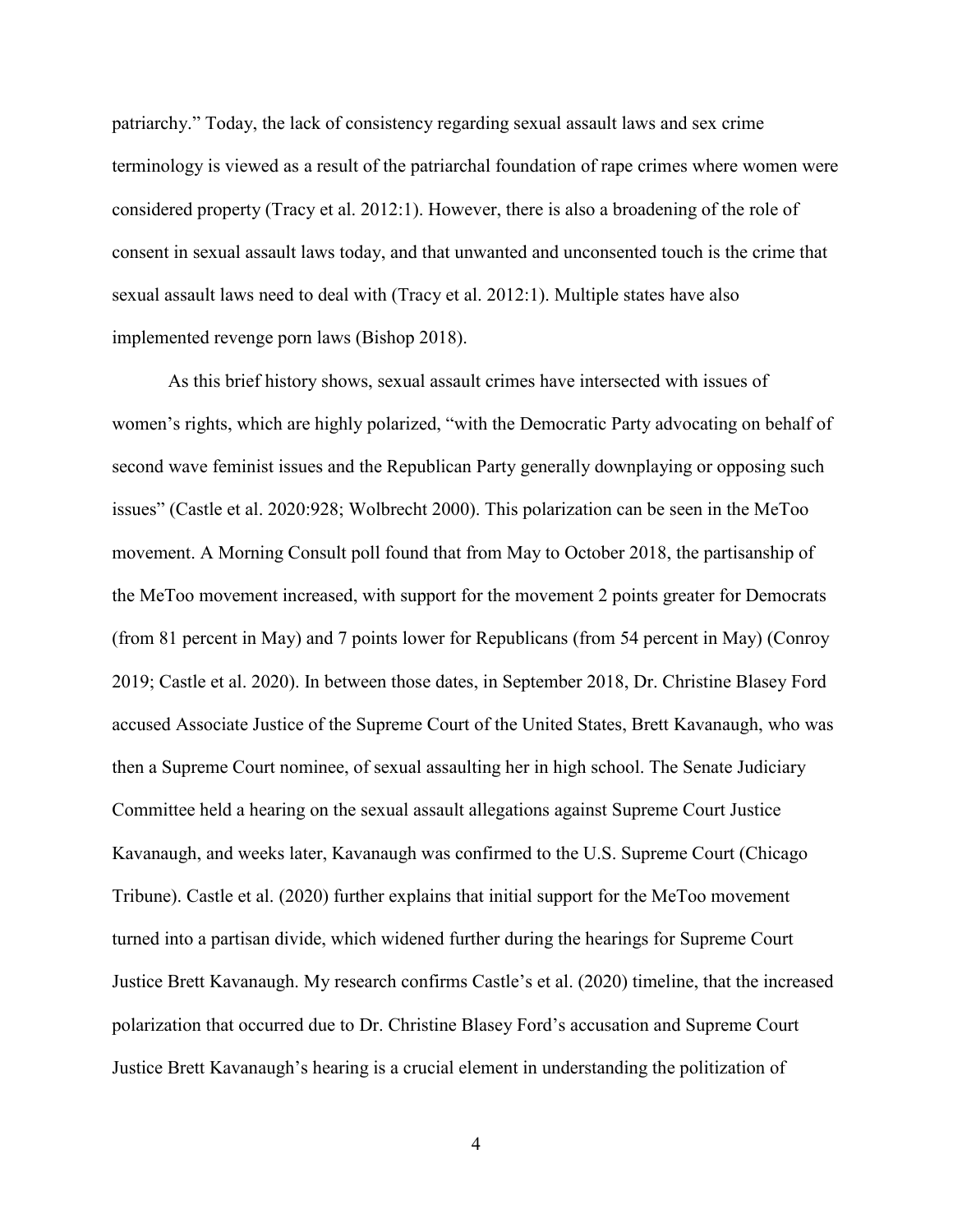patriarchy." Today, the lack of consistency regarding sexual assault laws and sex crime terminology is viewed as a result of the patriarchal foundation of rape crimes where women were considered property (Tracy et al. 2012:1). However, there is also a broadening of the role of consent in sexual assault laws today, and that unwanted and unconsented touch is the crime that sexual assault laws need to deal with (Tracy et al. 2012:1). Multiple states have also implemented revenge porn laws (Bishop 2018).

As this brief history shows, sexual assault crimes have intersected with issues of women's rights, which are highly polarized, "with the Democratic Party advocating on behalf of second wave feminist issues and the Republican Party generally downplaying or opposing such issues" (Castle et al. 2020:928; Wolbrecht 2000). This polarization can be seen in the MeToo movement. A Morning Consult poll found that from May to October 2018, the partisanship of the MeToo movement increased, with support for the movement 2 points greater for Democrats (from 81 percent in May) and 7 points lower for Republicans (from 54 percent in May) (Conroy 2019; Castle et al. 2020). In between those dates, in September 2018, Dr. Christine Blasey Ford accused Associate Justice of the Supreme Court of the United States, Brett Kavanaugh, who was then a Supreme Court nominee, of sexual assaulting her in high school. The Senate Judiciary Committee held a hearing on the sexual assault allegations against Supreme Court Justice Kavanaugh, and weeks later, Kavanaugh was confirmed to the U.S. Supreme Court (Chicago Tribune). Castle et al. (2020) further explains that initial support for the MeToo movement turned into a partisan divide, which widened further during the hearings for Supreme Court Justice Brett Kavanaugh. My research confirms Castle's et al. (2020) timeline, that the increased polarization that occurred due to Dr. Christine Blasey Ford's accusation and Supreme Court Justice Brett Kavanaugh's hearing is a crucial element in understanding the politization of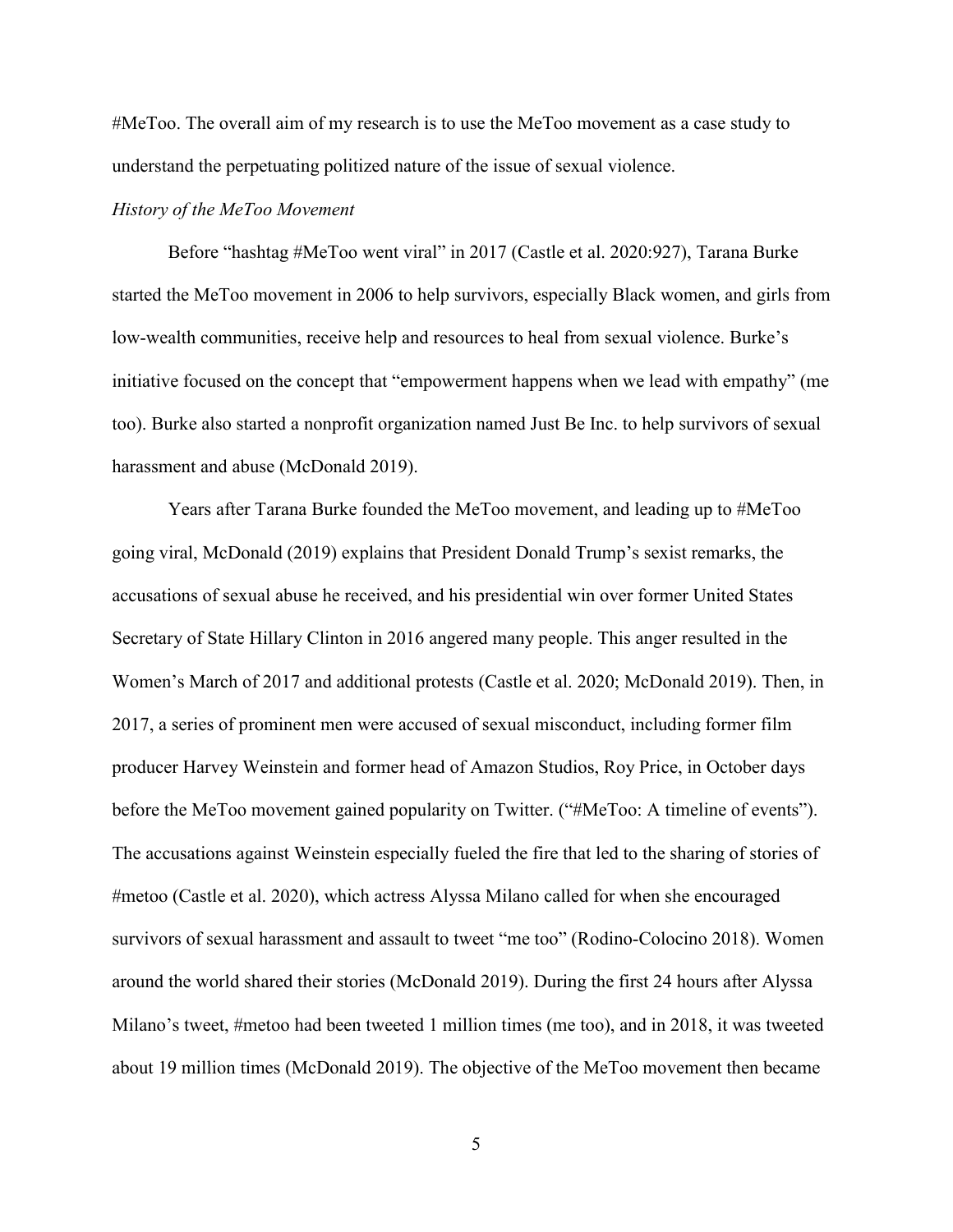#MeToo. The overall aim of my research is to use the MeToo movement as a case study to understand the perpetuating politized nature of the issue of sexual violence.

# <span id="page-10-0"></span>*History of the MeToo Movement*

Before "hashtag #MeToo went viral" in 2017 (Castle et al. 2020:927), Tarana Burke started the MeToo movement in 2006 to help survivors, especially Black women, and girls from low-wealth communities, receive help and resources to heal from sexual violence. Burke's initiative focused on the concept that "empowerment happens when we lead with empathy" (me too). Burke also started a nonprofit organization named Just Be Inc. to help survivors of sexual harassment and abuse (McDonald 2019).

Years after Tarana Burke founded the MeToo movement, and leading up to #MeToo going viral, McDonald (2019) explains that President Donald Trump's sexist remarks, the accusations of sexual abuse he received, and his presidential win over former United States Secretary of State Hillary Clinton in 2016 angered many people. This anger resulted in the Women's March of 2017 and additional protests (Castle et al. 2020; McDonald 2019). Then, in 2017, a series of prominent men were accused of sexual misconduct, including former film producer Harvey Weinstein and former head of Amazon Studios, Roy Price, in October days before the MeToo movement gained popularity on Twitter. ("#MeToo: A timeline of events"). The accusations against Weinstein especially fueled the fire that led to the sharing of stories of #metoo (Castle et al. 2020), which actress Alyssa Milano called for when she encouraged survivors of sexual harassment and assault to tweet "me too" (Rodino-Colocino 2018). Women around the world shared their stories (McDonald 2019). During the first 24 hours after Alyssa Milano's tweet, #metoo had been tweeted 1 million times (me too), and in 2018, it was tweeted about 19 million times (McDonald 2019). The objective of the MeToo movement then became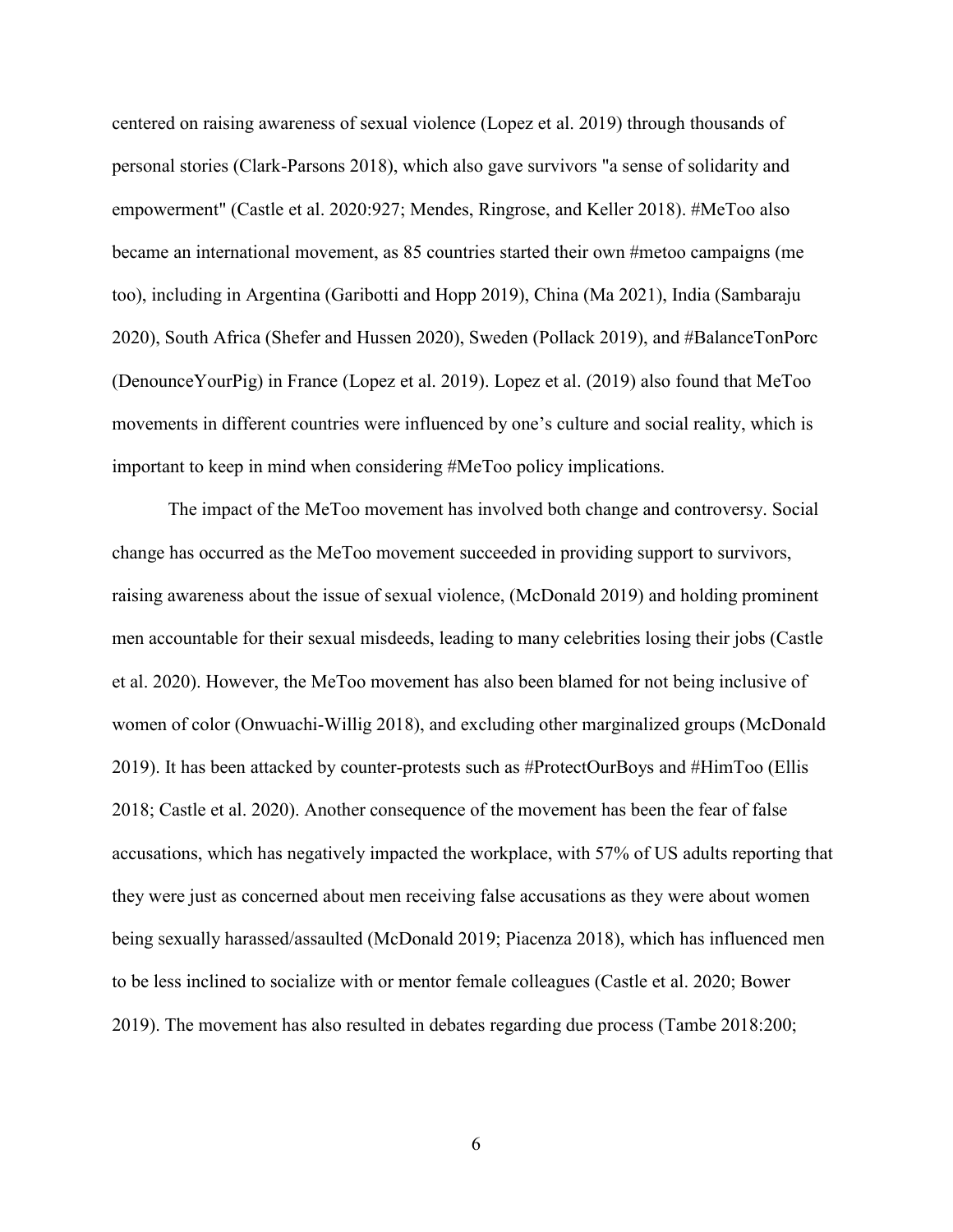centered on raising awareness of sexual violence (Lopez et al. 2019) through thousands of personal stories (Clark-Parsons 2018), which also gave survivors "a sense of solidarity and empowerment" (Castle et al. 2020:927; Mendes, Ringrose, and Keller 2018). #MeToo also became an international movement, as 85 countries started their own #metoo campaigns (me too), including in Argentina (Garibotti and Hopp 2019), China (Ma 2021), India (Sambaraju 2020), South Africa (Shefer and Hussen 2020), Sweden (Pollack 2019), and #BalanceTonPorc (DenounceYourPig) in France (Lopez et al. 2019). Lopez et al. (2019) also found that MeToo movements in different countries were influenced by one's culture and social reality, which is important to keep in mind when considering #MeToo policy implications.

The impact of the MeToo movement has involved both change and controversy. Social change has occurred as the MeToo movement succeeded in providing support to survivors, raising awareness about the issue of sexual violence, (McDonald 2019) and holding prominent men accountable for their sexual misdeeds, leading to many celebrities losing their jobs (Castle et al. 2020). However, the MeToo movement has also been blamed for not being inclusive of women of color (Onwuachi-Willig 2018), and excluding other marginalized groups (McDonald 2019). It has been attacked by counter-protests such as #ProtectOurBoys and #HimToo (Ellis 2018; Castle et al. 2020). Another consequence of the movement has been the fear of false accusations, which has negatively impacted the workplace, with 57% of US adults reporting that they were just as concerned about men receiving false accusations as they were about women being sexually harassed/assaulted (McDonald 2019; Piacenza 2018), which has influenced men to be less inclined to socialize with or mentor female colleagues (Castle et al. 2020; Bower 2019). The movement has also resulted in debates regarding due process (Tambe 2018:200;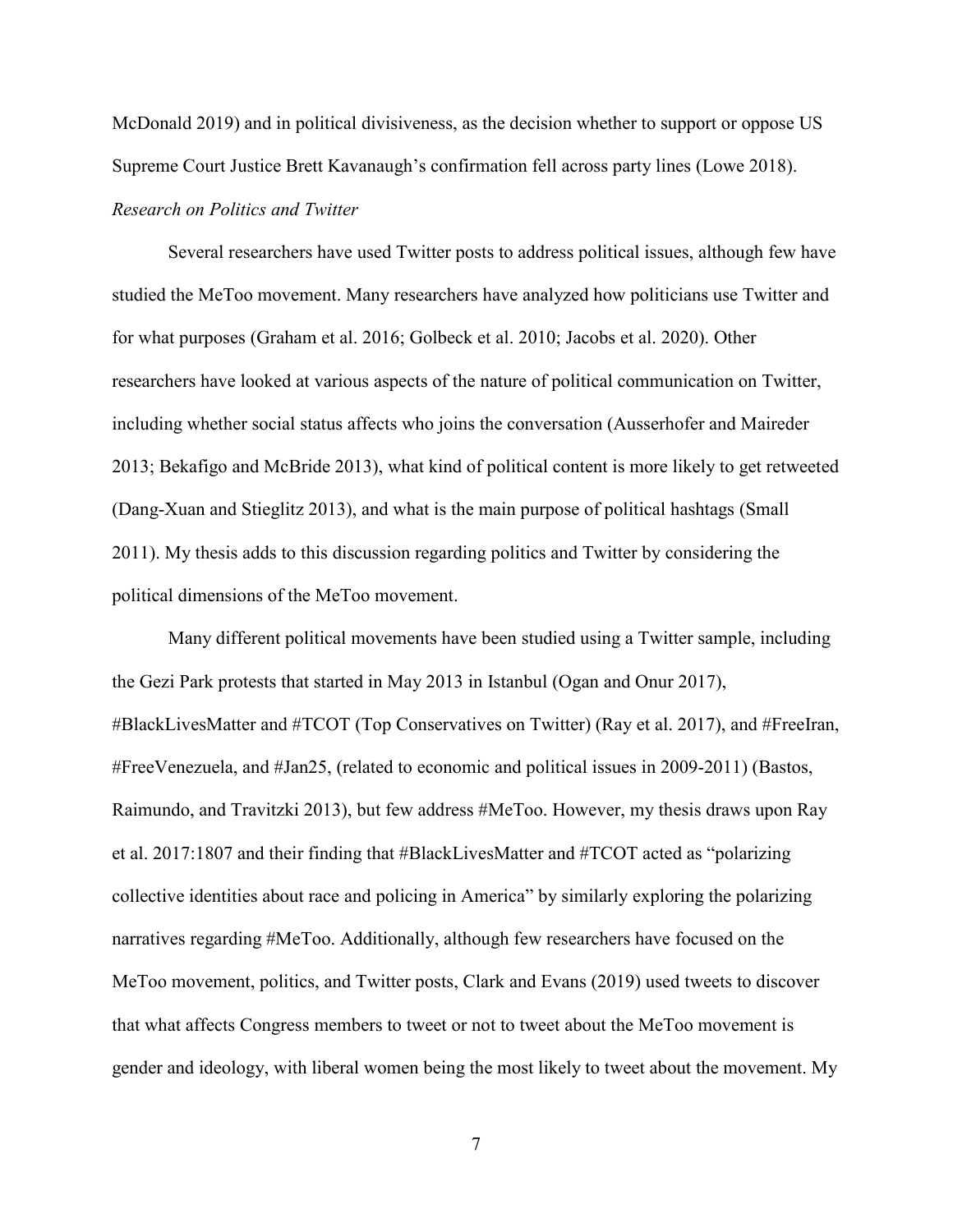McDonald 2019) and in political divisiveness, as the decision whether to support or oppose US Supreme Court Justice Brett Kavanaugh's confirmation fell across party lines (Lowe 2018). *Research on Politics and Twitter* 

<span id="page-12-0"></span>Several researchers have used Twitter posts to address political issues, although few have studied the MeToo movement. Many researchers have analyzed how politicians use Twitter and for what purposes (Graham et al. 2016; Golbeck et al. 2010; Jacobs et al. 2020). Other researchers have looked at various aspects of the nature of political communication on Twitter, including whether social status affects who joins the conversation (Ausserhofer and Maireder 2013; Bekafigo and McBride 2013), what kind of political content is more likely to get retweeted (Dang-Xuan and Stieglitz 2013), and what is the main purpose of political hashtags (Small 2011). My thesis adds to this discussion regarding politics and Twitter by considering the political dimensions of the MeToo movement.

Many different political movements have been studied using a Twitter sample, including the Gezi Park protests that started in May 2013 in Istanbul (Ogan and Onur 2017), #BlackLivesMatter and #TCOT (Top Conservatives on Twitter) (Ray et al. 2017), and #FreeIran, #FreeVenezuela, and #Jan25, (related to economic and political issues in 2009-2011) (Bastos, Raimundo, and Travitzki 2013), but few address #MeToo. However, my thesis draws upon Ray et al. 2017:1807 and their finding that #BlackLivesMatter and #TCOT acted as "polarizing collective identities about race and policing in America" by similarly exploring the polarizing narratives regarding #MeToo. Additionally, although few researchers have focused on the MeToo movement, politics, and Twitter posts, Clark and Evans (2019) used tweets to discover that what affects Congress members to tweet or not to tweet about the MeToo movement is gender and ideology, with liberal women being the most likely to tweet about the movement. My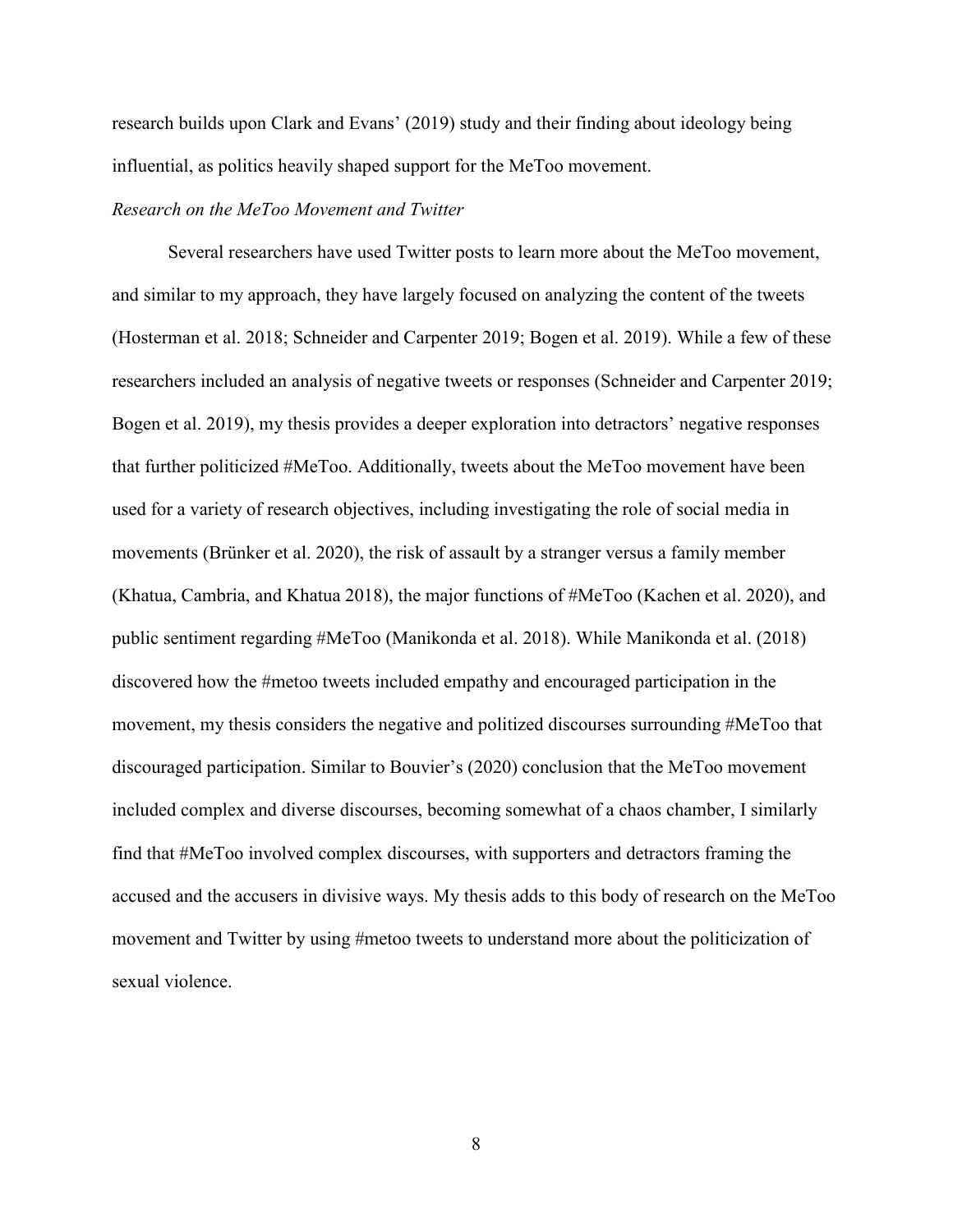research builds upon Clark and Evans' (2019) study and their finding about ideology being influential, as politics heavily shaped support for the MeToo movement.

# <span id="page-13-0"></span>*Research on the MeToo Movement and Twitter*

Several researchers have used Twitter posts to learn more about the MeToo movement, and similar to my approach, they have largely focused on analyzing the content of the tweets (Hosterman et al. 2018; Schneider and Carpenter 2019; Bogen et al. 2019). While a few of these researchers included an analysis of negative tweets or responses (Schneider and Carpenter 2019; Bogen et al. 2019), my thesis provides a deeper exploration into detractors' negative responses that further politicized #MeToo. Additionally, tweets about the MeToo movement have been used for a variety of research objectives, including investigating the role of social media in movements (Brünker et al. 2020), the risk of assault by a stranger versus a family member (Khatua, Cambria, and Khatua 2018), the major functions of #MeToo (Kachen et al. 2020), and public sentiment regarding #MeToo (Manikonda et al. 2018). While Manikonda et al. (2018) discovered how the #metoo tweets included empathy and encouraged participation in the movement, my thesis considers the negative and politized discourses surrounding #MeToo that discouraged participation. Similar to Bouvier's (2020) conclusion that the MeToo movement included complex and diverse discourses, becoming somewhat of a chaos chamber, I similarly find that #MeToo involved complex discourses, with supporters and detractors framing the accused and the accusers in divisive ways. My thesis adds to this body of research on the MeToo movement and Twitter by using #metoo tweets to understand more about the politicization of sexual violence.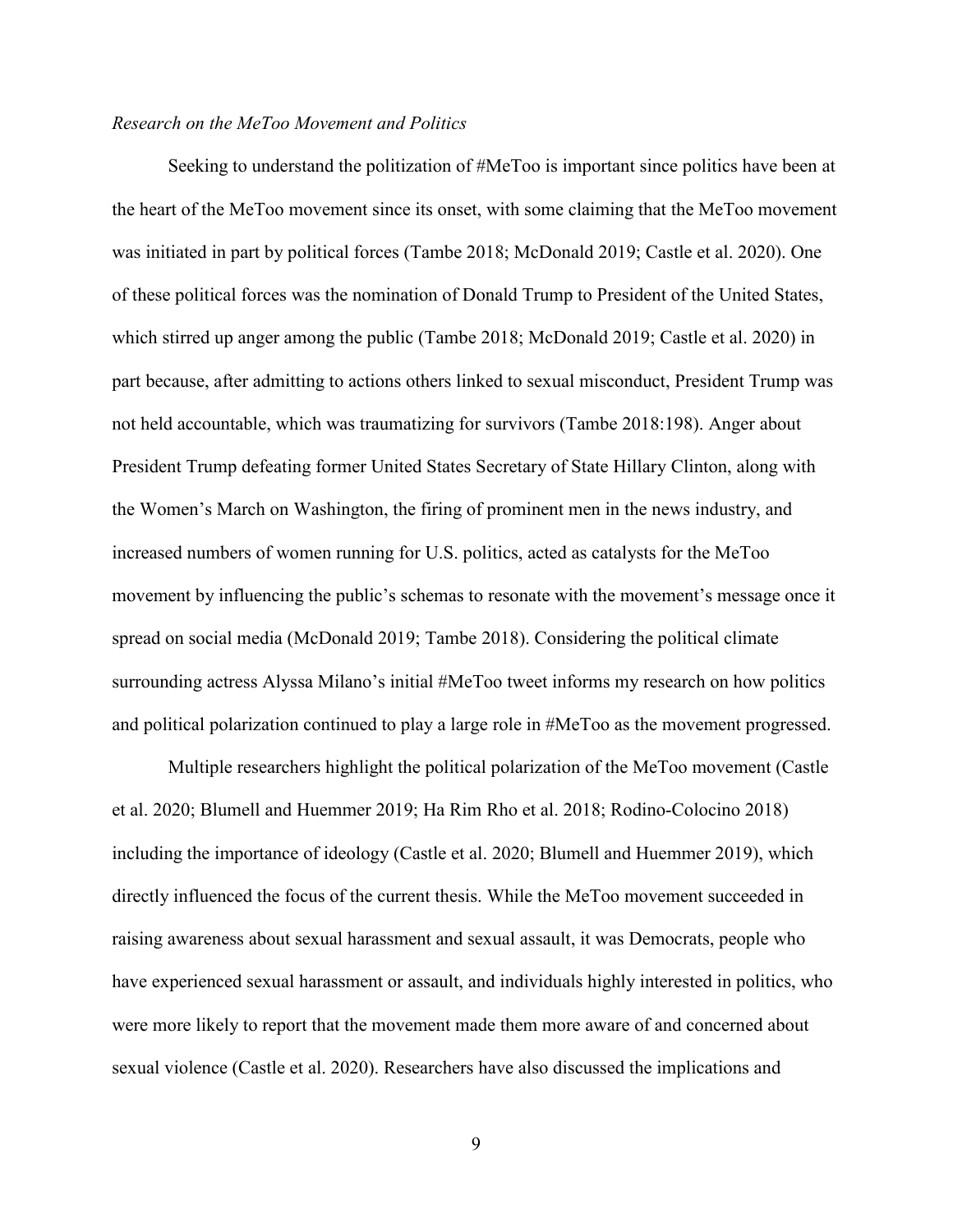# *Research on the MeToo Movement and Politics*

Seeking to understand the politization of #MeToo is important since politics have been at the heart of the MeToo movement since its onset, with some claiming that the MeToo movement was initiated in part by political forces (Tambe 2018; McDonald 2019; Castle et al. 2020). One of these political forces was the nomination of Donald Trump to President of the United States, which stirred up anger among the public (Tambe 2018; McDonald 2019; Castle et al. 2020) in part because, after admitting to actions others linked to sexual misconduct, President Trump was not held accountable, which was traumatizing for survivors (Tambe 2018:198). Anger about President Trump defeating former United States Secretary of State Hillary Clinton, along with the Women's March on Washington, the firing of prominent men in the news industry, and increased numbers of women running for U.S. politics, acted as catalysts for the MeToo movement by influencing the public's schemas to resonate with the movement's message once it spread on social media (McDonald 2019; Tambe 2018). Considering the political climate surrounding actress Alyssa Milano's initial #MeToo tweet informs my research on how politics and political polarization continued to play a large role in #MeToo as the movement progressed.

Multiple researchers highlight the political polarization of the MeToo movement (Castle et al. 2020; Blumell and Huemmer 2019; Ha Rim Rho et al. 2018; Rodino-Colocino 2018) including the importance of ideology (Castle et al. 2020; Blumell and Huemmer 2019), which directly influenced the focus of the current thesis. While the MeToo movement succeeded in raising awareness about sexual harassment and sexual assault, it was Democrats, people who have experienced sexual harassment or assault, and individuals highly interested in politics, who were more likely to report that the movement made them more aware of and concerned about sexual violence (Castle et al. 2020). Researchers have also discussed the implications and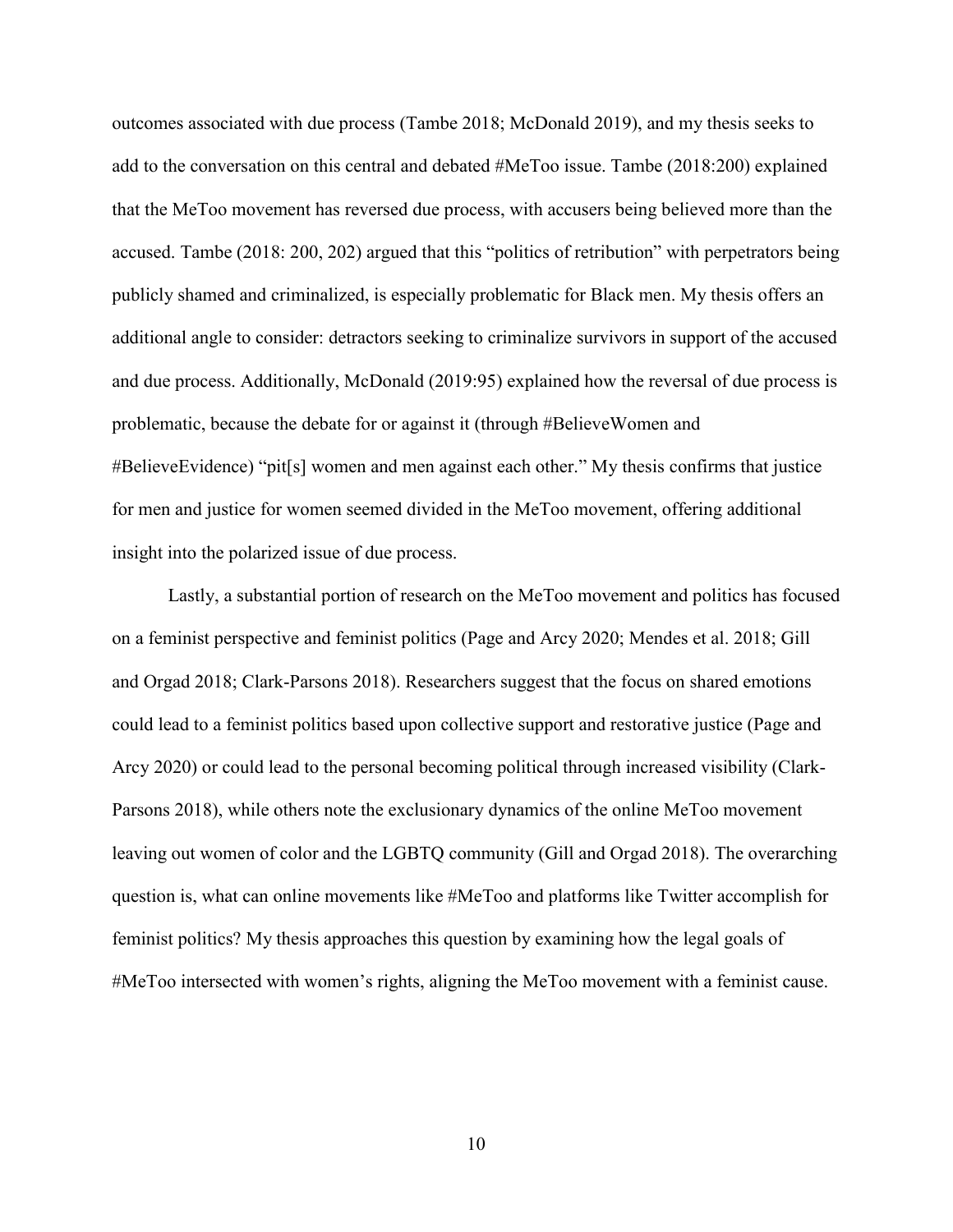outcomes associated with due process (Tambe 2018; McDonald 2019), and my thesis seeks to add to the conversation on this central and debated #MeToo issue. Tambe (2018:200) explained that the MeToo movement has reversed due process, with accusers being believed more than the accused. Tambe (2018: 200, 202) argued that this "politics of retribution" with perpetrators being publicly shamed and criminalized, is especially problematic for Black men. My thesis offers an additional angle to consider: detractors seeking to criminalize survivors in support of the accused and due process. Additionally, McDonald (2019:95) explained how the reversal of due process is problematic, because the debate for or against it (through #BelieveWomen and #BelieveEvidence) "pit[s] women and men against each other." My thesis confirms that justice for men and justice for women seemed divided in the MeToo movement, offering additional insight into the polarized issue of due process.

Lastly, a substantial portion of research on the MeToo movement and politics has focused on a feminist perspective and feminist politics (Page and Arcy 2020; Mendes et al. 2018; Gill and Orgad 2018; Clark-Parsons 2018). Researchers suggest that the focus on shared emotions could lead to a feminist politics based upon collective support and restorative justice (Page and Arcy 2020) or could lead to the personal becoming political through increased visibility (Clark-Parsons 2018), while others note the exclusionary dynamics of the online MeToo movement leaving out women of color and the LGBTQ community (Gill and Orgad 2018). The overarching question is, what can online movements like #MeToo and platforms like Twitter accomplish for feminist politics? My thesis approaches this question by examining how the legal goals of #MeToo intersected with women's rights, aligning the MeToo movement with a feminist cause.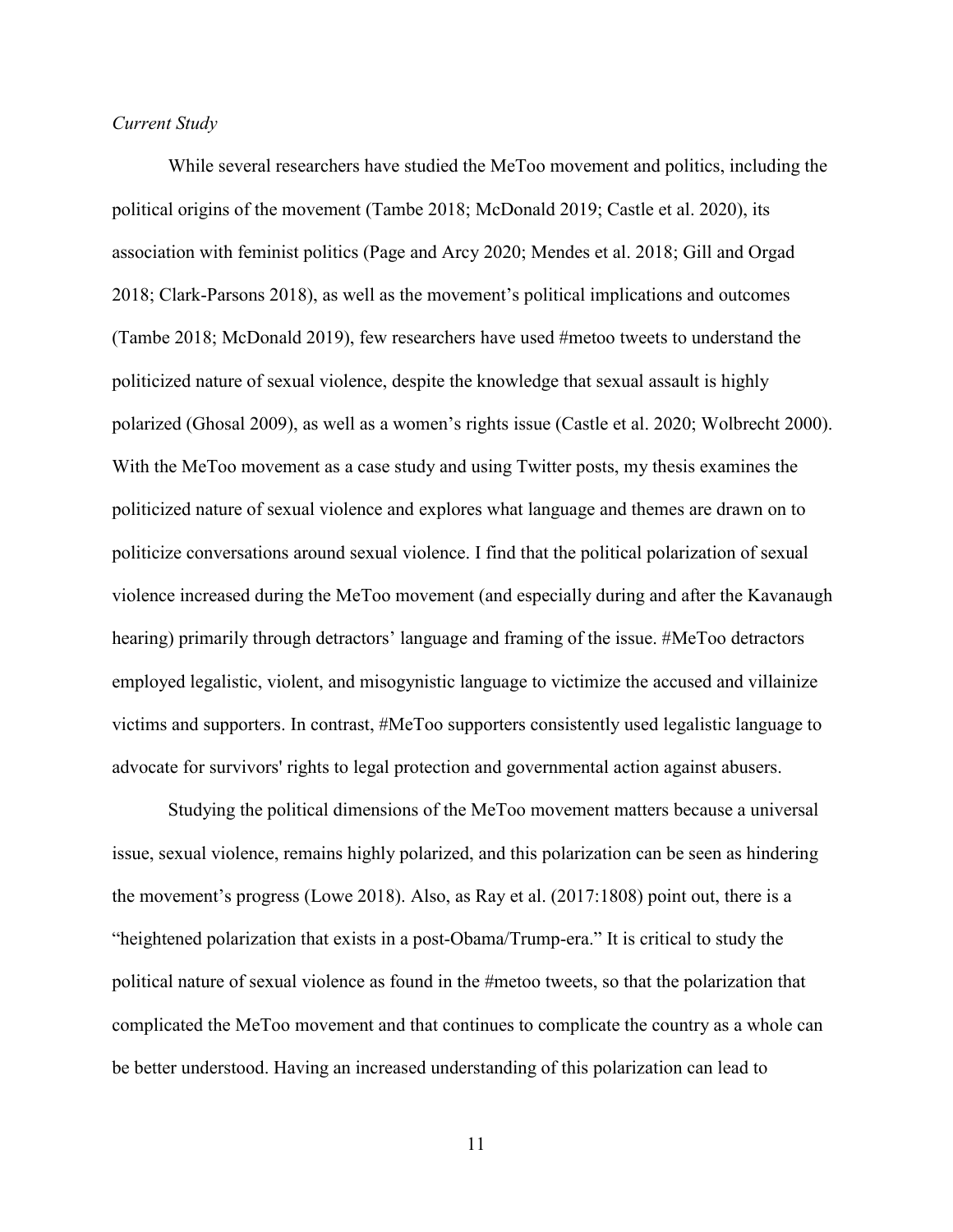# <span id="page-16-0"></span>*Current Study*

While several researchers have studied the MeToo movement and politics, including the political origins of the movement (Tambe 2018; McDonald 2019; Castle et al. 2020), its association with feminist politics (Page and Arcy 2020; Mendes et al. 2018; Gill and Orgad 2018; Clark-Parsons 2018), as well as the movement's political implications and outcomes (Tambe 2018; McDonald 2019), few researchers have used #metoo tweets to understand the politicized nature of sexual violence, despite the knowledge that sexual assault is highly polarized (Ghosal 2009), as well as a women's rights issue (Castle et al. 2020; Wolbrecht 2000). With the MeToo movement as a case study and using Twitter posts, my thesis examines the politicized nature of sexual violence and explores what language and themes are drawn on to politicize conversations around sexual violence. I find that the political polarization of sexual violence increased during the MeToo movement (and especially during and after the Kavanaugh hearing) primarily through detractors' language and framing of the issue. #MeToo detractors employed legalistic, violent, and misogynistic language to victimize the accused and villainize victims and supporters. In contrast, #MeToo supporters consistently used legalistic language to advocate for survivors' rights to legal protection and governmental action against abusers.

Studying the political dimensions of the MeToo movement matters because a universal issue, sexual violence, remains highly polarized, and this polarization can be seen as hindering the movement's progress (Lowe 2018). Also, as Ray et al. (2017:1808) point out, there is a "heightened polarization that exists in a post-Obama/Trump-era." It is critical to study the political nature of sexual violence as found in the #metoo tweets, so that the polarization that complicated the MeToo movement and that continues to complicate the country as a whole can be better understood. Having an increased understanding of this polarization can lead to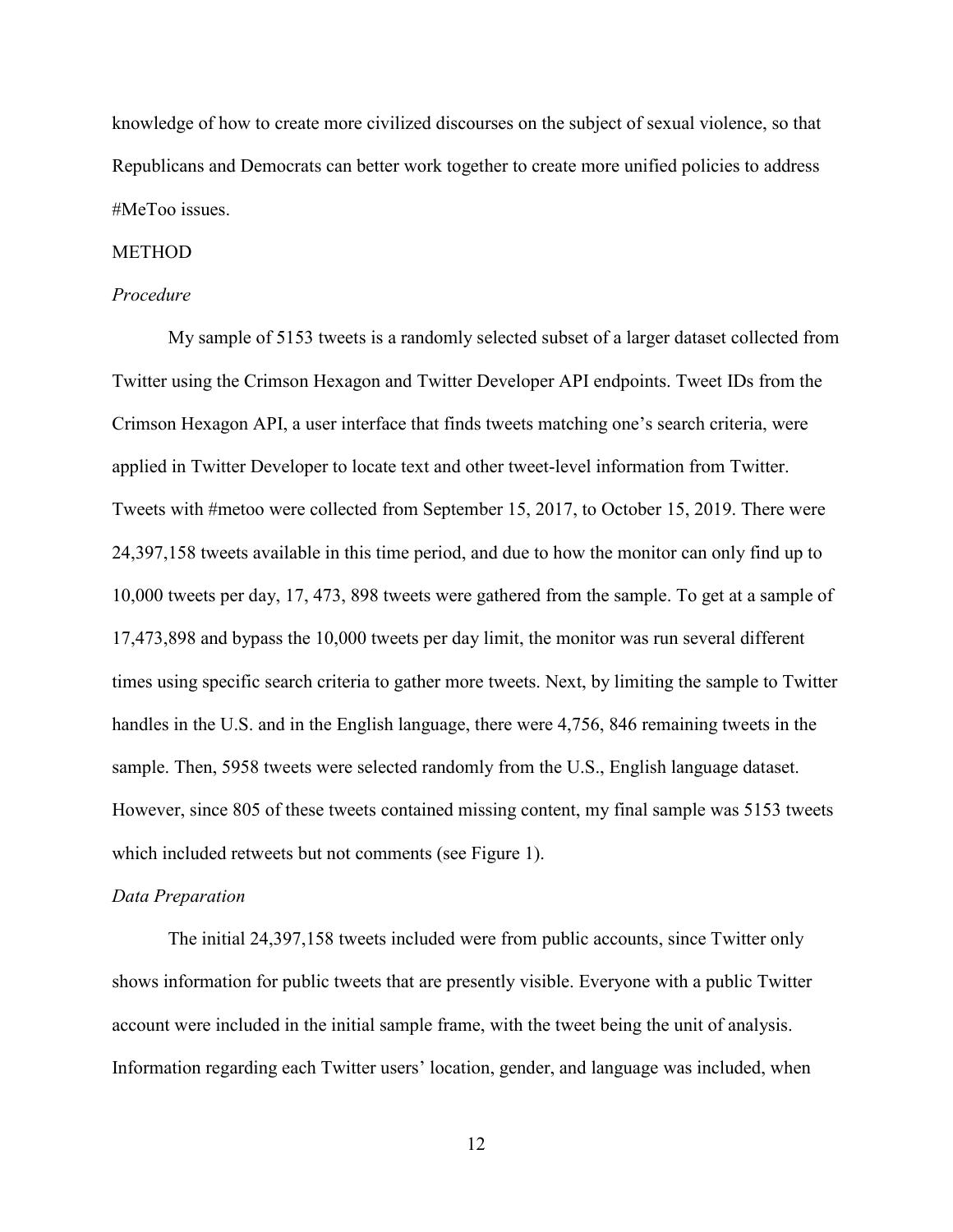knowledge of how to create more civilized discourses on the subject of sexual violence, so that Republicans and Democrats can better work together to create more unified policies to address #MeToo issues.

# <span id="page-17-0"></span>**METHOD**

# <span id="page-17-1"></span>*Procedure*

My sample of 5153 tweets is a randomly selected subset of a larger dataset collected from Twitter using the Crimson Hexagon and Twitter Developer API endpoints. Tweet IDs from the Crimson Hexagon API, a user interface that finds tweets matching one's search criteria, were applied in Twitter Developer to locate text and other tweet-level information from Twitter. Tweets with #metoo were collected from September 15, 2017, to October 15, 2019. There were 24,397,158 tweets available in this time period, and due to how the monitor can only find up to 10,000 tweets per day, 17, 473, 898 tweets were gathered from the sample. To get at a sample of 17,473,898 and bypass the 10,000 tweets per day limit, the monitor was run several different times using specific search criteria to gather more tweets. Next, by limiting the sample to Twitter handles in the U.S. and in the English language, there were 4,756, 846 remaining tweets in the sample. Then, 5958 tweets were selected randomly from the U.S., English language dataset. However, since 805 of these tweets contained missing content, my final sample was 5153 tweets which included retweets but not comments (see [Figure 1\)](#page-53-0).

#### <span id="page-17-2"></span>*Data Preparation*

The initial 24,397,158 tweets included were from public accounts, since Twitter only shows information for public tweets that are presently visible. Everyone with a public Twitter account were included in the initial sample frame, with the tweet being the unit of analysis. Information regarding each Twitter users' location, gender, and language was included, when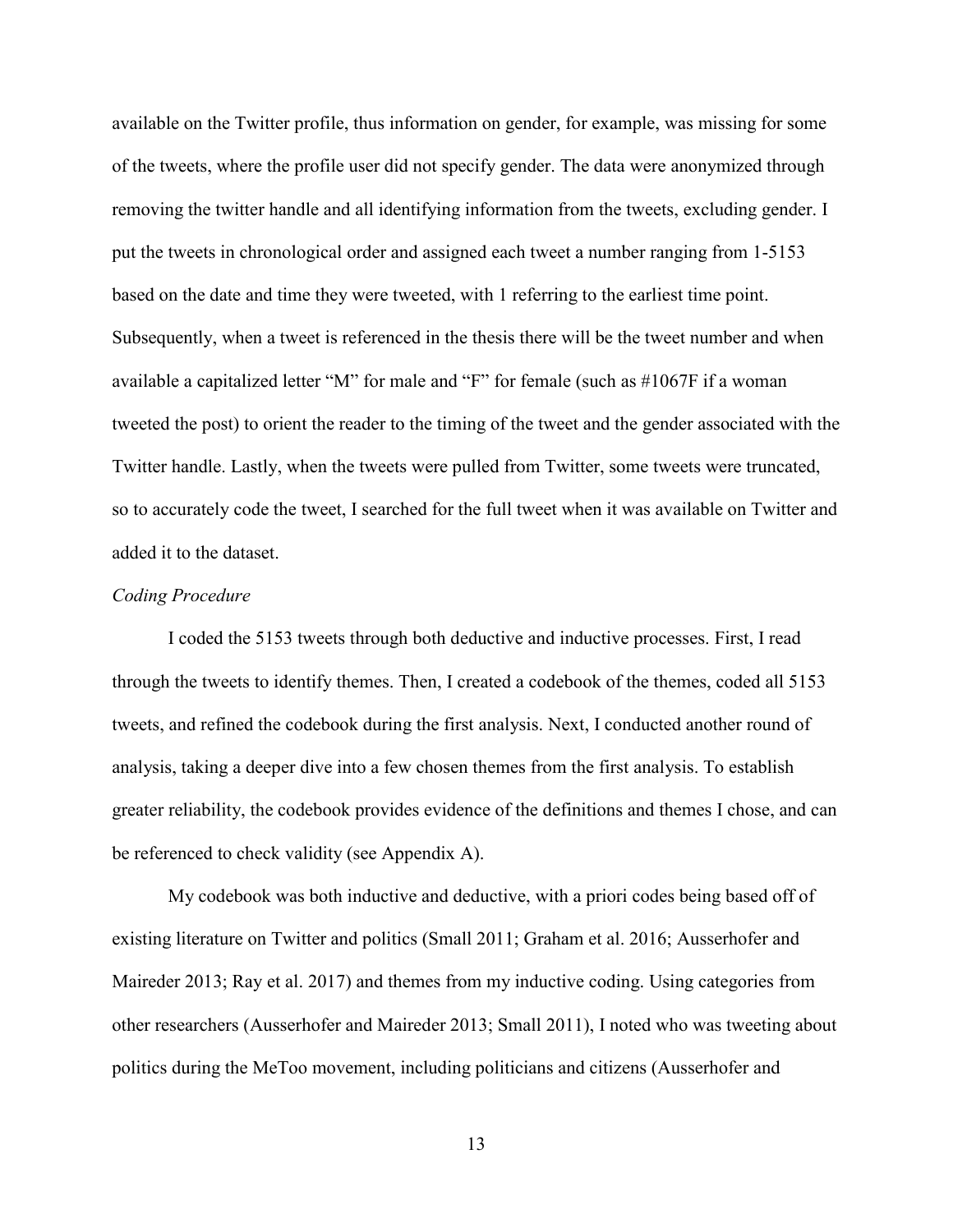available on the Twitter profile, thus information on gender, for example, was missing for some of the tweets, where the profile user did not specify gender. The data were anonymized through removing the twitter handle and all identifying information from the tweets, excluding gender. I put the tweets in chronological order and assigned each tweet a number ranging from 1-5153 based on the date and time they were tweeted, with 1 referring to the earliest time point. Subsequently, when a tweet is referenced in the thesis there will be the tweet number and when available a capitalized letter "M" for male and "F" for female (such as #1067F if a woman tweeted the post) to orient the reader to the timing of the tweet and the gender associated with the Twitter handle. Lastly, when the tweets were pulled from Twitter, some tweets were truncated, so to accurately code the tweet, I searched for the full tweet when it was available on Twitter and added it to the dataset.

#### <span id="page-18-0"></span>*Coding Procedure*

I coded the 5153 tweets through both deductive and inductive processes. First, I read through the tweets to identify themes. Then, I created a codebook of the themes, coded all 5153 tweets, and refined the codebook during the first analysis. Next, I conducted another round of analysis, taking a deeper dive into a few chosen themes from the first analysis. To establish greater reliability, the codebook provides evidence of the definitions and themes I chose, and can be referenced to check validity (see [Appendix A\)](#page-56-0).

My codebook was both inductive and deductive, with a priori codes being based off of existing literature on Twitter and politics (Small 2011; Graham et al. 2016; Ausserhofer and Maireder 2013; Ray et al. 2017) and themes from my inductive coding. Using categories from other researchers (Ausserhofer and Maireder 2013; Small 2011), I noted who was tweeting about politics during the MeToo movement, including politicians and citizens (Ausserhofer and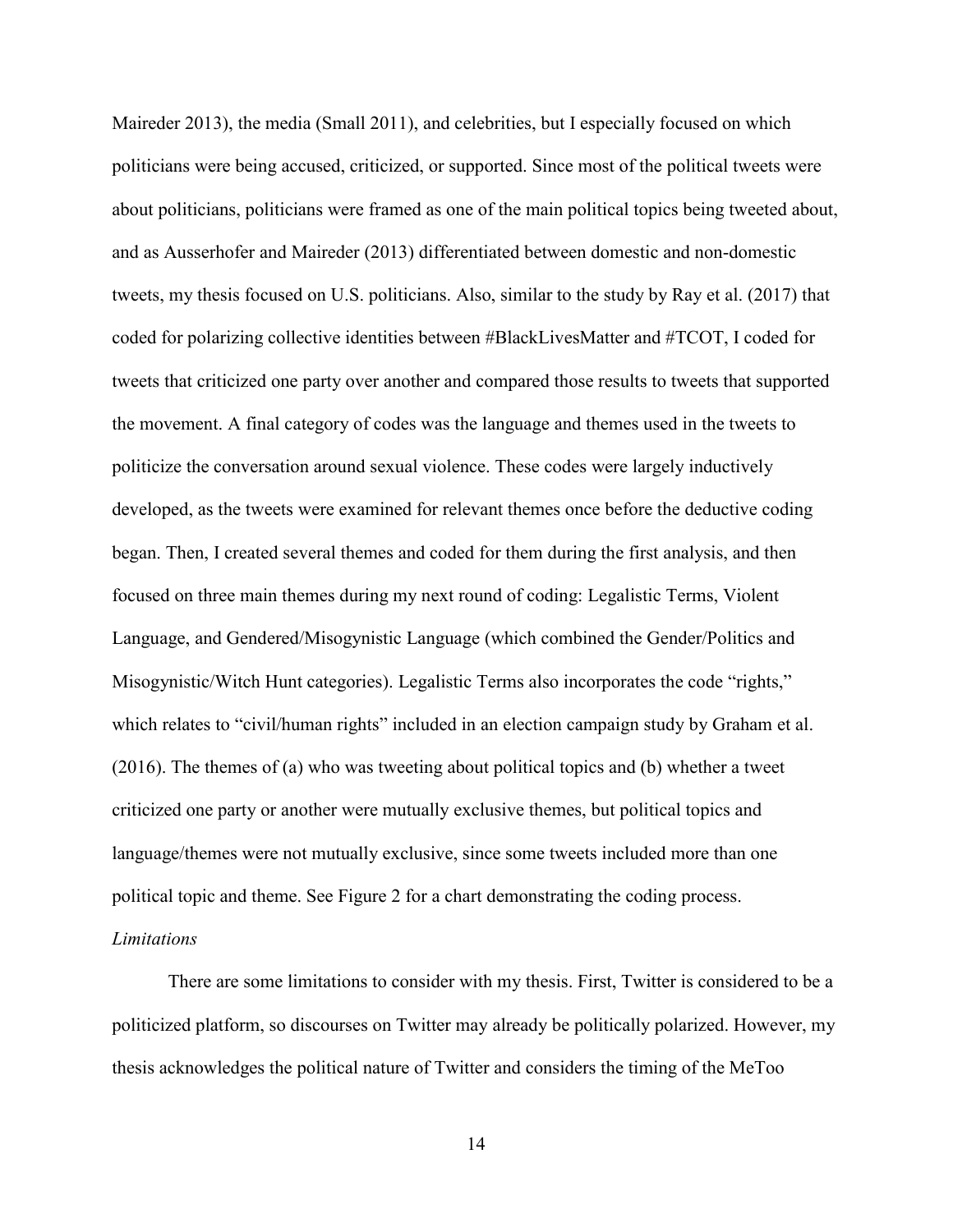Maireder 2013), the media (Small 2011), and celebrities, but I especially focused on which politicians were being accused, criticized, or supported. Since most of the political tweets were about politicians, politicians were framed as one of the main political topics being tweeted about, and as Ausserhofer and Maireder (2013) differentiated between domestic and non-domestic tweets, my thesis focused on U.S. politicians. Also, similar to the study by Ray et al. (2017) that coded for polarizing collective identities between #BlackLivesMatter and #TCOT, I coded for tweets that criticized one party over another and compared those results to tweets that supported the movement. A final category of codes was the language and themes used in the tweets to politicize the conversation around sexual violence. These codes were largely inductively developed, as the tweets were examined for relevant themes once before the deductive coding began. Then, I created several themes and coded for them during the first analysis, and then focused on three main themes during my next round of coding: Legalistic Terms, Violent Language, and Gendered/Misogynistic Language (which combined the Gender/Politics and Misogynistic/Witch Hunt categories). Legalistic Terms also incorporates the code "rights," which relates to "civil/human rights" included in an election campaign study by Graham et al. (2016). The themes of (a) who was tweeting about political topics and (b) whether a tweet criticized one party or another were mutually exclusive themes, but political topics and language/themes were not mutually exclusive, since some tweets included more than one political topic and theme. See [Figure 2](#page-53-2) for a chart demonstrating the coding process. *Limitations* 

<span id="page-19-0"></span>There are some limitations to consider with my thesis. First, Twitter is considered to be a politicized platform, so discourses on Twitter may already be politically polarized. However, my thesis acknowledges the political nature of Twitter and considers the timing of the MeToo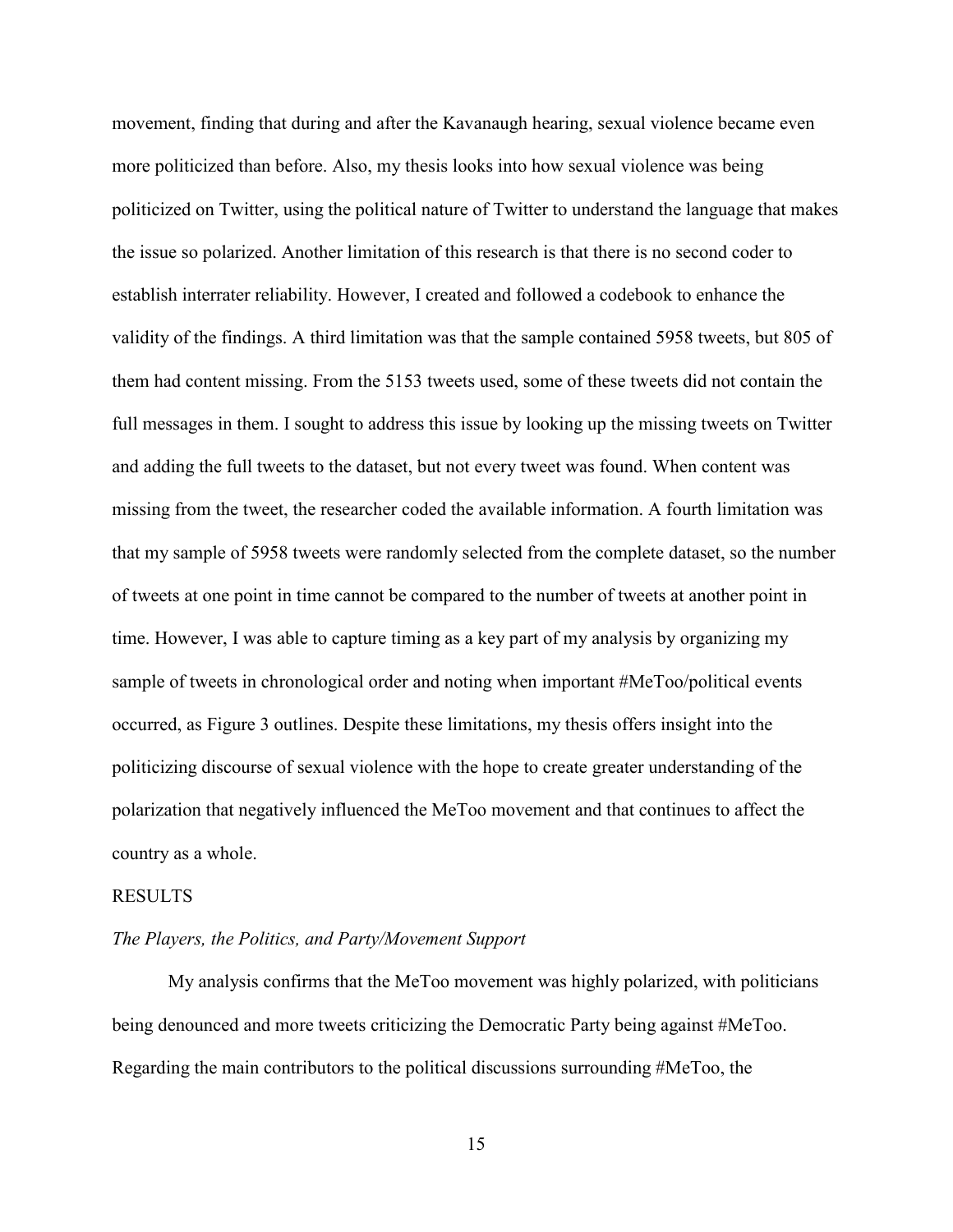movement, finding that during and after the Kavanaugh hearing, sexual violence became even more politicized than before. Also, my thesis looks into how sexual violence was being politicized on Twitter, using the political nature of Twitter to understand the language that makes the issue so polarized. Another limitation of this research is that there is no second coder to establish interrater reliability. However, I created and followed a codebook to enhance the validity of the findings. A third limitation was that the sample contained 5958 tweets, but 805 of them had content missing. From the 5153 tweets used, some of these tweets did not contain the full messages in them. I sought to address this issue by looking up the missing tweets on Twitter and adding the full tweets to the dataset, but not every tweet was found. When content was missing from the tweet, the researcher coded the available information. A fourth limitation was that my sample of 5958 tweets were randomly selected from the complete dataset, so the number of tweets at one point in time cannot be compared to the number of tweets at another point in time. However, I was able to capture timing as a key part of my analysis by organizing my sample of tweets in chronological order and noting when important #MeToo/political events occurred, as Figure 3 outlines. Despite these limitations, my thesis offers insight into the politicizing discourse of sexual violence with the hope to create greater understanding of the polarization that negatively influenced the MeToo movement and that continues to affect the country as a whole.

#### <span id="page-20-0"></span>RESULTS

#### <span id="page-20-1"></span>*The Players, the Politics, and Party/Movement Support*

My analysis confirms that the MeToo movement was highly polarized, with politicians being denounced and more tweets criticizing the Democratic Party being against #MeToo. Regarding the main contributors to the political discussions surrounding #MeToo, the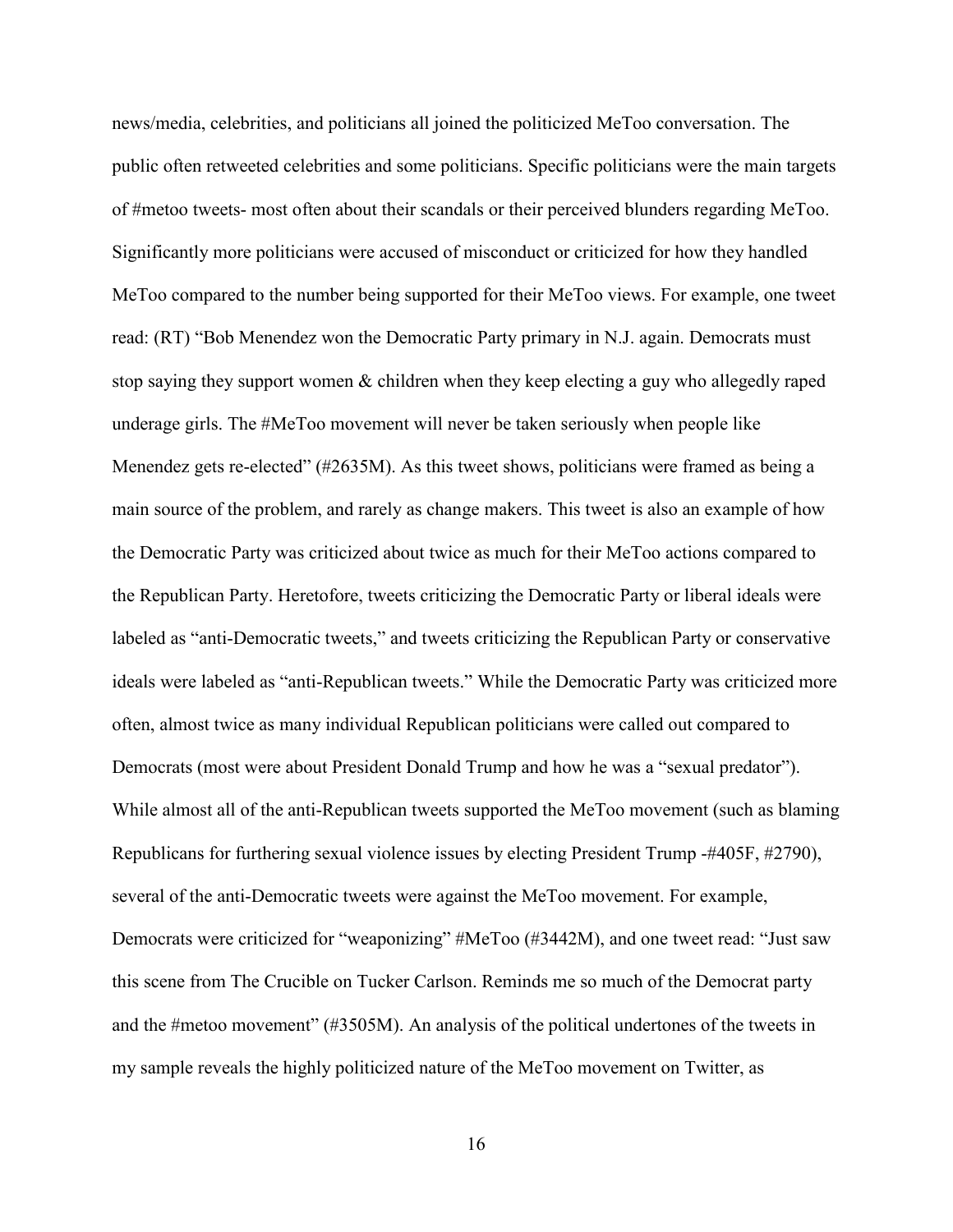news/media, celebrities, and politicians all joined the politicized MeToo conversation. The public often retweeted celebrities and some politicians. Specific politicians were the main targets of #metoo tweets- most often about their scandals or their perceived blunders regarding MeToo. Significantly more politicians were accused of misconduct or criticized for how they handled MeToo compared to the number being supported for their MeToo views. For example, one tweet read: (RT) "Bob Menendez won the Democratic Party primary in N.J. again. Democrats must stop saying they support women & children when they keep electing a guy who allegedly raped underage girls. The #MeToo movement will never be taken seriously when people like Menendez gets re-elected" (#2635M). As this tweet shows, politicians were framed as being a main source of the problem, and rarely as change makers. This tweet is also an example of how the Democratic Party was criticized about twice as much for their MeToo actions compared to the Republican Party. Heretofore, tweets criticizing the Democratic Party or liberal ideals were labeled as "anti-Democratic tweets," and tweets criticizing the Republican Party or conservative ideals were labeled as "anti-Republican tweets." While the Democratic Party was criticized more often, almost twice as many individual Republican politicians were called out compared to Democrats (most were about President Donald Trump and how he was a "sexual predator"). While almost all of the anti-Republican tweets supported the MeToo movement (such as blaming Republicans for furthering sexual violence issues by electing President Trump -#405F, #2790), several of the anti-Democratic tweets were against the MeToo movement. For example, Democrats were criticized for "weaponizing" #MeToo (#3442M), and one tweet read: "Just saw this scene from The Crucible on Tucker Carlson. Reminds me so much of the Democrat party and the #metoo movement" (#3505M). An analysis of the political undertones of the tweets in my sample reveals the highly politicized nature of the MeToo movement on Twitter, as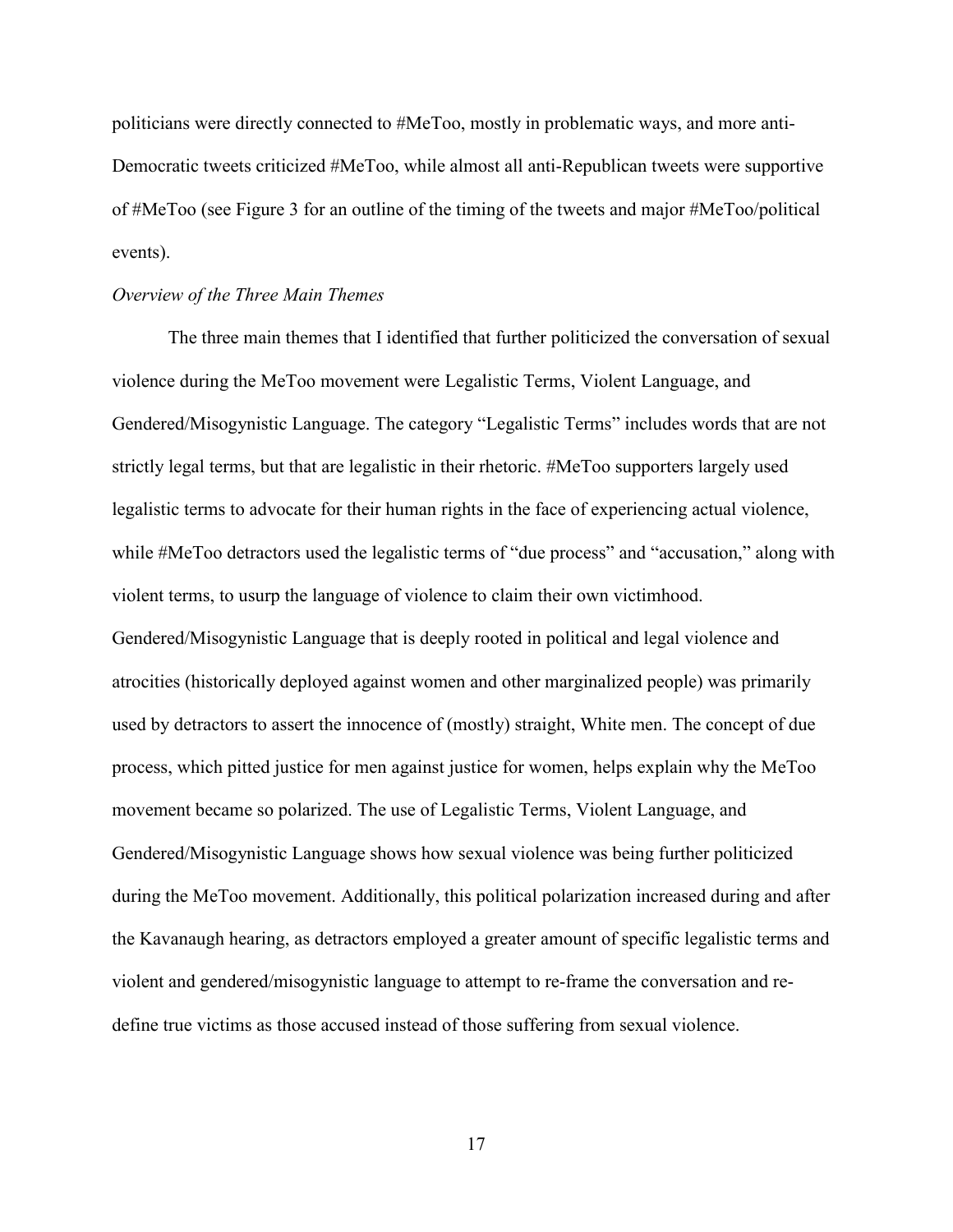politicians were directly connected to #MeToo, mostly in problematic ways, and more anti-Democratic tweets criticized #MeToo, while almost all anti-Republican tweets were supportive of #MeToo (see [Figure 3](#page-54-1) for an outline of the timing of the tweets and major #MeToo/political events).

### <span id="page-22-0"></span>*Overview of the Three Main Themes*

The three main themes that I identified that further politicized the conversation of sexual violence during the MeToo movement were Legalistic Terms, Violent Language, and Gendered/Misogynistic Language. The category "Legalistic Terms" includes words that are not strictly legal terms, but that are legalistic in their rhetoric. #MeToo supporters largely used legalistic terms to advocate for their human rights in the face of experiencing actual violence, while #MeToo detractors used the legalistic terms of "due process" and "accusation," along with violent terms, to usurp the language of violence to claim their own victimhood. Gendered/Misogynistic Language that is deeply rooted in political and legal violence and atrocities (historically deployed against women and other marginalized people) was primarily used by detractors to assert the innocence of (mostly) straight, White men. The concept of due process, which pitted justice for men against justice for women, helps explain why the MeToo movement became so polarized. The use of Legalistic Terms, Violent Language, and Gendered/Misogynistic Language shows how sexual violence was being further politicized during the MeToo movement. Additionally, this political polarization increased during and after the Kavanaugh hearing, as detractors employed a greater amount of specific legalistic terms and violent and gendered/misogynistic language to attempt to re-frame the conversation and redefine true victims as those accused instead of those suffering from sexual violence.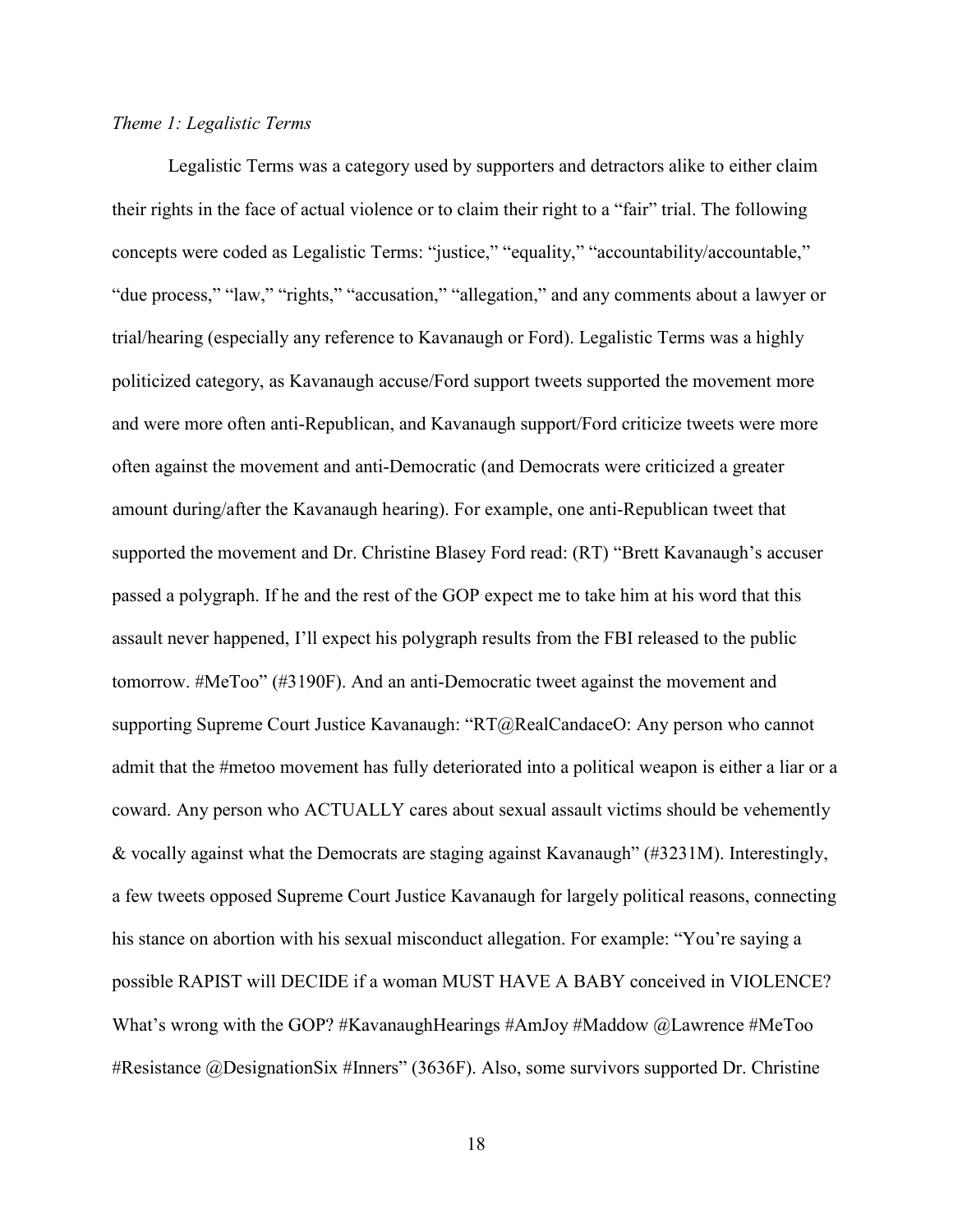# <span id="page-23-0"></span>*Theme 1: Legalistic Terms*

Legalistic Terms was a category used by supporters and detractors alike to either claim their rights in the face of actual violence or to claim their right to a "fair" trial. The following concepts were coded as Legalistic Terms: "justice," "equality," "accountability/accountable," "due process," "law," "rights," "accusation," "allegation," and any comments about a lawyer or trial/hearing (especially any reference to Kavanaugh or Ford). Legalistic Terms was a highly politicized category, as Kavanaugh accuse/Ford support tweets supported the movement more and were more often anti-Republican, and Kavanaugh support/Ford criticize tweets were more often against the movement and anti-Democratic (and Democrats were criticized a greater amount during/after the Kavanaugh hearing). For example, one anti-Republican tweet that supported the movement and Dr. Christine Blasey Ford read: (RT) "Brett Kavanaugh's accuser passed a polygraph. If he and the rest of the GOP expect me to take him at his word that this assault never happened, I'll expect his polygraph results from the FBI released to the public tomorrow. #MeToo" (#3190F). And an anti-Democratic tweet against the movement and supporting Supreme Court Justice Kavanaugh: "RT@RealCandaceO: Any person who cannot admit that the #metoo movement has fully deteriorated into a political weapon is either a liar or a coward. Any person who ACTUALLY cares about sexual assault victims should be vehemently & vocally against what the Democrats are staging against Kavanaugh" (#3231M). Interestingly, a few tweets opposed Supreme Court Justice Kavanaugh for largely political reasons, connecting his stance on abortion with his sexual misconduct allegation. For example: "You're saying a possible RAPIST will DECIDE if a woman MUST HAVE A BABY conceived in VIOLENCE? What's wrong with the GOP? #KavanaughHearings #AmJoy #Maddow @Lawrence #MeToo #Resistance @DesignationSix #Inners" (3636F). Also, some survivors supported Dr. Christine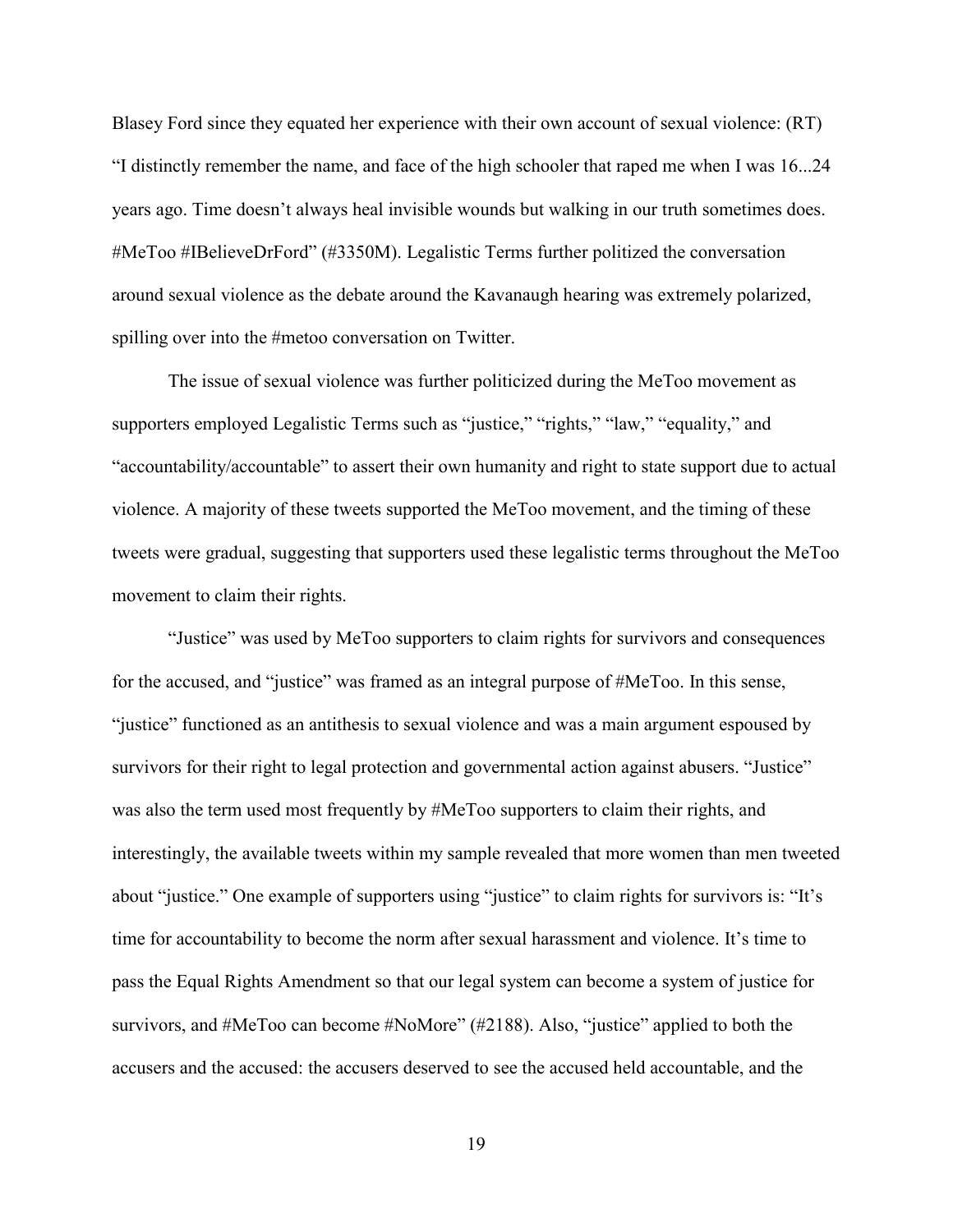Blasey Ford since they equated her experience with their own account of sexual violence: (RT) "I distinctly remember the name, and face of the high schooler that raped me when I was 16...24 years ago. Time doesn't always heal invisible wounds but walking in our truth sometimes does. #MeToo #IBelieveDrFord" (#3350M). Legalistic Terms further politized the conversation around sexual violence as the debate around the Kavanaugh hearing was extremely polarized, spilling over into the #metoo conversation on Twitter.

The issue of sexual violence was further politicized during the MeToo movement as supporters employed Legalistic Terms such as "justice," "rights," "law," "equality," and "accountability/accountable" to assert their own humanity and right to state support due to actual violence. A majority of these tweets supported the MeToo movement, and the timing of these tweets were gradual, suggesting that supporters used these legalistic terms throughout the MeToo movement to claim their rights.

"Justice" was used by MeToo supporters to claim rights for survivors and consequences for the accused, and "justice" was framed as an integral purpose of #MeToo. In this sense, "justice" functioned as an antithesis to sexual violence and was a main argument espoused by survivors for their right to legal protection and governmental action against abusers. "Justice" was also the term used most frequently by #MeToo supporters to claim their rights, and interestingly, the available tweets within my sample revealed that more women than men tweeted about "justice." One example of supporters using "justice" to claim rights for survivors is: "It's time for accountability to become the norm after sexual harassment and violence. It's time to pass the Equal Rights Amendment so that our legal system can become a system of justice for survivors, and #MeToo can become #NoMore" (#2188). Also, "justice" applied to both the accusers and the accused: the accusers deserved to see the accused held accountable, and the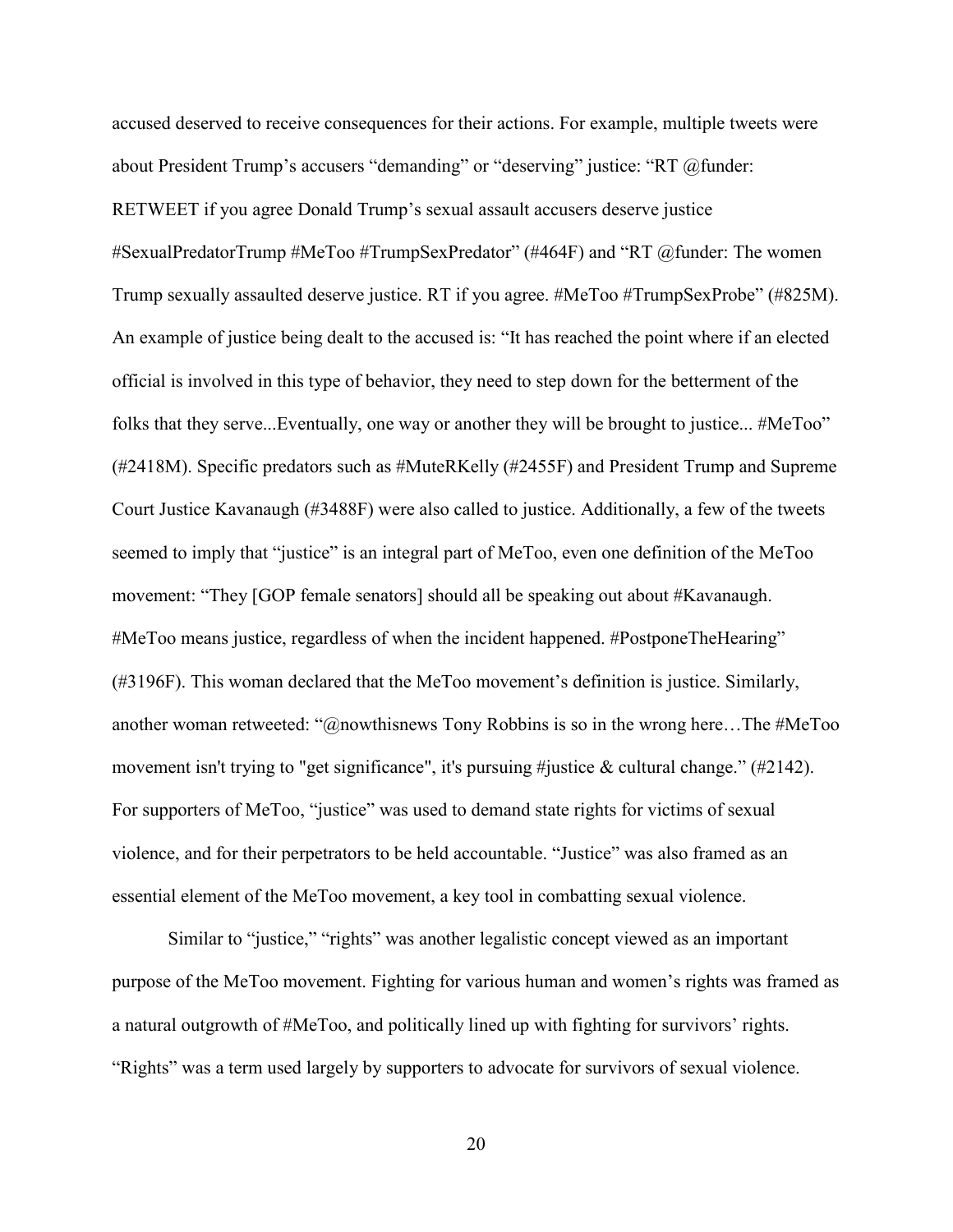accused deserved to receive consequences for their actions. For example, multiple tweets were about President Trump's accusers "demanding" or "deserving" justice: "RT @funder: RETWEET if you agree Donald Trump's sexual assault accusers deserve justice #SexualPredatorTrump #MeToo #TrumpSexPredator" (#464F) and "RT @funder: The women Trump sexually assaulted deserve justice. RT if you agree. #MeToo #TrumpSexProbe" (#825M). An example of justice being dealt to the accused is: "It has reached the point where if an elected official is involved in this type of behavior, they need to step down for the betterment of the folks that they serve...Eventually, one way or another they will be brought to justice... #MeToo" (#2418M). Specific predators such as #MuteRKelly (#2455F) and President Trump and Supreme Court Justice Kavanaugh (#3488F) were also called to justice. Additionally, a few of the tweets seemed to imply that "justice" is an integral part of MeToo, even one definition of the MeToo movement: "They [GOP female senators] should all be speaking out about #Kavanaugh. #MeToo means justice, regardless of when the incident happened. #PostponeTheHearing" (#3196F). This woman declared that the MeToo movement's definition is justice. Similarly, another woman retweeted: "@nowthisnews Tony Robbins is so in the wrong here…The #MeToo movement isn't trying to "get significance", it's pursuing #justice & cultural change."  $(\#2142)$ . For supporters of MeToo, "justice" was used to demand state rights for victims of sexual violence, and for their perpetrators to be held accountable. "Justice" was also framed as an essential element of the MeToo movement, a key tool in combatting sexual violence.

Similar to "justice," "rights" was another legalistic concept viewed as an important purpose of the MeToo movement. Fighting for various human and women's rights was framed as a natural outgrowth of #MeToo, and politically lined up with fighting for survivors' rights. "Rights" was a term used largely by supporters to advocate for survivors of sexual violence.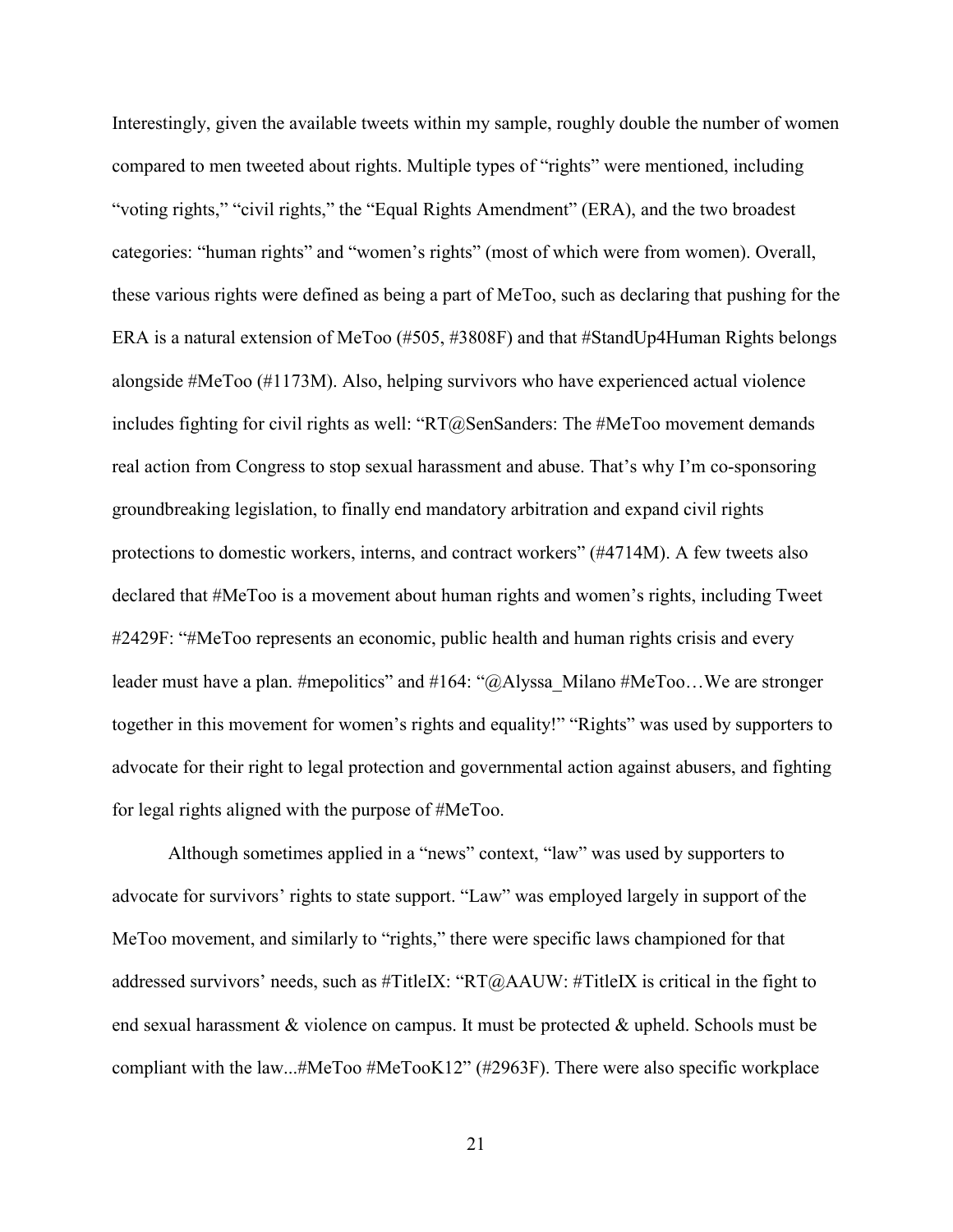Interestingly, given the available tweets within my sample, roughly double the number of women compared to men tweeted about rights. Multiple types of "rights" were mentioned, including "voting rights," "civil rights," the "Equal Rights Amendment" (ERA), and the two broadest categories: "human rights" and "women's rights" (most of which were from women). Overall, these various rights were defined as being a part of MeToo, such as declaring that pushing for the ERA is a natural extension of MeToo (#505, #3808F) and that #StandUp4Human Rights belongs alongside #MeToo (#1173M). Also, helping survivors who have experienced actual violence includes fighting for civil rights as well: "RT@SenSanders: The #MeToo movement demands real action from Congress to stop sexual harassment and abuse. That's why I'm co-sponsoring groundbreaking legislation, to finally end mandatory arbitration and expand civil rights protections to domestic workers, interns, and contract workers" (#4714M). A few tweets also declared that #MeToo is a movement about human rights and women's rights, including Tweet #2429F: "#MeToo represents an economic, public health and human rights crisis and every leader must have a plan. #mepolitics" and #164: "@Alyssa\_Milano #MeToo...We are stronger together in this movement for women's rights and equality!" "Rights" was used by supporters to advocate for their right to legal protection and governmental action against abusers, and fighting for legal rights aligned with the purpose of #MeToo.

Although sometimes applied in a "news" context, "law" was used by supporters to advocate for survivors' rights to state support. "Law" was employed largely in support of the MeToo movement, and similarly to "rights," there were specific laws championed for that addressed survivors' needs, such as #TitleIX: "RT@AAUW: #TitleIX is critical in the fight to end sexual harassment & violence on campus. It must be protected & upheld. Schools must be compliant with the law...#MeToo #MeTooK12" (#2963F). There were also specific workplace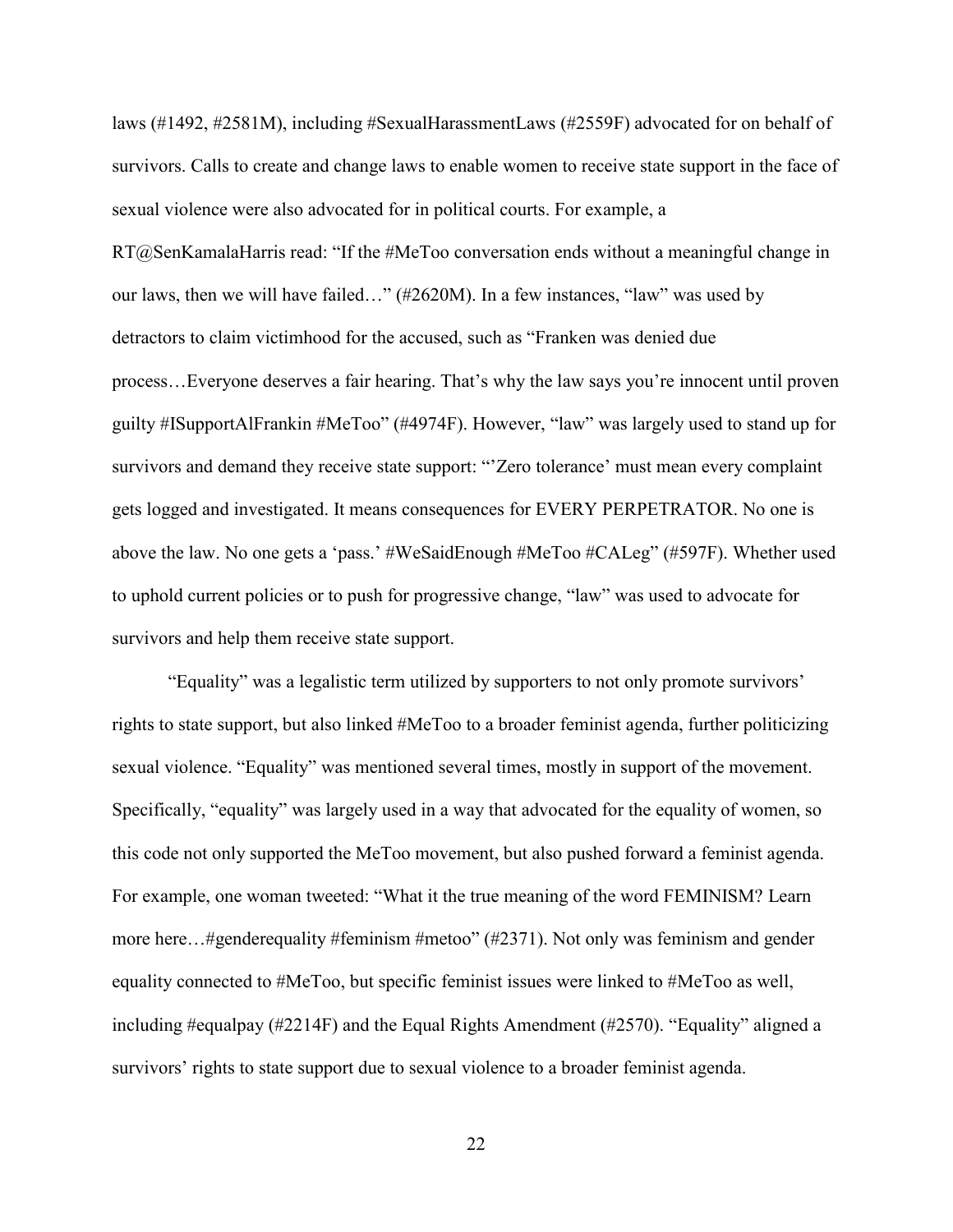laws (#1492, #2581M), including #SexualHarassmentLaws (#2559F) advocated for on behalf of survivors. Calls to create and change laws to enable women to receive state support in the face of sexual violence were also advocated for in political courts. For example, a RT@SenKamalaHarris read: "If the #MeToo conversation ends without a meaningful change in our laws, then we will have failed…" (#2620M). In a few instances, "law" was used by detractors to claim victimhood for the accused, such as "Franken was denied due process…Everyone deserves a fair hearing. That's why the law says you're innocent until proven guilty #ISupportAlFrankin #MeToo" (#4974F). However, "law" was largely used to stand up for survivors and demand they receive state support: "Zero tolerance' must mean every complaint gets logged and investigated. It means consequences for EVERY PERPETRATOR. No one is above the law. No one gets a 'pass.' #WeSaidEnough #MeToo #CALeg" (#597F). Whether used to uphold current policies or to push for progressive change, "law" was used to advocate for survivors and help them receive state support.

"Equality" was a legalistic term utilized by supporters to not only promote survivors' rights to state support, but also linked #MeToo to a broader feminist agenda, further politicizing sexual violence. "Equality" was mentioned several times, mostly in support of the movement. Specifically, "equality" was largely used in a way that advocated for the equality of women, so this code not only supported the MeToo movement, but also pushed forward a feminist agenda. For example, one woman tweeted: "What it the true meaning of the word FEMINISM? Learn more here...#genderequality #feminism #metoo" (#2371). Not only was feminism and gender equality connected to #MeToo, but specific feminist issues were linked to #MeToo as well, including #equalpay (#2214F) and the Equal Rights Amendment (#2570). "Equality" aligned a survivors' rights to state support due to sexual violence to a broader feminist agenda.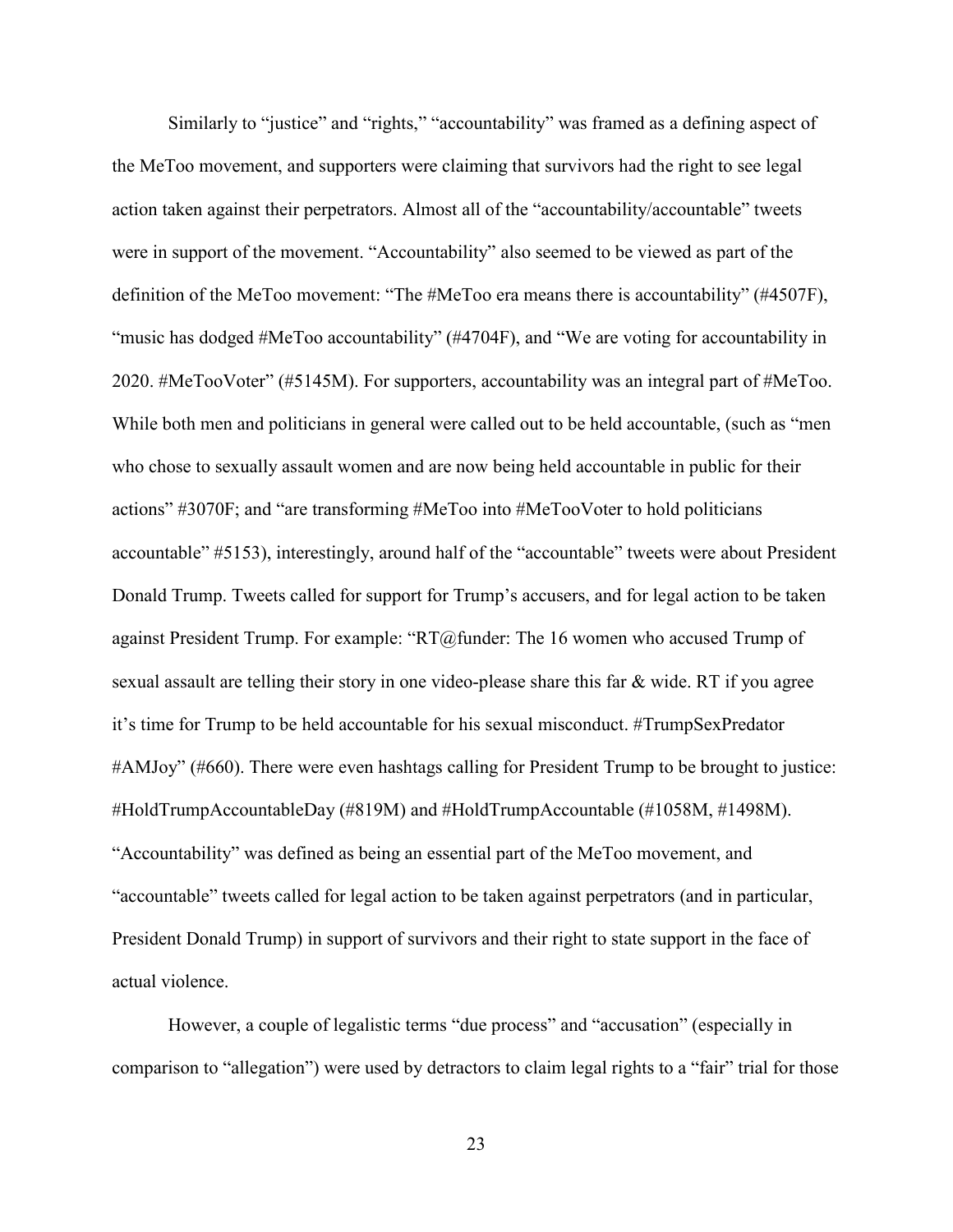Similarly to "justice" and "rights," "accountability" was framed as a defining aspect of the MeToo movement, and supporters were claiming that survivors had the right to see legal action taken against their perpetrators. Almost all of the "accountability/accountable" tweets were in support of the movement. "Accountability" also seemed to be viewed as part of the definition of the MeToo movement: "The #MeToo era means there is accountability" (#4507F), "music has dodged #MeToo accountability" (#4704F), and "We are voting for accountability in 2020. #MeTooVoter" (#5145M). For supporters, accountability was an integral part of #MeToo. While both men and politicians in general were called out to be held accountable, (such as "men who chose to sexually assault women and are now being held accountable in public for their actions" #3070F; and "are transforming #MeToo into #MeTooVoter to hold politicians accountable" #5153), interestingly, around half of the "accountable" tweets were about President Donald Trump. Tweets called for support for Trump's accusers, and for legal action to be taken against President Trump. For example: "RT@funder: The 16 women who accused Trump of sexual assault are telling their story in one video-please share this far & wide. RT if you agree it's time for Trump to be held accountable for his sexual misconduct. #TrumpSexPredator #AMJoy" (#660). There were even hashtags calling for President Trump to be brought to justice: #HoldTrumpAccountableDay (#819M) and #HoldTrumpAccountable (#1058M, #1498M). "Accountability" was defined as being an essential part of the MeToo movement, and "accountable" tweets called for legal action to be taken against perpetrators (and in particular, President Donald Trump) in support of survivors and their right to state support in the face of actual violence.

However, a couple of legalistic terms "due process" and "accusation" (especially in comparison to "allegation") were used by detractors to claim legal rights to a "fair" trial for those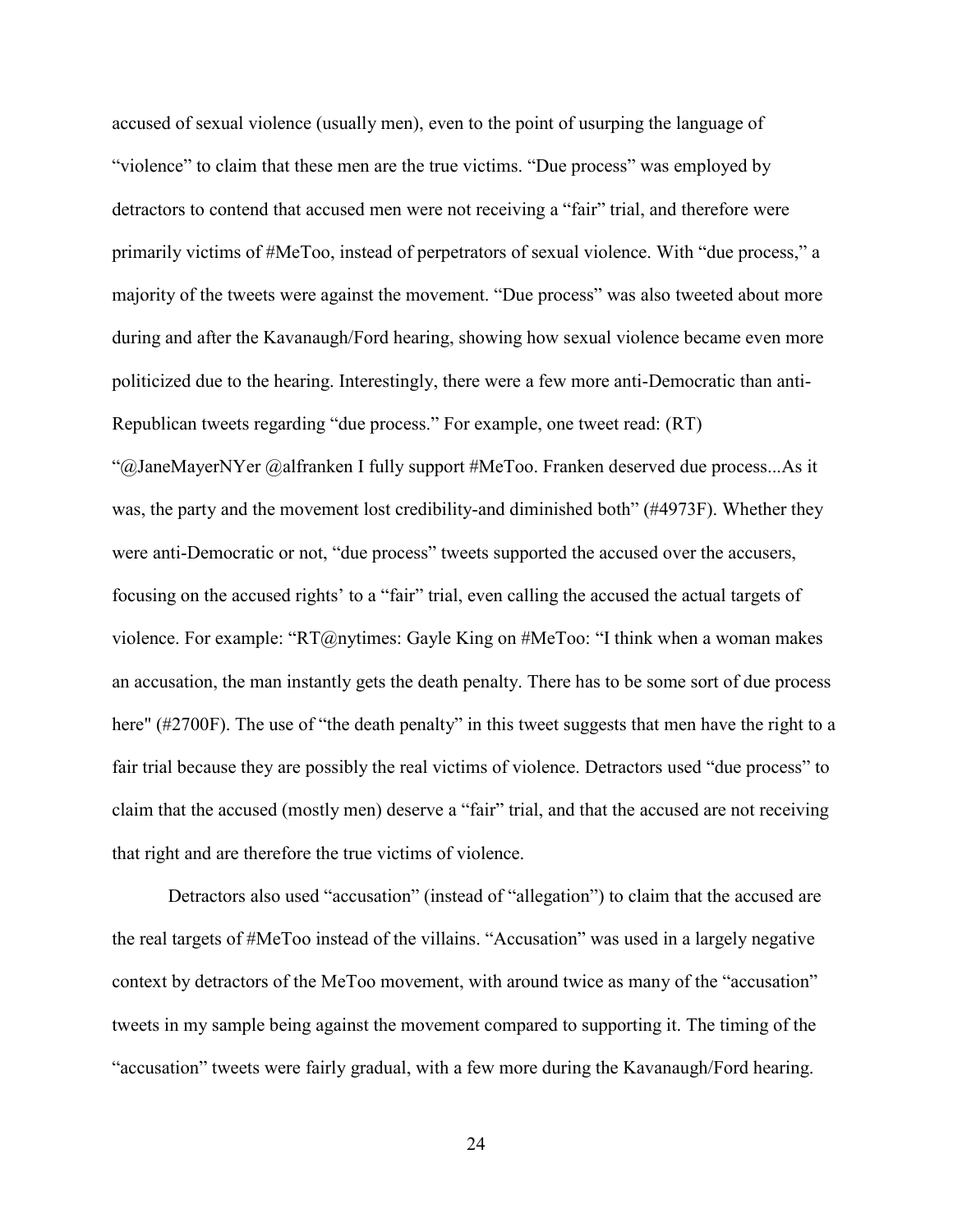accused of sexual violence (usually men), even to the point of usurping the language of "violence" to claim that these men are the true victims. "Due process" was employed by detractors to contend that accused men were not receiving a "fair" trial, and therefore were primarily victims of #MeToo, instead of perpetrators of sexual violence. With "due process," a majority of the tweets were against the movement. "Due process" was also tweeted about more during and after the Kavanaugh/Ford hearing, showing how sexual violence became even more politicized due to the hearing. Interestingly, there were a few more anti-Democratic than anti-Republican tweets regarding "due process." For example, one tweet read: (RT) "@JaneMayerNYer @alfranken I fully support #MeToo. Franken deserved due process...As it was, the party and the movement lost credibility-and diminished both" (#4973F). Whether they were anti-Democratic or not, "due process" tweets supported the accused over the accusers, focusing on the accused rights' to a "fair" trial, even calling the accused the actual targets of violence. For example: "RT@nytimes: Gayle King on #MeToo: "I think when a woman makes an accusation, the man instantly gets the death penalty. There has to be some sort of due process here" (#2700F). The use of "the death penalty" in this tweet suggests that men have the right to a fair trial because they are possibly the real victims of violence. Detractors used "due process" to claim that the accused (mostly men) deserve a "fair" trial, and that the accused are not receiving that right and are therefore the true victims of violence.

Detractors also used "accusation" (instead of "allegation") to claim that the accused are the real targets of #MeToo instead of the villains. "Accusation" was used in a largely negative context by detractors of the MeToo movement, with around twice as many of the "accusation" tweets in my sample being against the movement compared to supporting it. The timing of the "accusation" tweets were fairly gradual, with a few more during the Kavanaugh/Ford hearing.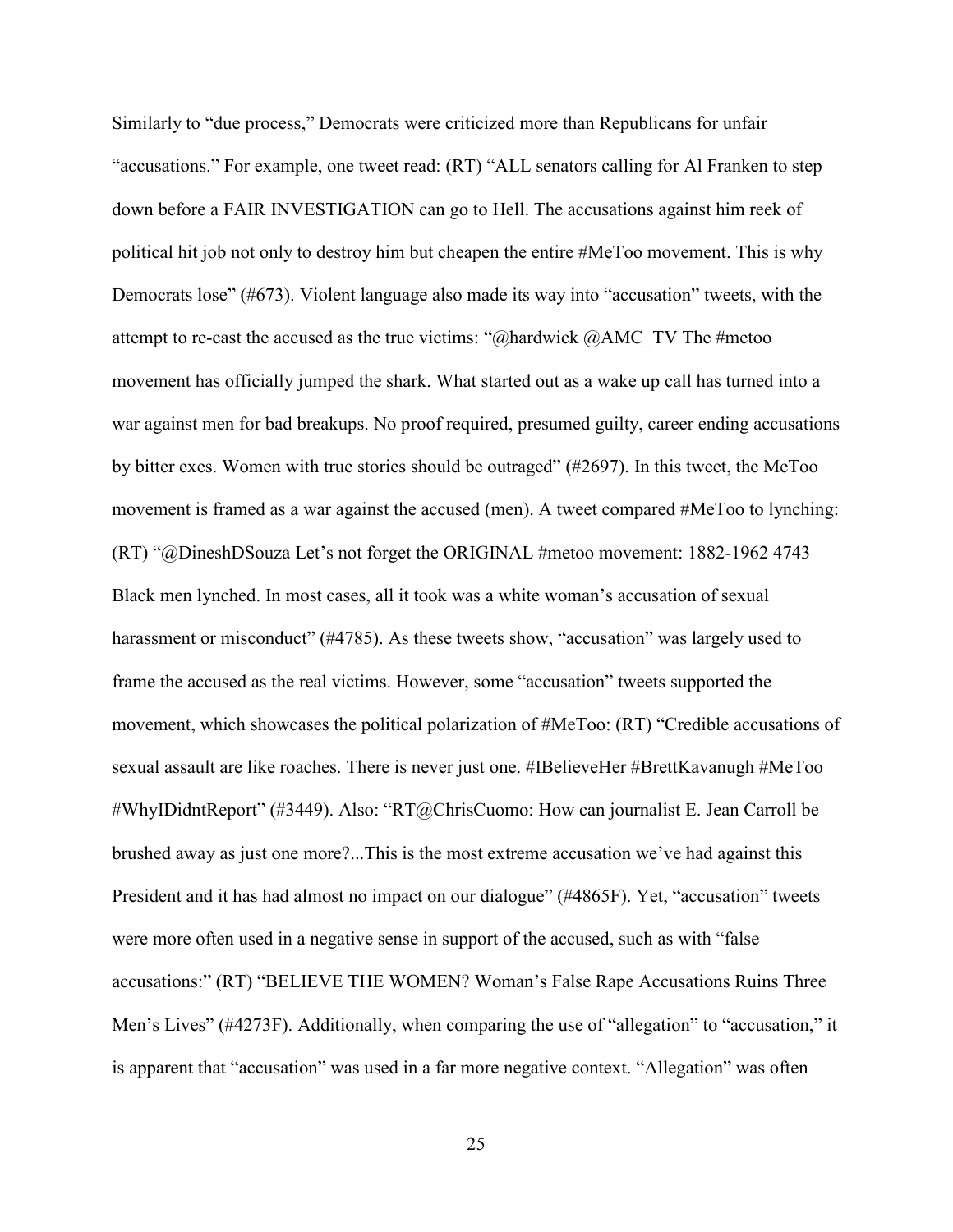Similarly to "due process," Democrats were criticized more than Republicans for unfair "accusations." For example, one tweet read: (RT) "ALL senators calling for Al Franken to step down before a FAIR INVESTIGATION can go to Hell. The accusations against him reek of political hit job not only to destroy him but cheapen the entire #MeToo movement. This is why Democrats lose" (#673). Violent language also made its way into "accusation" tweets, with the attempt to re-cast the accused as the true victims: " $@$ hardwick  $@$ AMC TV The #metoo movement has officially jumped the shark. What started out as a wake up call has turned into a war against men for bad breakups. No proof required, presumed guilty, career ending accusations by bitter exes. Women with true stories should be outraged" (#2697). In this tweet, the MeToo movement is framed as a war against the accused (men). A tweet compared #MeToo to lynching: (RT) "@DineshDSouza Let's not forget the ORIGINAL #metoo movement: 1882-1962 4743 Black men lynched. In most cases, all it took was a white woman's accusation of sexual harassment or misconduct" (#4785). As these tweets show, "accusation" was largely used to frame the accused as the real victims. However, some "accusation" tweets supported the movement, which showcases the political polarization of #MeToo: (RT) "Credible accusations of sexual assault are like roaches. There is never just one. #IBelieveHer #BrettKavanugh #MeToo #WhyIDidntReport" (#3449). Also: "RT@ChrisCuomo: How can journalist E. Jean Carroll be brushed away as just one more?...This is the most extreme accusation we've had against this President and it has had almost no impact on our dialogue" (#4865F). Yet, "accusation" tweets were more often used in a negative sense in support of the accused, such as with "false accusations:" (RT) "BELIEVE THE WOMEN? Woman's False Rape Accusations Ruins Three Men's Lives" (#4273F). Additionally, when comparing the use of "allegation" to "accusation," it is apparent that "accusation" was used in a far more negative context. "Allegation" was often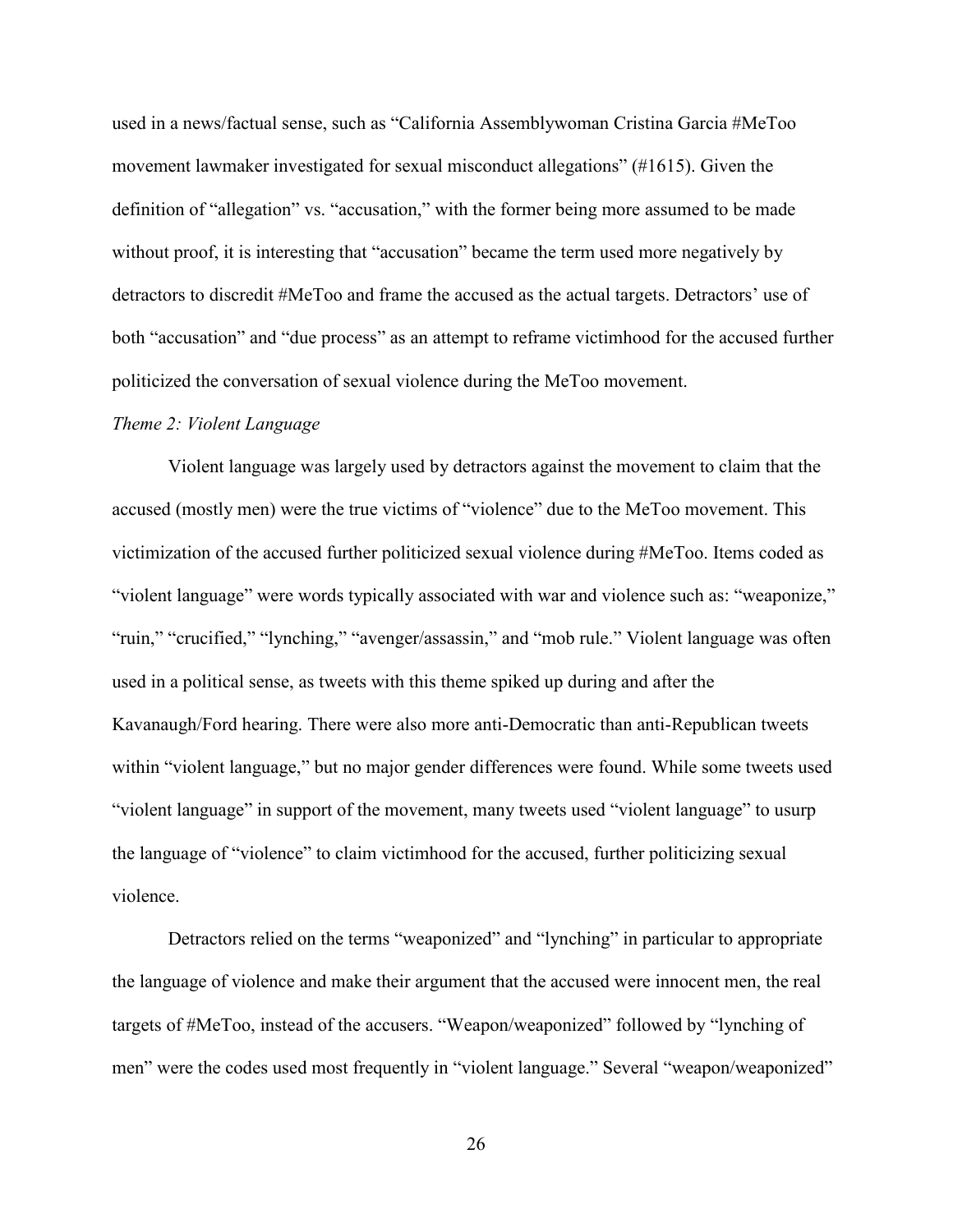used in a news/factual sense, such as "California Assemblywoman Cristina Garcia #MeToo movement lawmaker investigated for sexual misconduct allegations" (#1615). Given the definition of "allegation" vs. "accusation," with the former being more assumed to be made without proof, it is interesting that "accusation" became the term used more negatively by detractors to discredit #MeToo and frame the accused as the actual targets. Detractors' use of both "accusation" and "due process" as an attempt to reframe victimhood for the accused further politicized the conversation of sexual violence during the MeToo movement.

#### <span id="page-31-0"></span>*Theme 2: Violent Language*

Violent language was largely used by detractors against the movement to claim that the accused (mostly men) were the true victims of "violence" due to the MeToo movement. This victimization of the accused further politicized sexual violence during #MeToo. Items coded as "violent language" were words typically associated with war and violence such as: "weaponize," "ruin," "crucified," "lynching," "avenger/assassin," and "mob rule." Violent language was often used in a political sense, as tweets with this theme spiked up during and after the Kavanaugh/Ford hearing. There were also more anti-Democratic than anti-Republican tweets within "violent language," but no major gender differences were found. While some tweets used "violent language" in support of the movement, many tweets used "violent language" to usurp the language of "violence" to claim victimhood for the accused, further politicizing sexual violence.

Detractors relied on the terms "weaponized" and "lynching" in particular to appropriate the language of violence and make their argument that the accused were innocent men, the real targets of #MeToo, instead of the accusers. "Weapon/weaponized" followed by "lynching of men" were the codes used most frequently in "violent language." Several "weapon/weaponized"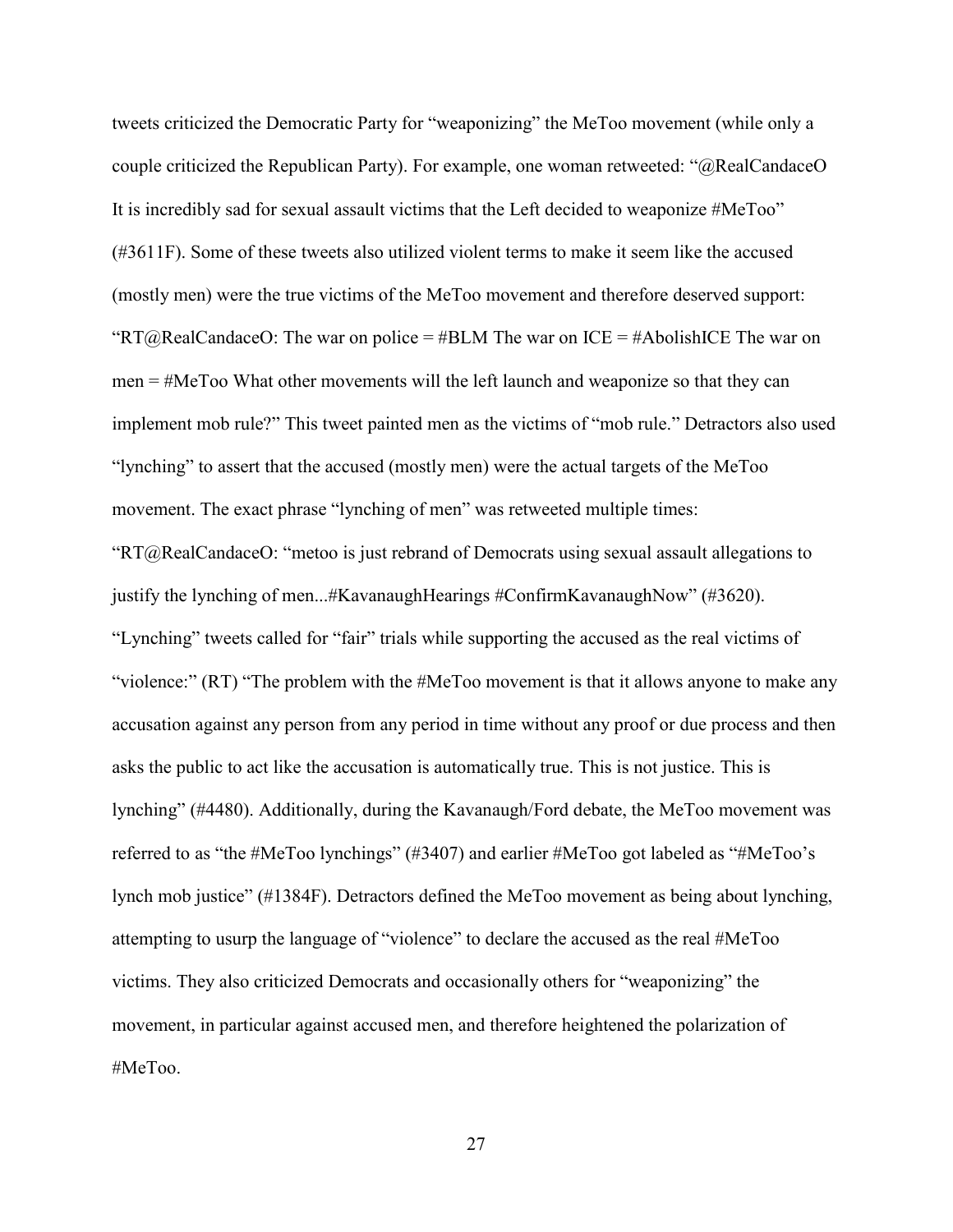tweets criticized the Democratic Party for "weaponizing" the MeToo movement (while only a couple criticized the Republican Party). For example, one woman retweeted: "@RealCandaceO It is incredibly sad for sexual assault victims that the Left decided to weaponize #MeToo" (#3611F). Some of these tweets also utilized violent terms to make it seem like the accused (mostly men) were the true victims of the MeToo movement and therefore deserved support: "RT@RealCandaceO: The war on police = #BLM The war on ICE = #AbolishICE The war on men = #MeToo What other movements will the left launch and weaponize so that they can implement mob rule?" This tweet painted men as the victims of "mob rule." Detractors also used "lynching" to assert that the accused (mostly men) were the actual targets of the MeToo movement. The exact phrase "lynching of men" was retweeted multiple times: "RT@RealCandaceO: "metoo is just rebrand of Democrats using sexual assault allegations to justify the lynching of men...#KavanaughHearings #ConfirmKavanaughNow" (#3620). "Lynching" tweets called for "fair" trials while supporting the accused as the real victims of "violence:" (RT) "The problem with the #MeToo movement is that it allows anyone to make any accusation against any person from any period in time without any proof or due process and then asks the public to act like the accusation is automatically true. This is not justice. This is lynching" (#4480). Additionally, during the Kavanaugh/Ford debate, the MeToo movement was referred to as "the #MeToo lynchings" (#3407) and earlier #MeToo got labeled as "#MeToo's lynch mob justice" (#1384F). Detractors defined the MeToo movement as being about lynching, attempting to usurp the language of "violence" to declare the accused as the real #MeToo victims. They also criticized Democrats and occasionally others for "weaponizing" the movement, in particular against accused men, and therefore heightened the polarization of #MeToo.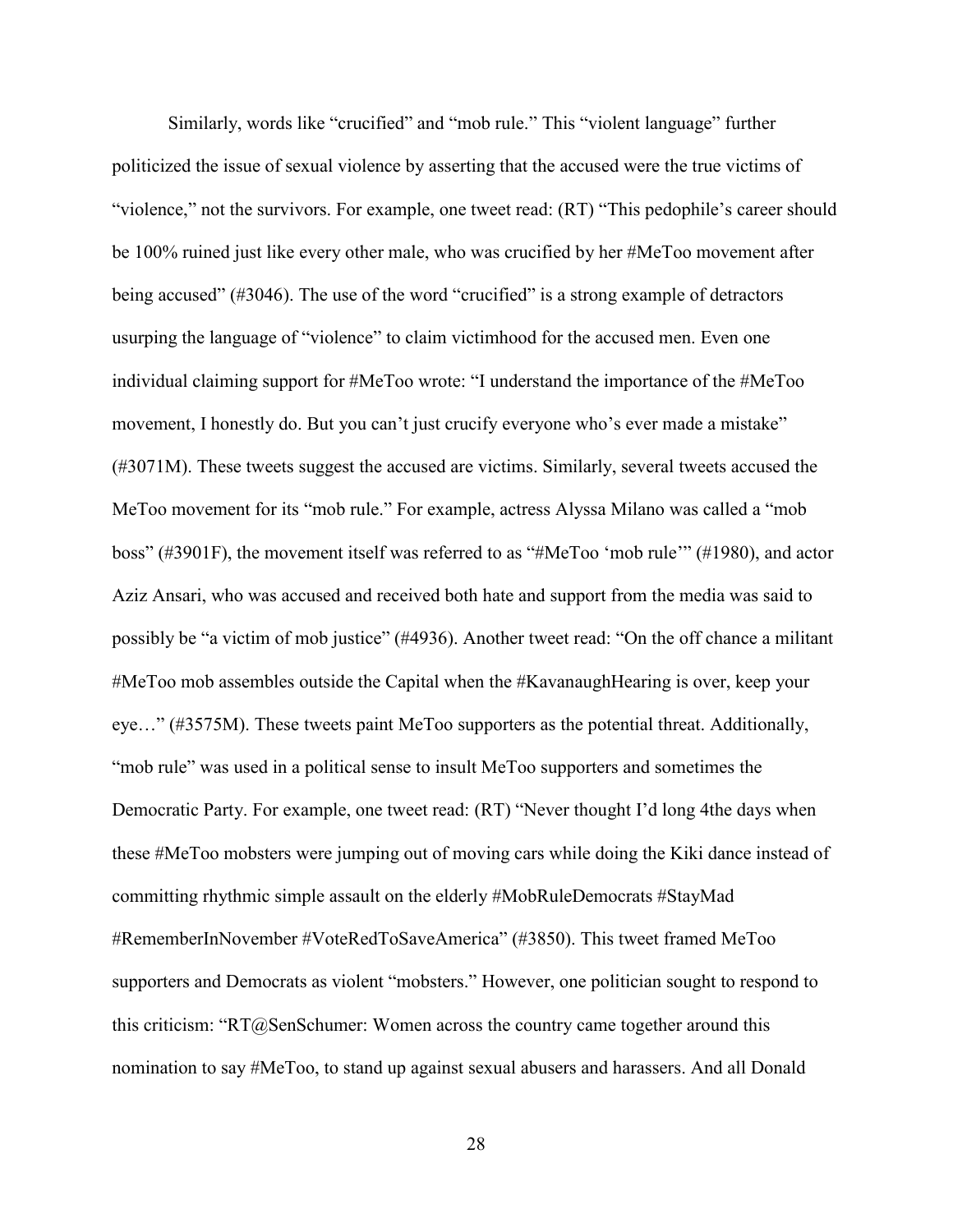Similarly, words like "crucified" and "mob rule." This "violent language" further politicized the issue of sexual violence by asserting that the accused were the true victims of "violence," not the survivors. For example, one tweet read: (RT) "This pedophile's career should be 100% ruined just like every other male, who was crucified by her #MeToo movement after being accused" (#3046). The use of the word "crucified" is a strong example of detractors usurping the language of "violence" to claim victimhood for the accused men. Even one individual claiming support for #MeToo wrote: "I understand the importance of the #MeToo movement, I honestly do. But you can't just crucify everyone who's ever made a mistake" (#3071M). These tweets suggest the accused are victims. Similarly, several tweets accused the MeToo movement for its "mob rule." For example, actress Alyssa Milano was called a "mob boss" (#3901F), the movement itself was referred to as "#MeToo 'mob rule'" (#1980), and actor Aziz Ansari, who was accused and received both hate and support from the media was said to possibly be "a victim of mob justice" (#4936). Another tweet read: "On the off chance a militant #MeToo mob assembles outside the Capital when the #KavanaughHearing is over, keep your eye…" (#3575M). These tweets paint MeToo supporters as the potential threat. Additionally, "mob rule" was used in a political sense to insult MeToo supporters and sometimes the Democratic Party. For example, one tweet read: (RT) "Never thought I'd long 4the days when these #MeToo mobsters were jumping out of moving cars while doing the Kiki dance instead of committing rhythmic simple assault on the elderly #MobRuleDemocrats #StayMad #RememberInNovember #VoteRedToSaveAmerica" (#3850). This tweet framed MeToo supporters and Democrats as violent "mobsters." However, one politician sought to respond to this criticism: "RT@SenSchumer: Women across the country came together around this nomination to say #MeToo, to stand up against sexual abusers and harassers. And all Donald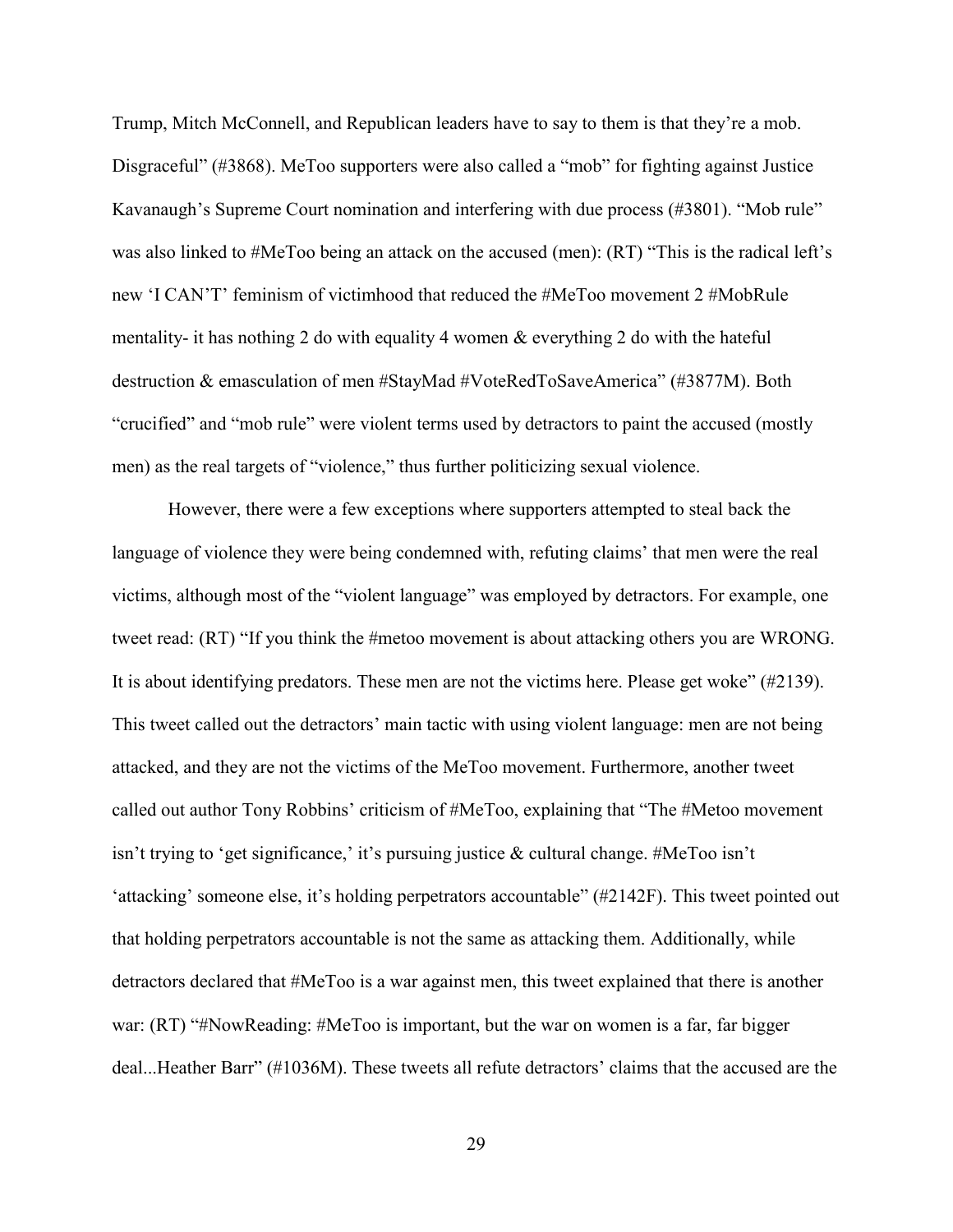Trump, Mitch McConnell, and Republican leaders have to say to them is that they're a mob. Disgraceful" (#3868). MeToo supporters were also called a "mob" for fighting against Justice Kavanaugh's Supreme Court nomination and interfering with due process (#3801). "Mob rule" was also linked to #MeToo being an attack on the accused (men): (RT) "This is the radical left's new 'I CAN'T' feminism of victimhood that reduced the #MeToo movement 2 #MobRule mentality- it has nothing 2 do with equality 4 women & everything 2 do with the hateful destruction & emasculation of men #StayMad #VoteRedToSaveAmerica" (#3877M). Both "crucified" and "mob rule" were violent terms used by detractors to paint the accused (mostly men) as the real targets of "violence," thus further politicizing sexual violence.

However, there were a few exceptions where supporters attempted to steal back the language of violence they were being condemned with, refuting claims' that men were the real victims, although most of the "violent language" was employed by detractors. For example, one tweet read: (RT) "If you think the #metoo movement is about attacking others you are WRONG. It is about identifying predators. These men are not the victims here. Please get woke" (#2139). This tweet called out the detractors' main tactic with using violent language: men are not being attacked, and they are not the victims of the MeToo movement. Furthermore, another tweet called out author Tony Robbins' criticism of #MeToo, explaining that "The #Metoo movement isn't trying to 'get significance,' it's pursuing justice & cultural change. #MeToo isn't 'attacking' someone else, it's holding perpetrators accountable" (#2142F). This tweet pointed out that holding perpetrators accountable is not the same as attacking them. Additionally, while detractors declared that #MeToo is a war against men, this tweet explained that there is another war: (RT) "#NowReading: #MeToo is important, but the war on women is a far, far bigger deal...Heather Barr" (#1036M). These tweets all refute detractors' claims that the accused are the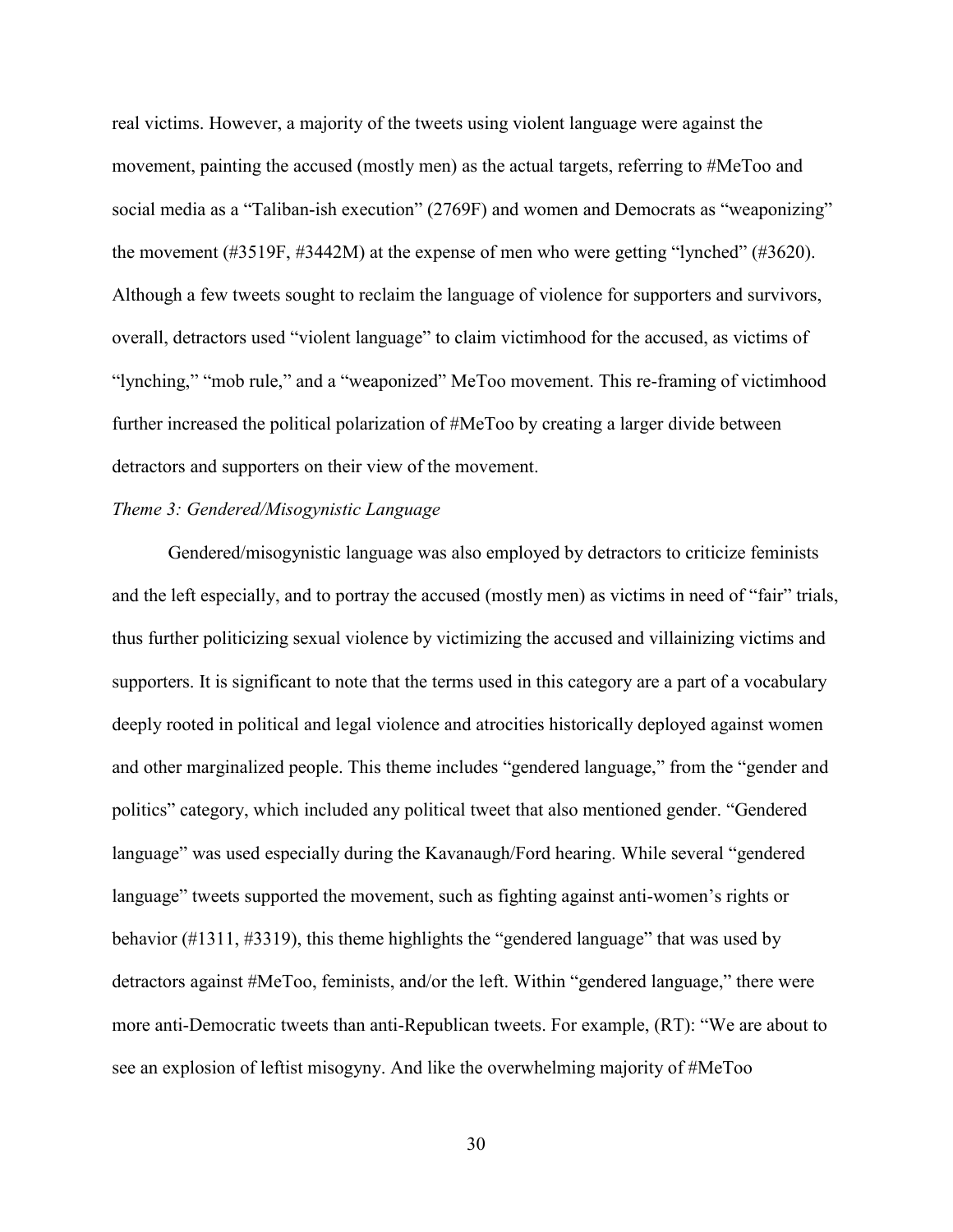real victims. However, a majority of the tweets using violent language were against the movement, painting the accused (mostly men) as the actual targets, referring to #MeToo and social media as a "Taliban-ish execution" (2769F) and women and Democrats as "weaponizing" the movement (#3519F, #3442M) at the expense of men who were getting "lynched" (#3620). Although a few tweets sought to reclaim the language of violence for supporters and survivors, overall, detractors used "violent language" to claim victimhood for the accused, as victims of "lynching," "mob rule," and a "weaponized" MeToo movement. This re-framing of victimhood further increased the political polarization of #MeToo by creating a larger divide between detractors and supporters on their view of the movement.

# <span id="page-35-0"></span>*Theme 3: Gendered/Misogynistic Language*

Gendered/misogynistic language was also employed by detractors to criticize feminists and the left especially, and to portray the accused (mostly men) as victims in need of "fair" trials, thus further politicizing sexual violence by victimizing the accused and villainizing victims and supporters. It is significant to note that the terms used in this category are a part of a vocabulary deeply rooted in political and legal violence and atrocities historically deployed against women and other marginalized people. This theme includes "gendered language," from the "gender and politics" category, which included any political tweet that also mentioned gender. "Gendered language" was used especially during the Kavanaugh/Ford hearing. While several "gendered language" tweets supported the movement, such as fighting against anti-women's rights or behavior (#1311, #3319), this theme highlights the "gendered language" that was used by detractors against #MeToo, feminists, and/or the left. Within "gendered language," there were more anti-Democratic tweets than anti-Republican tweets. For example, (RT): "We are about to see an explosion of leftist misogyny. And like the overwhelming majority of #MeToo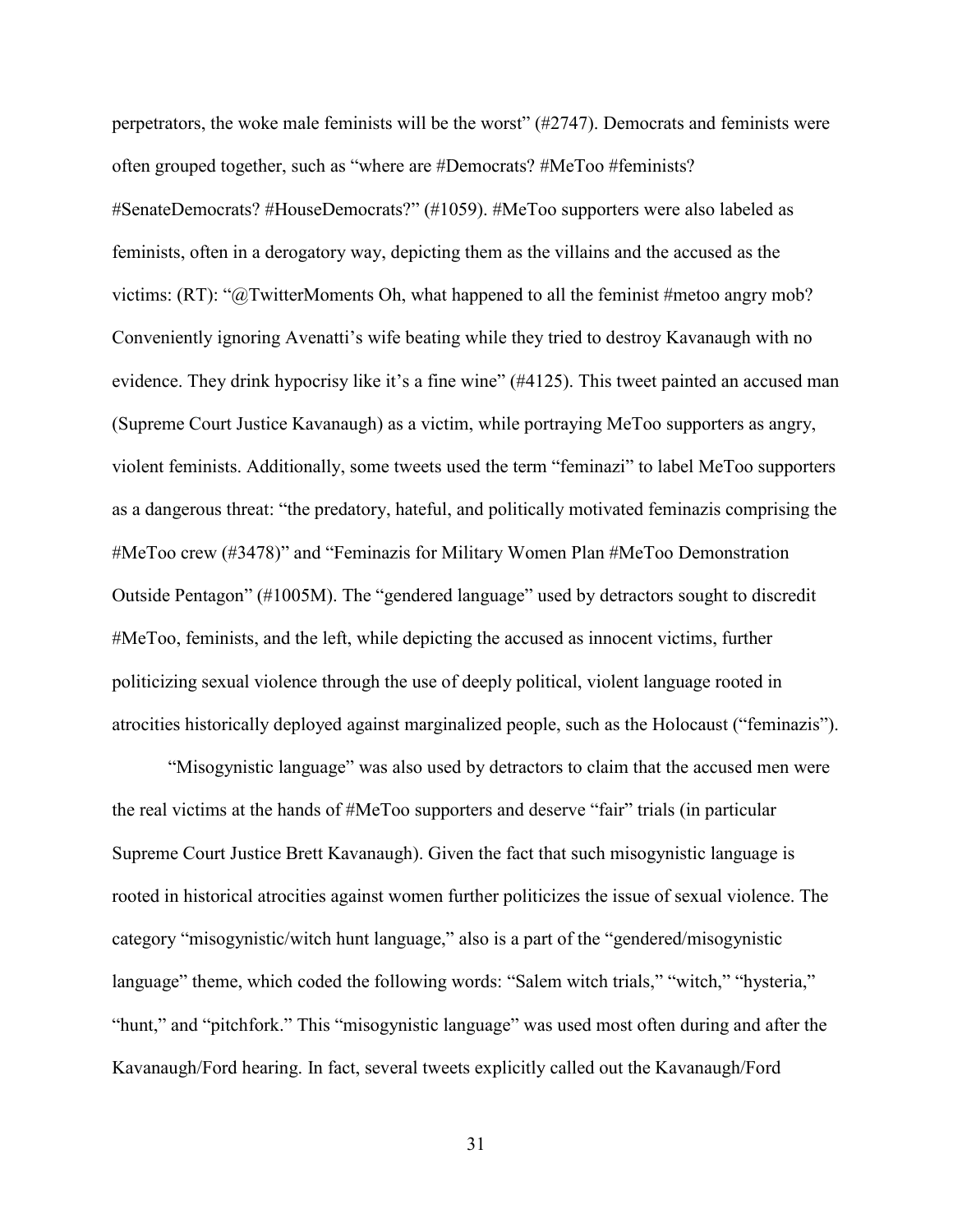perpetrators, the woke male feminists will be the worst" (#2747). Democrats and feminists were often grouped together, such as "where are #Democrats? #MeToo #feminists? #SenateDemocrats? #HouseDemocrats?" (#1059). #MeToo supporters were also labeled as feminists, often in a derogatory way, depicting them as the villains and the accused as the victims: (RT): "@TwitterMoments Oh, what happened to all the feminist #metoo angry mob? Conveniently ignoring Avenatti's wife beating while they tried to destroy Kavanaugh with no evidence. They drink hypocrisy like it's a fine wine" (#4125). This tweet painted an accused man (Supreme Court Justice Kavanaugh) as a victim, while portraying MeToo supporters as angry, violent feminists. Additionally, some tweets used the term "feminazi" to label MeToo supporters as a dangerous threat: "the predatory, hateful, and politically motivated feminazis comprising the #MeToo crew (#3478)" and "Feminazis for Military Women Plan #MeToo Demonstration Outside Pentagon" (#1005M). The "gendered language" used by detractors sought to discredit #MeToo, feminists, and the left, while depicting the accused as innocent victims, further politicizing sexual violence through the use of deeply political, violent language rooted in atrocities historically deployed against marginalized people, such as the Holocaust ("feminazis").

"Misogynistic language" was also used by detractors to claim that the accused men were the real victims at the hands of #MeToo supporters and deserve "fair" trials (in particular Supreme Court Justice Brett Kavanaugh). Given the fact that such misogynistic language is rooted in historical atrocities against women further politicizes the issue of sexual violence. The category "misogynistic/witch hunt language," also is a part of the "gendered/misogynistic language" theme, which coded the following words: "Salem witch trials," "witch," "hysteria," "hunt," and "pitchfork." This "misogynistic language" was used most often during and after the Kavanaugh/Ford hearing. In fact, several tweets explicitly called out the Kavanaugh/Ford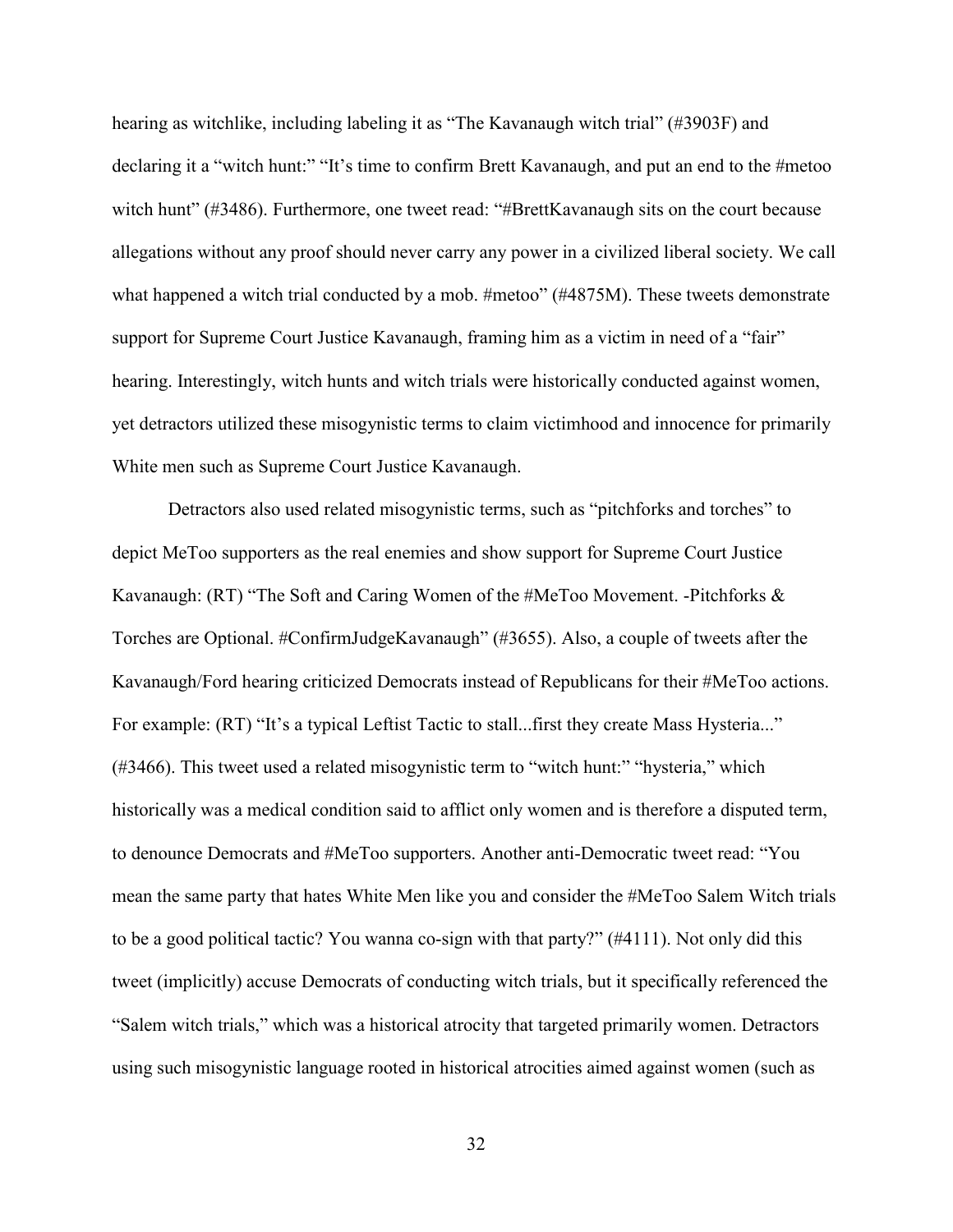hearing as witchlike, including labeling it as "The Kavanaugh witch trial" (#3903F) and declaring it a "witch hunt:" "It's time to confirm Brett Kavanaugh, and put an end to the #metoo witch hunt" (#3486). Furthermore, one tweet read: "#BrettKavanaugh sits on the court because allegations without any proof should never carry any power in a civilized liberal society. We call what happened a witch trial conducted by a mob. #metoo" (#4875M). These tweets demonstrate support for Supreme Court Justice Kavanaugh, framing him as a victim in need of a "fair" hearing. Interestingly, witch hunts and witch trials were historically conducted against women, yet detractors utilized these misogynistic terms to claim victimhood and innocence for primarily White men such as Supreme Court Justice Kavanaugh.

Detractors also used related misogynistic terms, such as "pitchforks and torches" to depict MeToo supporters as the real enemies and show support for Supreme Court Justice Kavanaugh: (RT) "The Soft and Caring Women of the #MeToo Movement. -Pitchforks & Torches are Optional. #ConfirmJudgeKavanaugh" (#3655). Also, a couple of tweets after the Kavanaugh/Ford hearing criticized Democrats instead of Republicans for their #MeToo actions. For example: (RT) "It's a typical Leftist Tactic to stall...first they create Mass Hysteria..." (#3466). This tweet used a related misogynistic term to "witch hunt:" "hysteria," which historically was a medical condition said to afflict only women and is therefore a disputed term, to denounce Democrats and #MeToo supporters. Another anti-Democratic tweet read: "You mean the same party that hates White Men like you and consider the #MeToo Salem Witch trials to be a good political tactic? You wanna co-sign with that party?" (#4111). Not only did this tweet (implicitly) accuse Democrats of conducting witch trials, but it specifically referenced the "Salem witch trials," which was a historical atrocity that targeted primarily women. Detractors using such misogynistic language rooted in historical atrocities aimed against women (such as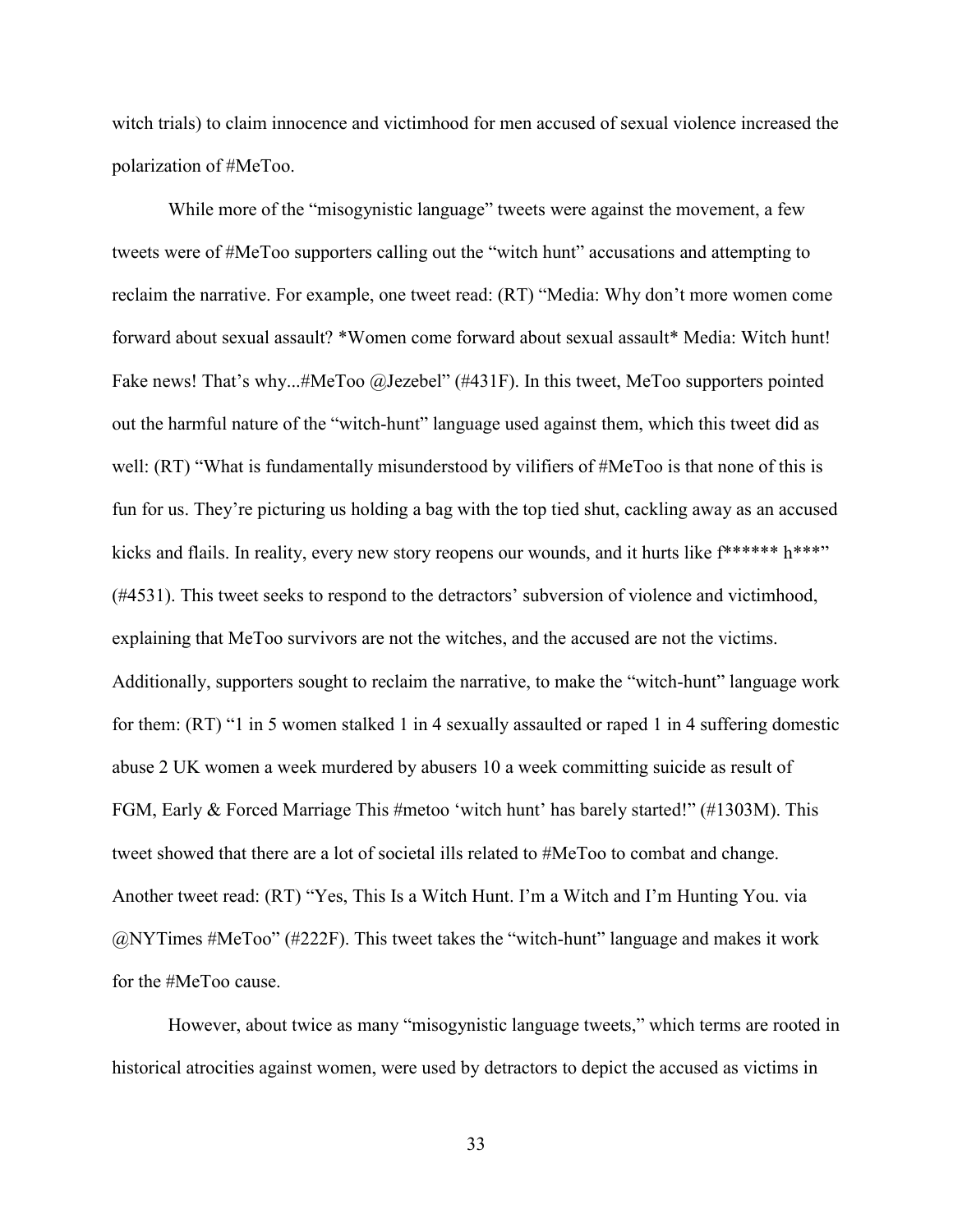witch trials) to claim innocence and victimhood for men accused of sexual violence increased the polarization of #MeToo.

While more of the "misogynistic language" tweets were against the movement, a few tweets were of #MeToo supporters calling out the "witch hunt" accusations and attempting to reclaim the narrative. For example, one tweet read: (RT) "Media: Why don't more women come forward about sexual assault? \*Women come forward about sexual assault\* Media: Witch hunt! Fake news! That's why...#MeToo @Jezebel" (#431F). In this tweet, MeToo supporters pointed out the harmful nature of the "witch-hunt" language used against them, which this tweet did as well: (RT) "What is fundamentally misunderstood by vilifiers of #MeToo is that none of this is fun for us. They're picturing us holding a bag with the top tied shut, cackling away as an accused kicks and flails. In reality, every new story reopens our wounds, and it hurts like  $f^{*****}$  h<sup>\*\*\*</sup>" (#4531). This tweet seeks to respond to the detractors' subversion of violence and victimhood, explaining that MeToo survivors are not the witches, and the accused are not the victims. Additionally, supporters sought to reclaim the narrative, to make the "witch-hunt" language work for them: (RT) "1 in 5 women stalked 1 in 4 sexually assaulted or raped 1 in 4 suffering domestic abuse 2 UK women a week murdered by abusers 10 a week committing suicide as result of FGM, Early & Forced Marriage This #metoo 'witch hunt' has barely started!" (#1303M). This tweet showed that there are a lot of societal ills related to #MeToo to combat and change. Another tweet read: (RT) "Yes, This Is a Witch Hunt. I'm a Witch and I'm Hunting You. via @NYTimes #MeToo" (#222F). This tweet takes the "witch-hunt" language and makes it work for the #MeToo cause.

However, about twice as many "misogynistic language tweets," which terms are rooted in historical atrocities against women, were used by detractors to depict the accused as victims in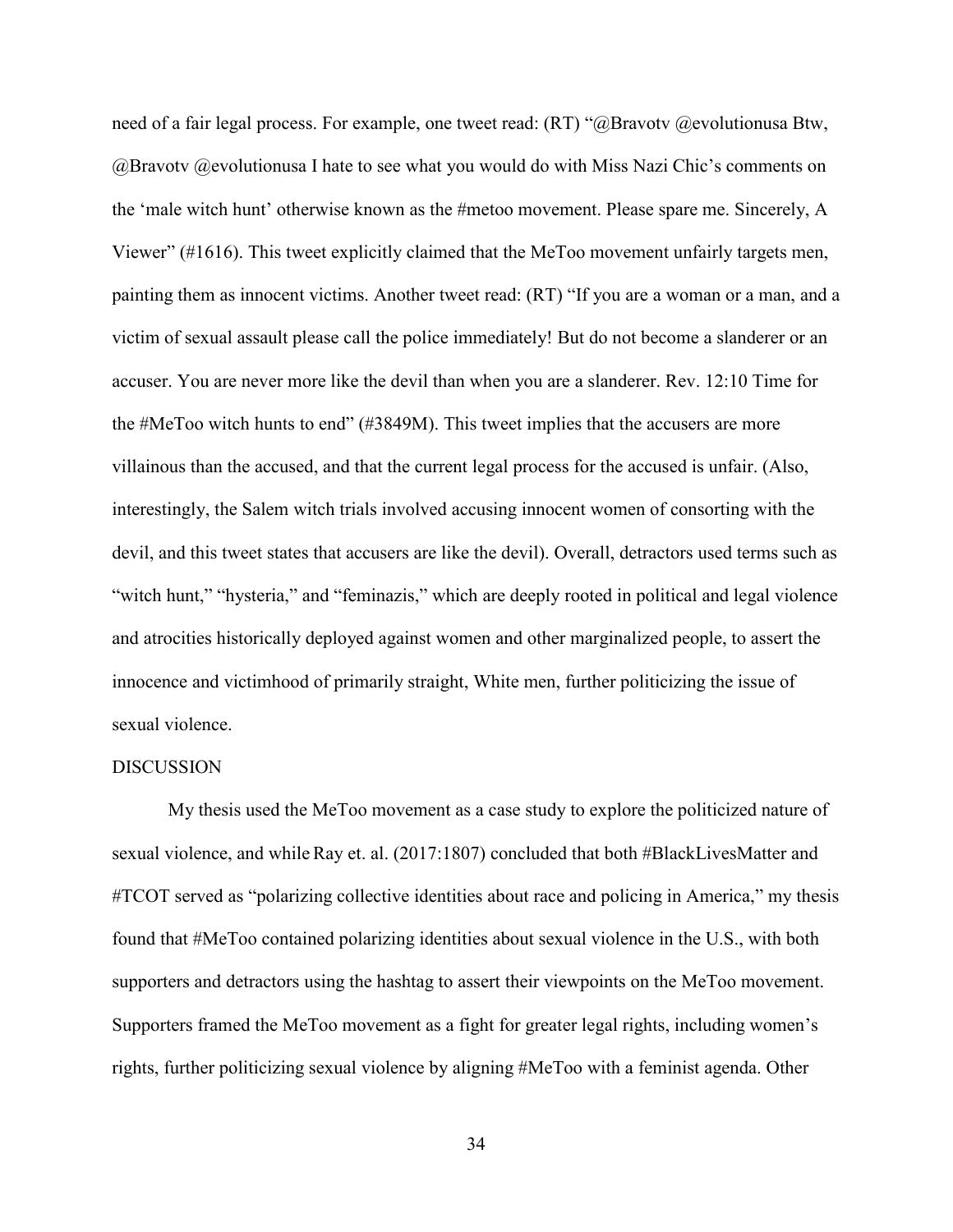need of a fair legal process. For example, one tweet read: (RT) "@Bravotv @evolutionusa Btw, @Bravotv @evolutionusa I hate to see what you would do with Miss Nazi Chic's comments on the 'male witch hunt' otherwise known as the #metoo movement. Please spare me. Sincerely, A Viewer" (#1616). This tweet explicitly claimed that the MeToo movement unfairly targets men, painting them as innocent victims. Another tweet read: (RT) "If you are a woman or a man, and a victim of sexual assault please call the police immediately! But do not become a slanderer or an accuser. You are never more like the devil than when you are a slanderer. Rev. 12:10 Time for the #MeToo witch hunts to end" (#3849M). This tweet implies that the accusers are more villainous than the accused, and that the current legal process for the accused is unfair. (Also, interestingly, the Salem witch trials involved accusing innocent women of consorting with the devil, and this tweet states that accusers are like the devil). Overall, detractors used terms such as "witch hunt," "hysteria," and "feminazis," which are deeply rooted in political and legal violence and atrocities historically deployed against women and other marginalized people, to assert the innocence and victimhood of primarily straight, White men, further politicizing the issue of sexual violence.

#### <span id="page-39-0"></span>**DISCUSSION**

My thesis used the MeToo movement as a case study to explore the politicized nature of sexual violence, and whileRay et. al. (2017:1807) concluded that both #BlackLivesMatter and #TCOT served as "polarizing collective identities about race and policing in America," my thesis found that #MeToo contained polarizing identities about sexual violence in the U.S., with both supporters and detractors using the hashtag to assert their viewpoints on the MeToo movement. Supporters framed the MeToo movement as a fight for greater legal rights, including women's rights, further politicizing sexual violence by aligning #MeToo with a feminist agenda. Other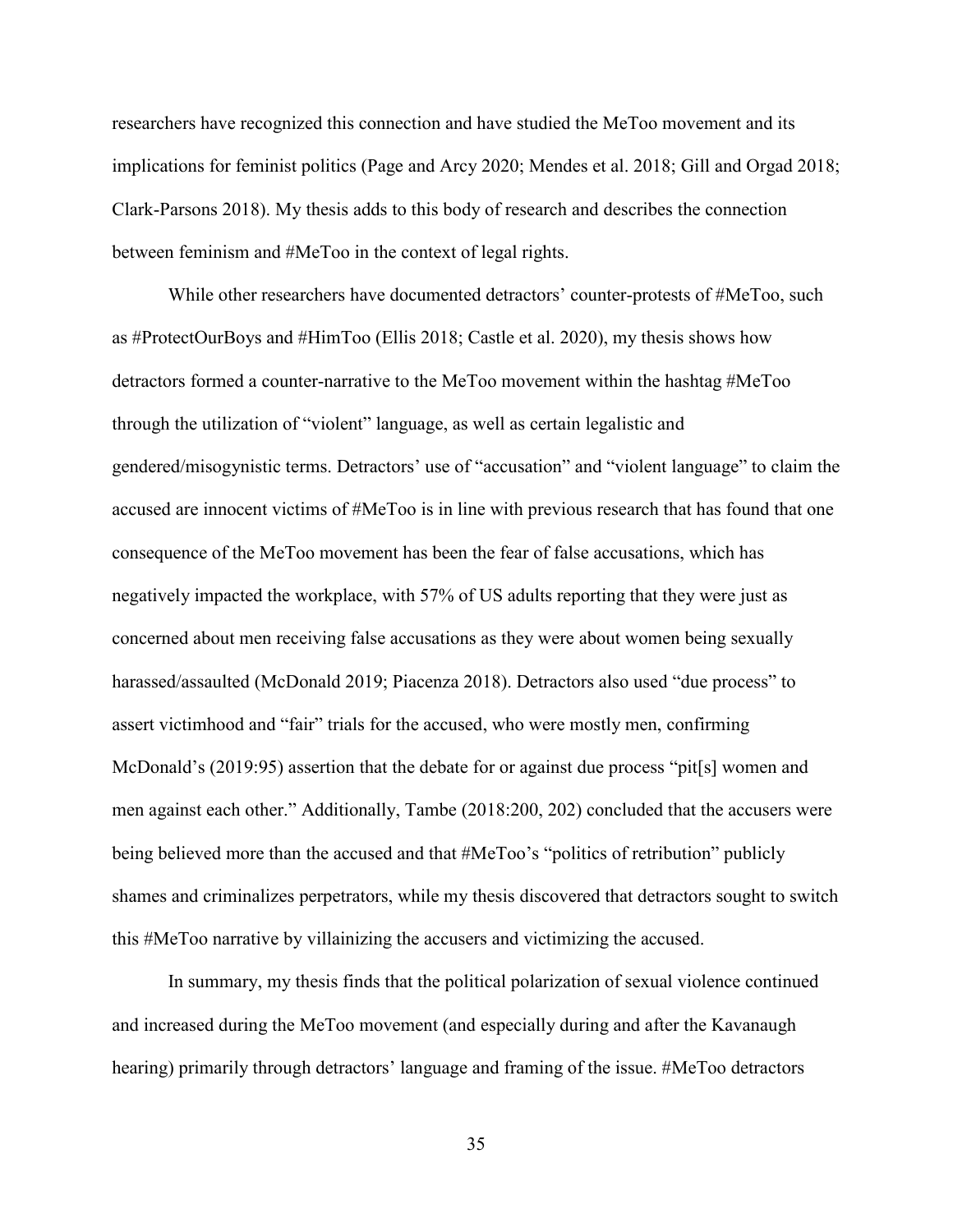researchers have recognized this connection and have studied the MeToo movement and its implications for feminist politics (Page and Arcy 2020; Mendes et al. 2018; Gill and Orgad 2018; Clark-Parsons 2018). My thesis adds to this body of research and describes the connection between feminism and #MeToo in the context of legal rights.

While other researchers have documented detractors' counter-protests of #MeToo, such as #ProtectOurBoys and #HimToo (Ellis 2018; Castle et al. 2020), my thesis shows how detractors formed a counter-narrative to the MeToo movement within the hashtag #MeToo through the utilization of "violent" language, as well as certain legalistic and gendered/misogynistic terms. Detractors' use of "accusation" and "violent language" to claim the accused are innocent victims of #MeToo is in line with previous research that has found that one consequence of the MeToo movement has been the fear of false accusations, which has negatively impacted the workplace, with 57% of US adults reporting that they were just as concerned about men receiving false accusations as they were about women being sexually harassed/assaulted (McDonald 2019; Piacenza 2018). Detractors also used "due process" to assert victimhood and "fair" trials for the accused, who were mostly men, confirming McDonald's (2019:95) assertion that the debate for or against due process "pit[s] women and men against each other." Additionally, Tambe (2018:200, 202) concluded that the accusers were being believed more than the accused and that #MeToo's "politics of retribution" publicly shames and criminalizes perpetrators, while my thesis discovered that detractors sought to switch this #MeToo narrative by villainizing the accusers and victimizing the accused.

In summary, my thesis finds that the political polarization of sexual violence continued and increased during the MeToo movement (and especially during and after the Kavanaugh hearing) primarily through detractors' language and framing of the issue. #MeToo detractors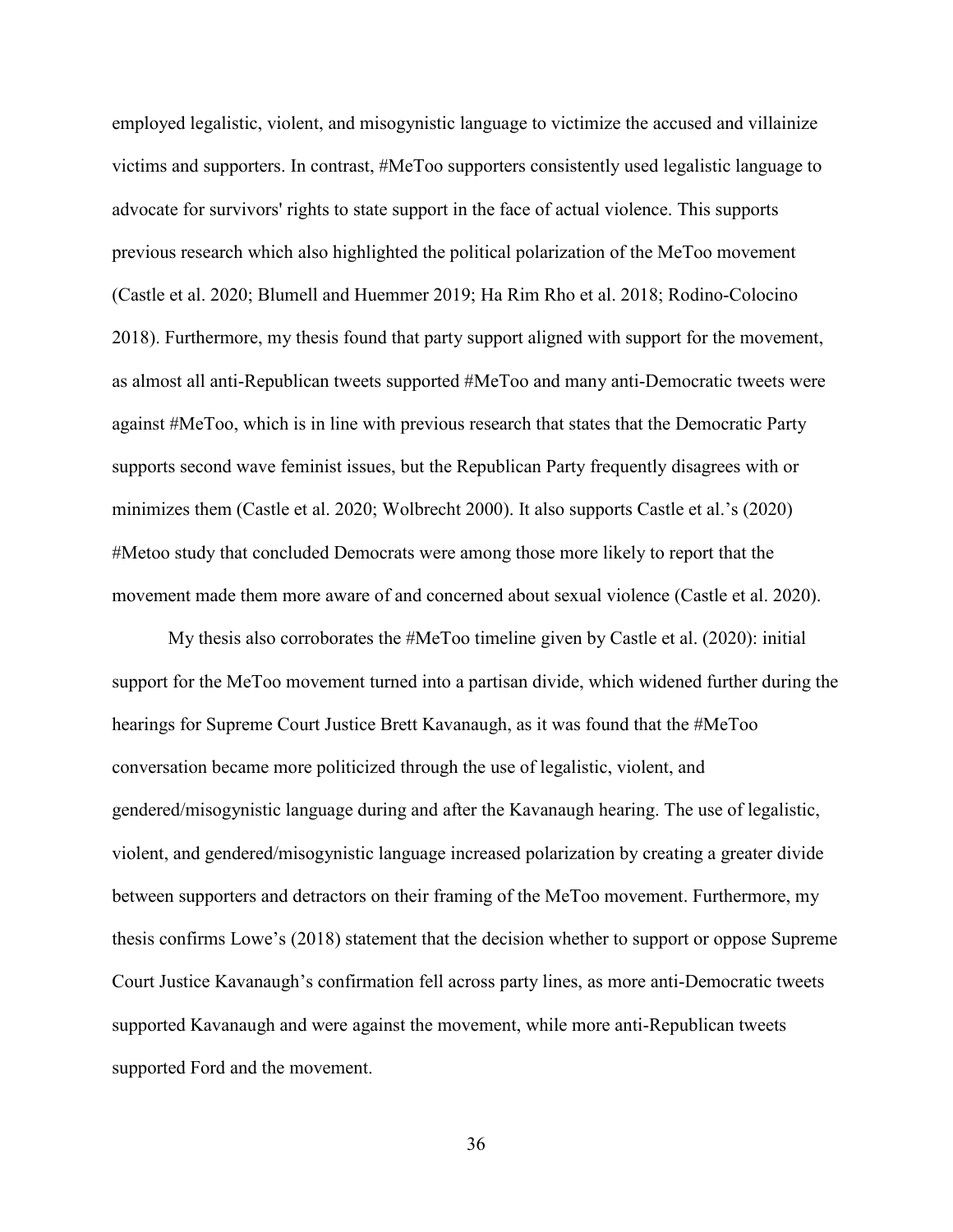employed legalistic, violent, and misogynistic language to victimize the accused and villainize victims and supporters. In contrast, #MeToo supporters consistently used legalistic language to advocate for survivors' rights to state support in the face of actual violence. This supports previous research which also highlighted the political polarization of the MeToo movement (Castle et al. 2020; Blumell and Huemmer 2019; Ha Rim Rho et al. 2018; Rodino-Colocino 2018). Furthermore, my thesis found that party support aligned with support for the movement, as almost all anti-Republican tweets supported #MeToo and many anti-Democratic tweets were against #MeToo, which is in line with previous research that states that the Democratic Party supports second wave feminist issues, but the Republican Party frequently disagrees with or minimizes them (Castle et al. 2020; Wolbrecht 2000). It also supports Castle et al.'s (2020) #Metoo study that concluded Democrats were among those more likely to report that the movement made them more aware of and concerned about sexual violence (Castle et al. 2020).

My thesis also corroborates the #MeToo timeline given by Castle et al. (2020): initial support for the MeToo movement turned into a partisan divide, which widened further during the hearings for Supreme Court Justice Brett Kavanaugh, as it was found that the #MeToo conversation became more politicized through the use of legalistic, violent, and gendered/misogynistic language during and after the Kavanaugh hearing. The use of legalistic, violent, and gendered/misogynistic language increased polarization by creating a greater divide between supporters and detractors on their framing of the MeToo movement. Furthermore, my thesis confirms Lowe's (2018) statement that the decision whether to support or oppose Supreme Court Justice Kavanaugh's confirmation fell across party lines, as more anti-Democratic tweets supported Kavanaugh and were against the movement, while more anti-Republican tweets supported Ford and the movement.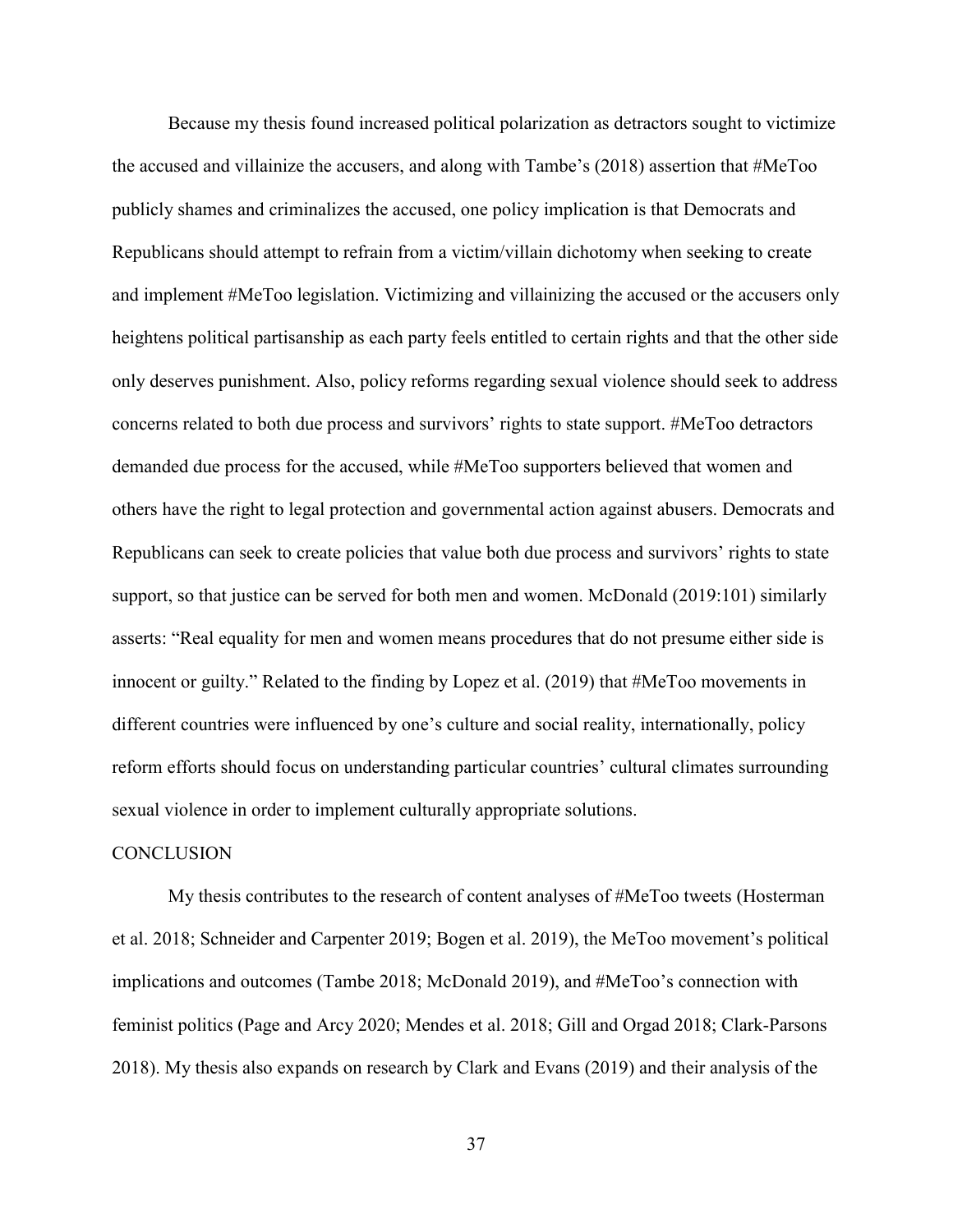Because my thesis found increased political polarization as detractors sought to victimize the accused and villainize the accusers, and along with Tambe's (2018) assertion that #MeToo publicly shames and criminalizes the accused, one policy implication is that Democrats and Republicans should attempt to refrain from a victim/villain dichotomy when seeking to create and implement #MeToo legislation. Victimizing and villainizing the accused or the accusers only heightens political partisanship as each party feels entitled to certain rights and that the other side only deserves punishment. Also, policy reforms regarding sexual violence should seek to address concerns related to both due process and survivors' rights to state support. #MeToo detractors demanded due process for the accused, while #MeToo supporters believed that women and others have the right to legal protection and governmental action against abusers. Democrats and Republicans can seek to create policies that value both due process and survivors' rights to state support, so that justice can be served for both men and women. McDonald (2019:101) similarly asserts: "Real equality for men and women means procedures that do not presume either side is innocent or guilty." Related to the finding by Lopez et al. (2019) that #MeToo movements in different countries were influenced by one's culture and social reality, internationally, policy reform efforts should focus on understanding particular countries' cultural climates surrounding sexual violence in order to implement culturally appropriate solutions.

# <span id="page-42-0"></span>**CONCLUSION**

My thesis contributes to the research of content analyses of #MeToo tweets (Hosterman et al. 2018; Schneider and Carpenter 2019; Bogen et al. 2019), the MeToo movement's political implications and outcomes (Tambe 2018; McDonald 2019), and #MeToo's connection with feminist politics (Page and Arcy 2020; Mendes et al. 2018; Gill and Orgad 2018; Clark-Parsons 2018). My thesis also expands on research by Clark and Evans (2019) and their analysis of the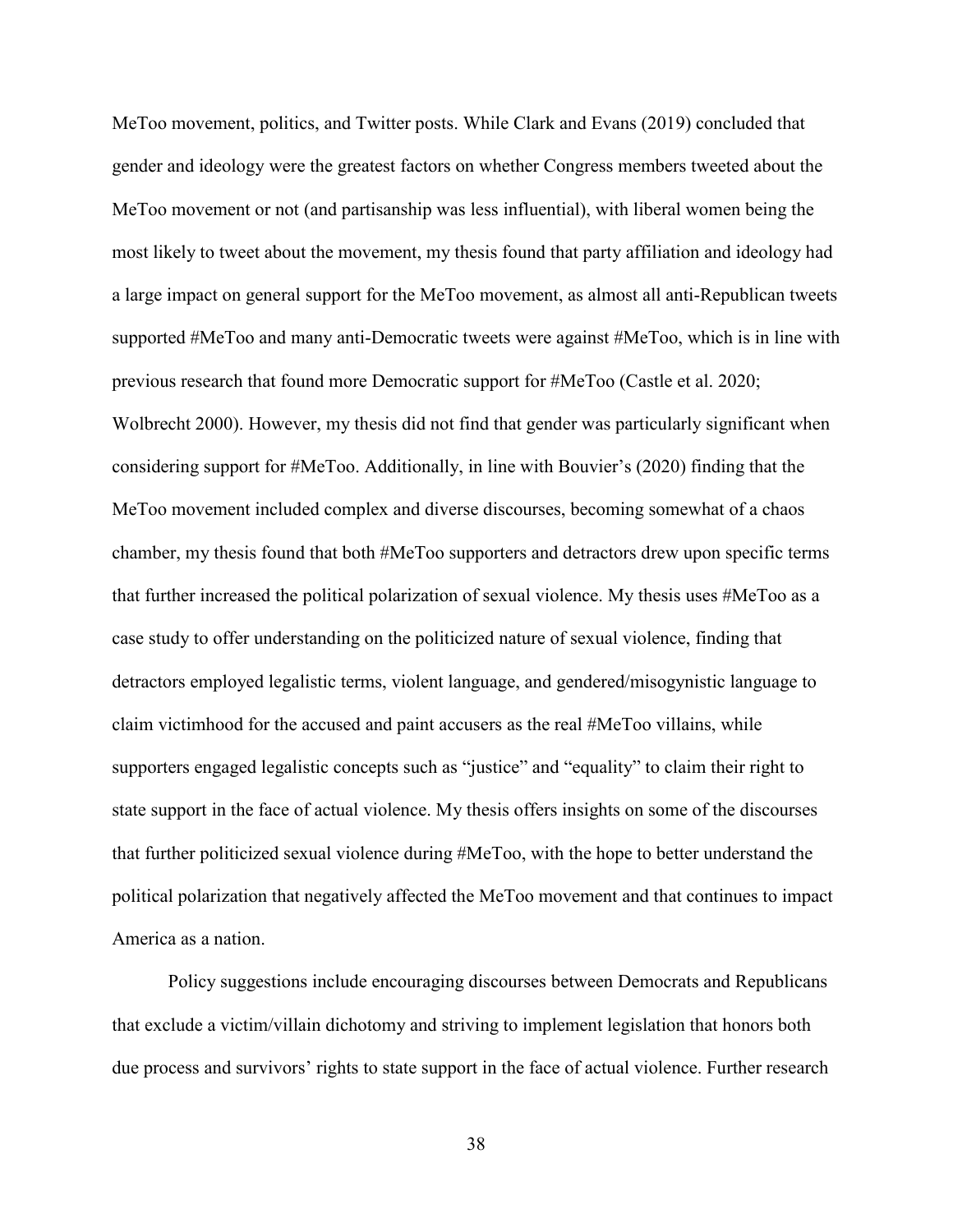MeToo movement, politics, and Twitter posts. While Clark and Evans (2019) concluded that gender and ideology were the greatest factors on whether Congress members tweeted about the MeToo movement or not (and partisanship was less influential), with liberal women being the most likely to tweet about the movement, my thesis found that party affiliation and ideology had a large impact on general support for the MeToo movement, as almost all anti-Republican tweets supported #MeToo and many anti-Democratic tweets were against #MeToo, which is in line with previous research that found more Democratic support for #MeToo (Castle et al. 2020; Wolbrecht 2000). However, my thesis did not find that gender was particularly significant when considering support for #MeToo. Additionally, in line with Bouvier's (2020) finding that the MeToo movement included complex and diverse discourses, becoming somewhat of a chaos chamber, my thesis found that both #MeToo supporters and detractors drew upon specific terms that further increased the political polarization of sexual violence. My thesis uses #MeToo as a case study to offer understanding on the politicized nature of sexual violence, finding that detractors employed legalistic terms, violent language, and gendered/misogynistic language to claim victimhood for the accused and paint accusers as the real #MeToo villains, while supporters engaged legalistic concepts such as "justice" and "equality" to claim their right to state support in the face of actual violence. My thesis offers insights on some of the discourses that further politicized sexual violence during #MeToo, with the hope to better understand the political polarization that negatively affected the MeToo movement and that continues to impact America as a nation.

Policy suggestions include encouraging discourses between Democrats and Republicans that exclude a victim/villain dichotomy and striving to implement legislation that honors both due process and survivors' rights to state support in the face of actual violence. Further research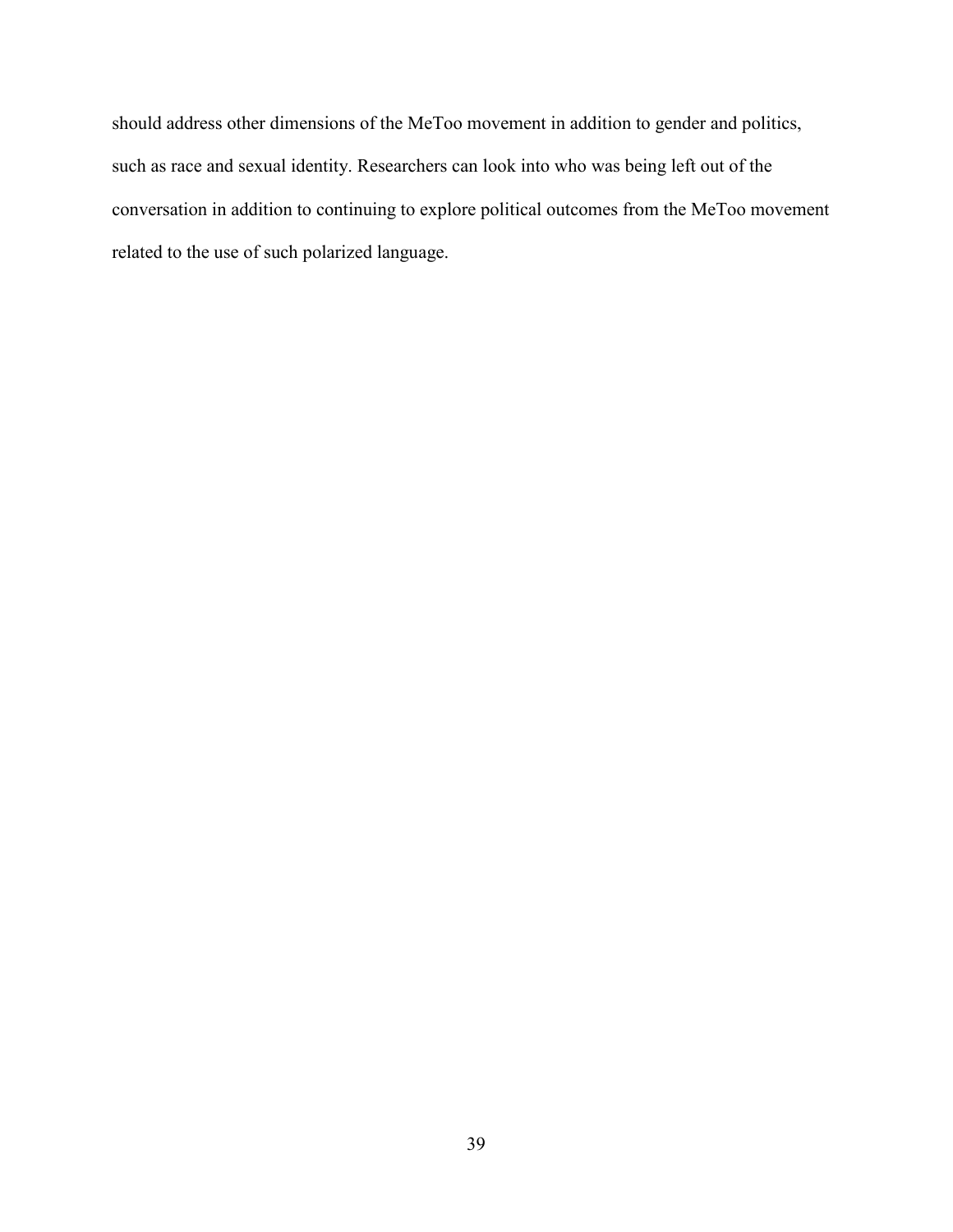should address other dimensions of the MeToo movement in addition to gender and politics, such as race and sexual identity. Researchers can look into who was being left out of the conversation in addition to continuing to explore political outcomes from the MeToo movement related to the use of such polarized language.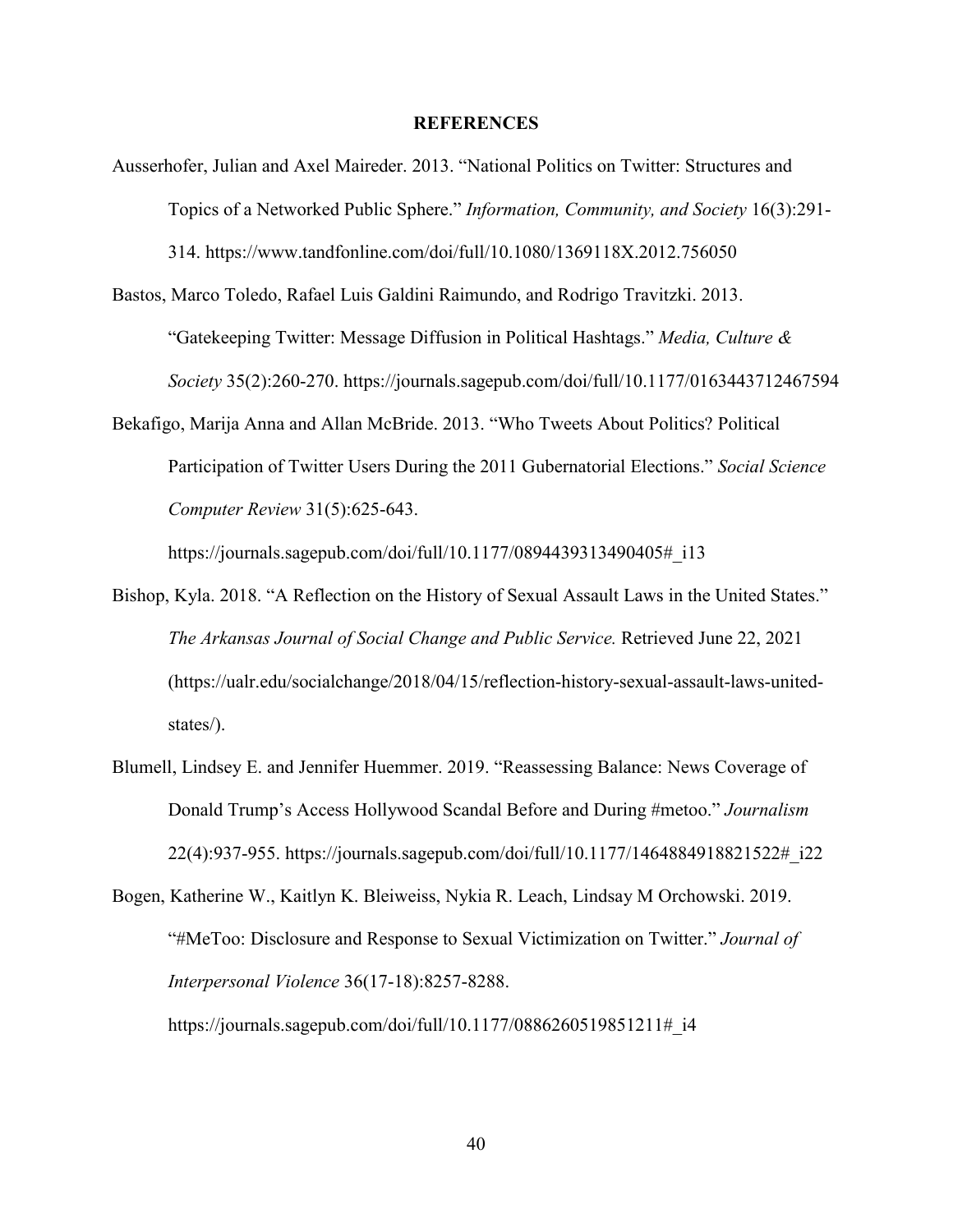#### **REFERENCES**

- <span id="page-45-0"></span>Ausserhofer, Julian and Axel Maireder. 2013. "National Politics on Twitter: Structures and Topics of a Networked Public Sphere." *Information, Community, and Society* 16(3):291- 314.<https://www.tandfonline.com/doi/full/10.1080/1369118X.2012.756050>
- Bastos, Marco Toledo, Rafael Luis Galdini Raimundo, and Rodrigo Travitzki. 2013. "Gatekeeping Twitter: Message Diffusion in Political Hashtags." *Media, Culture & Society* 35(2):260-270.<https://journals.sagepub.com/doi/full/10.1177/0163443712467594>
- Bekafigo, Marija Anna and Allan McBride. 2013. "Who Tweets About Politics? Political Participation of Twitter Users During the 2011 Gubernatorial Elections." *Social Science Computer Review* 31(5):625-643.

[https://journals.sagepub.com/doi/full/10.1177/0894439313490405#\\_i13](https://journals.sagepub.com/doi/full/10.1177/0894439313490405#_i13)

- Bishop, Kyla. 2018. "A Reflection on the History of Sexual Assault Laws in the United States." *The Arkansas Journal of Social Change and Public Service.* Retrieved June 22, 2021 (https://ualr.edu/socialchange/2018/04/15/reflection-history-sexual-assault-laws-unitedstates/).
- Blumell, Lindsey E. and Jennifer Huemmer. 2019. "Reassessing Balance: News Coverage of Donald Trump's Access Hollywood Scandal Before and During #metoo." *Journalism*  22(4):937-955. [https://journals.sagepub.com/doi/full/10.1177/1464884918821522#\\_i22](https://journals.sagepub.com/doi/full/10.1177/1464884918821522#_i22)
- Bogen, Katherine W., Kaitlyn K. Bleiweiss, Nykia R. Leach, Lindsay M Orchowski. 2019. "#MeToo: Disclosure and Response to Sexual Victimization on Twitter." *Journal of Interpersonal Violence* 36(17-18):8257-8288.

https://journals.sagepub.com/doi/full/10.1177/0886260519851211# i4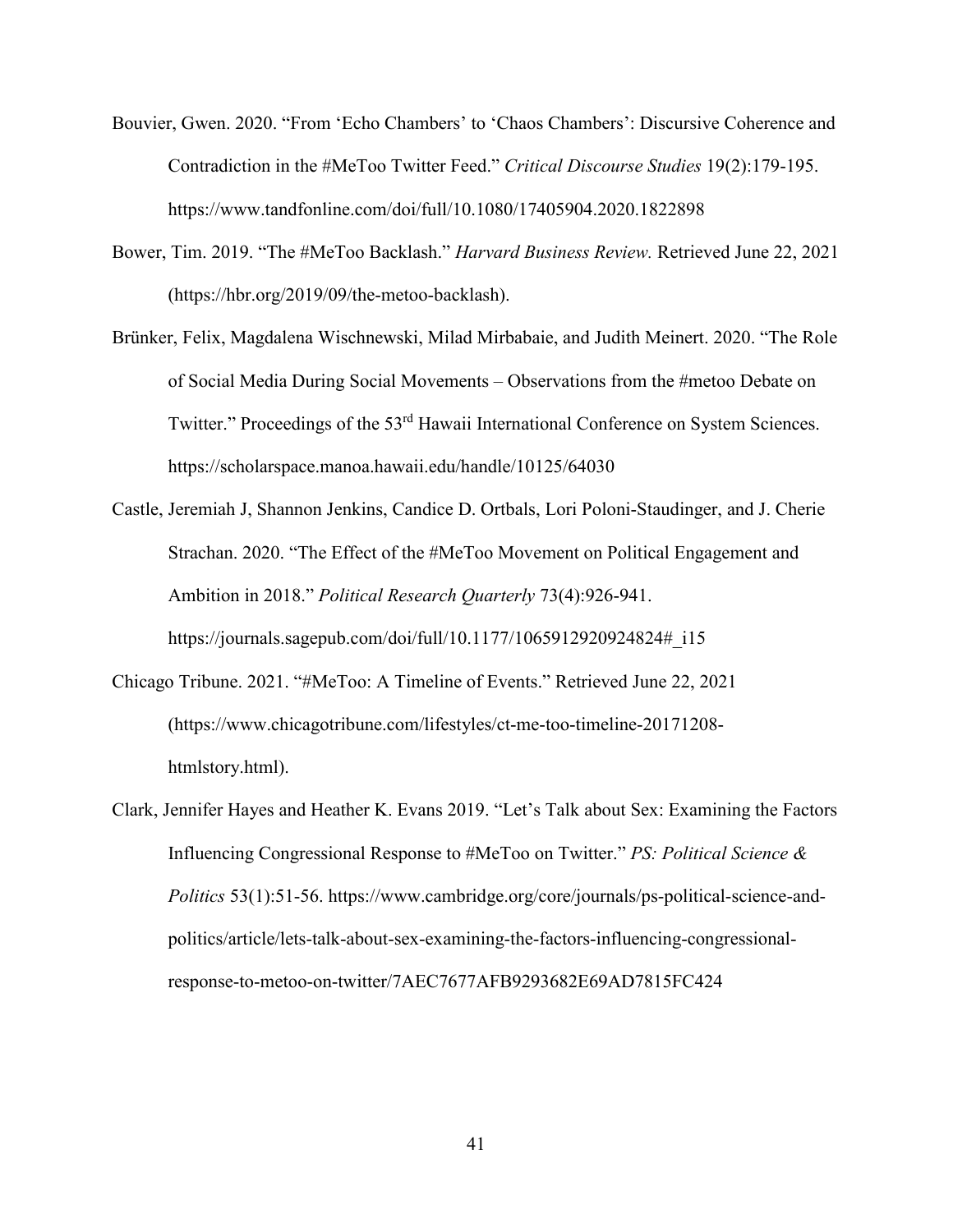- Bouvier, Gwen. 2020. "From 'Echo Chambers' to 'Chaos Chambers': Discursive Coherence and Contradiction in the #MeToo Twitter Feed." *Critical Discourse Studies* 19(2):179-195. <https://www.tandfonline.com/doi/full/10.1080/17405904.2020.1822898>
- Bower, Tim. 2019. "The #MeToo Backlash." *Harvard Business Review.* Retrieved June 22, 2021 [\(https://hbr.org/2019/09/the-metoo-backlash\)](https://hbr.org/2019/09/the-metoo-backlash).
- Brünker, Felix, Magdalena Wischnewski, Milad Mirbabaie, and Judith Meinert. 2020. "The Role of Social Media During Social Movements – Observations from the #metoo Debate on Twitter." Proceedings of the 53<sup>rd</sup> Hawaii International Conference on System Sciences. <https://scholarspace.manoa.hawaii.edu/handle/10125/64030>
- Castle, Jeremiah J, Shannon Jenkins, Candice D. Ortbals, Lori Poloni-Staudinger, and J. Cherie Strachan. 2020. "The Effect of the #MeToo Movement on Political Engagement and Ambition in 2018." *Political Research Quarterly* 73(4):926-941. [https://journals.sagepub.com/doi/full/10.1177/1065912920924824#\\_i15](https://journals.sagepub.com/doi/full/10.1177/1065912920924824#_i15)
- Chicago Tribune. 2021. "#MeToo: A Timeline of Events." Retrieved June 22, 2021 (https://www.chicagotribune.com/lifestyles/ct-me-too-timeline-20171208 htmlstory.html).
- Clark, Jennifer Hayes and Heather K. Evans 2019. "Let's Talk about Sex: Examining the Factors Influencing Congressional Response to #MeToo on Twitter." *PS: Political Science & Politics* 53(1):51-56. [https://www.cambridge.org/core/journals/ps-political-science-and](https://www.cambridge.org/core/journals/ps-political-science-and-politics/article/lets-talk-about-sex-examining-the-factors-influencing-congressional-response-to-metoo-on-twitter/7AEC7677AFB9293682E69AD7815FC424)[politics/article/lets-talk-about-sex-examining-the-factors-influencing-congressional](https://www.cambridge.org/core/journals/ps-political-science-and-politics/article/lets-talk-about-sex-examining-the-factors-influencing-congressional-response-to-metoo-on-twitter/7AEC7677AFB9293682E69AD7815FC424)[response-to-metoo-on-twitter/7AEC7677AFB9293682E69AD7815FC424](https://www.cambridge.org/core/journals/ps-political-science-and-politics/article/lets-talk-about-sex-examining-the-factors-influencing-congressional-response-to-metoo-on-twitter/7AEC7677AFB9293682E69AD7815FC424)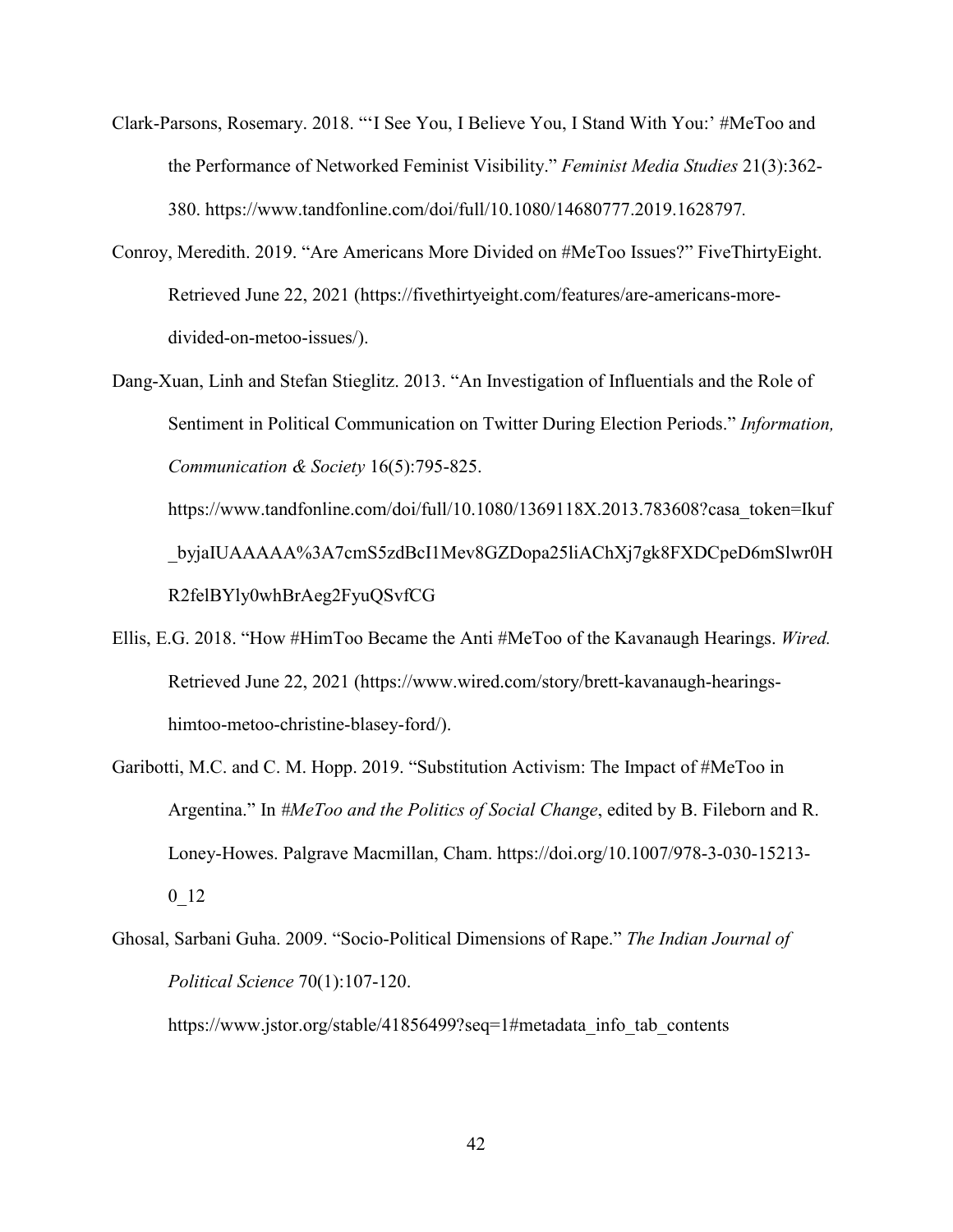- Clark-Parsons, Rosemary. 2018. "'I See You, I Believe You, I Stand With You:' #MeToo and the Performance of Networked Feminist Visibility." *Feminist Media Studies* 21(3):362- 380.<https://www.tandfonline.com/doi/full/10.1080/14680777.2019.1628797>*.*
- Conroy, Meredith. 2019. "Are Americans More Divided on #MeToo Issues?" FiveThirtyEight. Retrieved June 22, 2021 (https://fivethirtyeight.com/features/are-americans-moredivided-on-metoo-issues/).
- Dang-Xuan, Linh and Stefan Stieglitz. 2013. "An Investigation of Influentials and the Role of Sentiment in Political Communication on Twitter During Election Periods." *Information, Communication & Society* 16(5):795-825.

https://www.tandfonline.com/doi/full/10.1080/1369118X.2013.783608?casa\_token=Ikuf \_byjaIUAAAAA%3A7cmS5zdBcI1Mev8GZDopa25liAChXj7gk8FXDCpeD6mSlwr0H R2felBYly0whBrAeg2FyuQSvfCG

- Ellis, E.G. 2018. "How #HimToo Became the Anti #MeToo of the Kavanaugh Hearings. *Wired.*  Retrieved June 22, 2021 [\(https://www.wired.com/story/brett-kavanaugh-hearings](https://www.wired.com/story/brett-kavanaugh-hearings-himtoo-metoo-christine-blasey-ford/)[himtoo-metoo-christine-blasey-ford/\)](https://www.wired.com/story/brett-kavanaugh-hearings-himtoo-metoo-christine-blasey-ford/).
- Garibotti, M.C. and C. M. Hopp. 2019. "Substitution Activism: The Impact of #MeToo in Argentina." In *#MeToo and the Politics of Social Change*, edited by B. Fileborn and R. Loney-Howes. Palgrave Macmillan, Cham. https://doi.org/10.1007/978-3-030-15213- 0\_12
- Ghosal, Sarbani Guha. 2009. "Socio-Political Dimensions of Rape." *The Indian Journal of Political Science* 70(1):107-120.

https://www.jstor.org/stable/41856499?seq=1#metadata info\_tab\_contents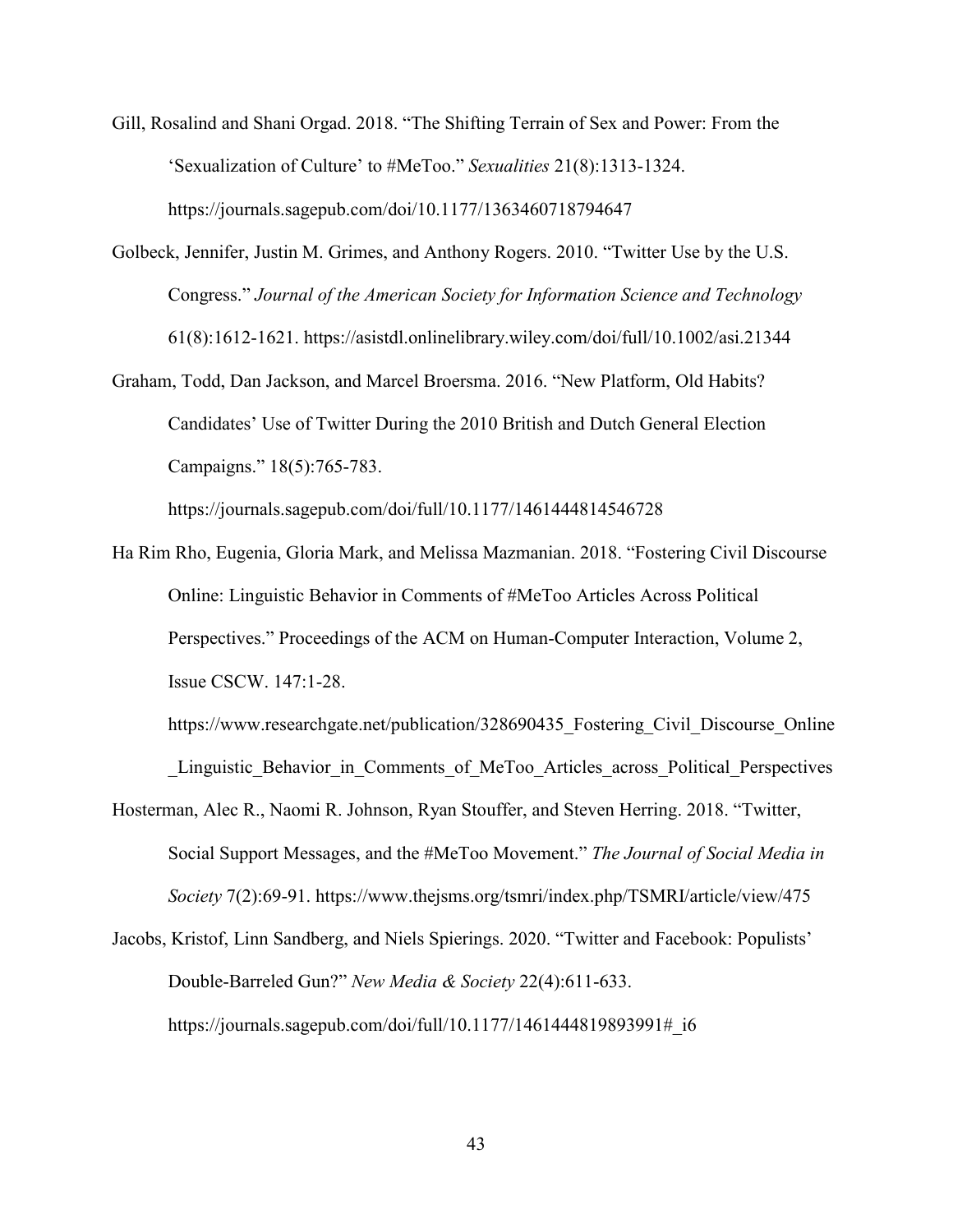- Gill, Rosalind and Shani Orgad. 2018. "The Shifting Terrain of Sex and Power: From the 'Sexualization of Culture' to #MeToo." *Sexualities* 21(8):1313-1324. <https://journals.sagepub.com/doi/10.1177/1363460718794647>
- Golbeck, Jennifer, Justin M. Grimes, and Anthony Rogers. 2010. "Twitter Use by the U.S. Congress." *Journal of the American Society for Information Science and Technology*  61(8):1612-1621.<https://asistdl.onlinelibrary.wiley.com/doi/full/10.1002/asi.21344>
- Graham, Todd, Dan Jackson, and Marcel Broersma. 2016. "New Platform, Old Habits? Candidates' Use of Twitter During the 2010 British and Dutch General Election Campaigns." 18(5):765-783.

<https://journals.sagepub.com/doi/full/10.1177/1461444814546728>

Ha Rim Rho, Eugenia, Gloria Mark, and Melissa Mazmanian. 2018. "Fostering Civil Discourse Online: Linguistic Behavior in Comments of #MeToo Articles Across Political Perspectives." Proceedings of the ACM on Human-Computer Interaction, Volume 2, Issue CSCW. 147:1-28.

https://www.researchgate.net/publication/328690435 Fostering Civil Discourse Online Linguistic Behavior in Comments of MeToo Articles across Political Perspectives

- Hosterman, Alec R., Naomi R. Johnson, Ryan Stouffer, and Steven Herring. 2018. "Twitter, Social Support Messages, and the #MeToo Movement." *The Journal of Social Media in Society* 7(2):69-91.<https://www.thejsms.org/tsmri/index.php/TSMRI/article/view/475>
- Jacobs, Kristof, Linn Sandberg, and Niels Spierings. 2020. "Twitter and Facebook: Populists' Double-Barreled Gun?" *New Media & Society* 22(4):611-633. https://journals.sagepub.com/doi/full/10.1177/1461444819893991# i6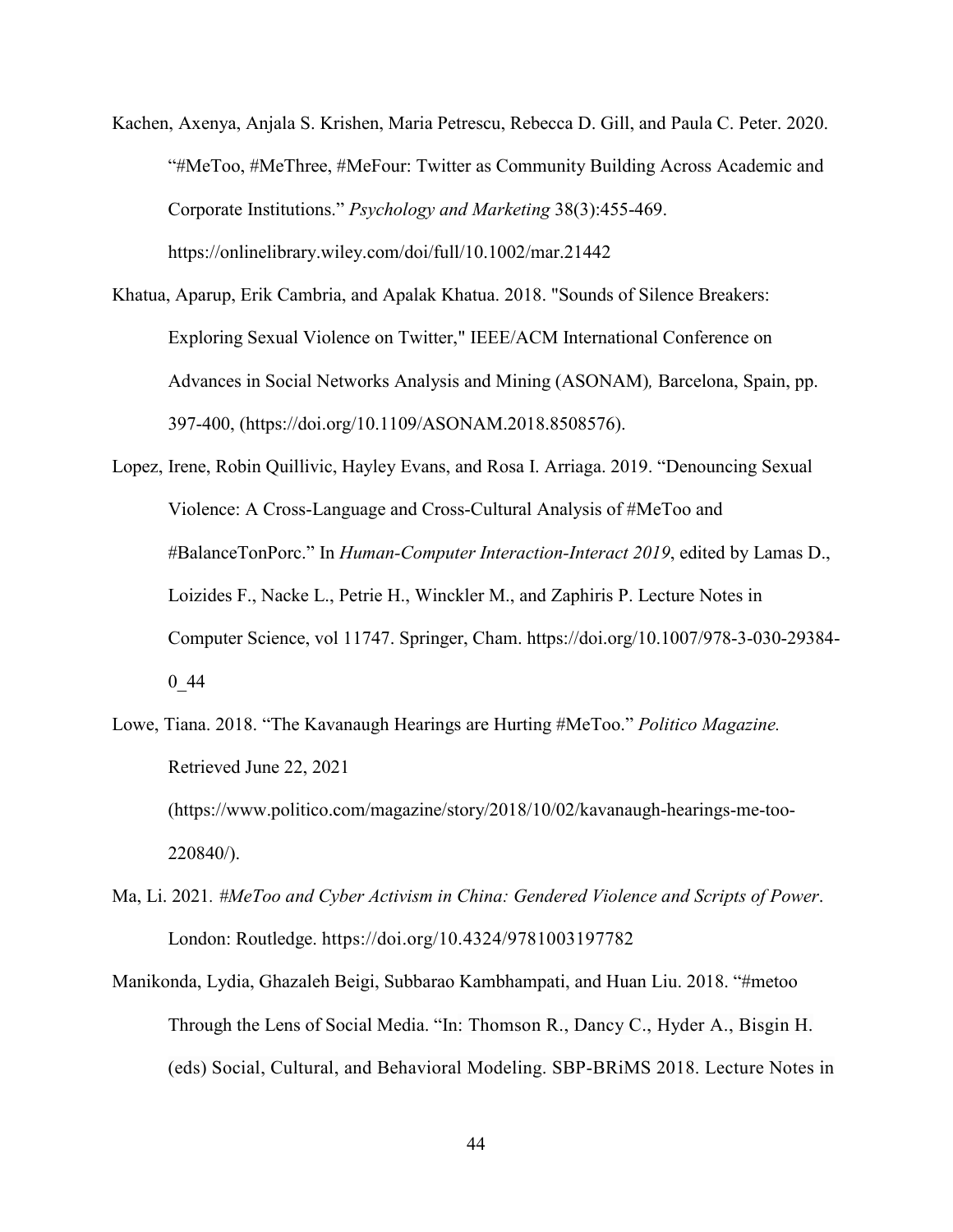- Kachen, Axenya, Anjala S. Krishen, Maria Petrescu, Rebecca D. Gill, and Paula C. Peter. 2020. "#MeToo, #MeThree, #MeFour: Twitter as Community Building Across Academic and Corporate Institutions." *Psychology and Marketing* 38(3):455-469. <https://onlinelibrary.wiley.com/doi/full/10.1002/mar.21442>
- Khatua, Aparup, Erik Cambria, and Apalak Khatua. 2018. "Sounds of Silence Breakers: Exploring Sexual Violence on Twitter," IEEE/ACM International Conference on Advances in Social Networks Analysis and Mining (ASONAM)*,* Barcelona, Spain, pp. 397-400, (https://doi.org/10.1109/ASONAM.2018.8508576).
- Lopez, Irene, Robin Quillivic, Hayley Evans, and Rosa I. Arriaga. 2019. "Denouncing Sexual Violence: A Cross-Language and Cross-Cultural Analysis of #MeToo and #BalanceTonPorc." In *Human-Computer Interaction-Interact 2019*, edited by Lamas D., Loizides F., Nacke L., Petrie H., Winckler M., and Zaphiris P. Lecture Notes in Computer Science, vol 11747. Springer, Cham. https://doi.org/10.1007/978-3-030-29384- 0\_44
- Lowe, Tiana. 2018. "The Kavanaugh Hearings are Hurting #MeToo." *Politico Magazine.*  Retrieved June 22, 2021 [\(https://www.politico.com/magazine/story/2018/10/02/kavanaugh-hearings-me-too-](https://www.politico.com/magazine/story/2018/10/02/kavanaugh-hearings-me-too-220840/)[220840/\)](https://www.politico.com/magazine/story/2018/10/02/kavanaugh-hearings-me-too-220840/).
- Ma, Li. 2021*. #MeToo and Cyber Activism in China: Gendered Violence and Scripts of Power*. London: Routledge. <https://doi.org/10.4324/9781003197782>
- Manikonda, Lydia, Ghazaleh Beigi, Subbarao Kambhampati, and Huan Liu. 2018. "#metoo Through the Lens of Social Media. "In: Thomson R., Dancy C., Hyder A., Bisgin H. (eds) Social, Cultural, and Behavioral Modeling. SBP-BRiMS 2018. Lecture Notes in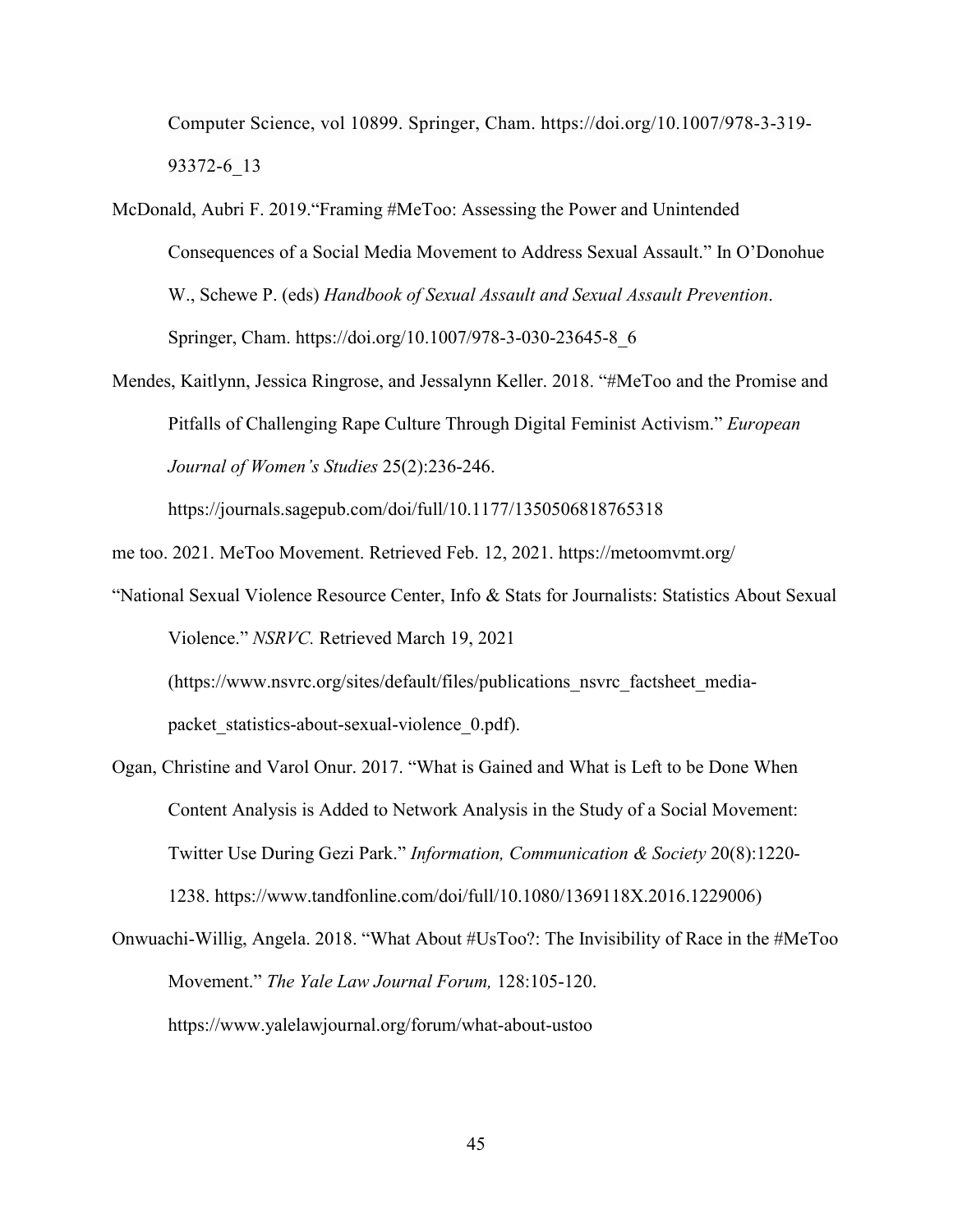Computer Science, vol 10899. Springer, Cham. https://doi.org/10.1007/978-3-319- 93372-6\_13

- McDonald, Aubri F. 2019."Framing #MeToo: Assessing the Power and Unintended Consequences of a Social Media Movement to Address Sexual Assault." In O'Donohue W., Schewe P. (eds) *Handbook of Sexual Assault and Sexual Assault Prevention*. Springer, Cham. [https://doi.org/10.1007/978-3-030-23645-8\\_6](https://doi.org/10.1007/978-3-030-23645-8_6)
- Mendes, Kaitlynn, Jessica Ringrose, and Jessalynn Keller. 2018. "#MeToo and the Promise and Pitfalls of Challenging Rape Culture Through Digital Feminist Activism." *European Journal of Women's Studies* 25(2):236-246.

<https://journals.sagepub.com/doi/full/10.1177/1350506818765318>

- me too. 2021. MeToo Movement. Retrieved Feb. 12, 2021.<https://metoomvmt.org/>
- "National Sexual Violence Resource Center, Info & Stats for Journalists: Statistics About Sexual Violence." *NSRVC.* Retrieved March 19, 2021

[\(https://www.nsvrc.org/sites/default/files/publications\\_nsvrc\\_factsheet\\_media](https://www.nsvrc.org/sites/default/files/publications_nsvrc_factsheet_media-packet_statistics-about-sexual-violence_0.pdf)packet statistics-about-sexual-violence 0.pdf).

- Ogan, Christine and Varol Onur. 2017. "What is Gained and What is Left to be Done When Content Analysis is Added to Network Analysis in the Study of a Social Movement: Twitter Use During Gezi Park." *Information, Communication & Society* 20(8):1220- 1238. https://www.tandfonline.com/doi/full/10.1080/1369118X.2016.1229006)
- Onwuachi-Willig, Angela. 2018. "What About #UsToo?: The Invisibility of Race in the #MeToo Movement." *The Yale Law Journal Forum,* 128:105-120. <https://www.yalelawjournal.org/forum/what-about-ustoo>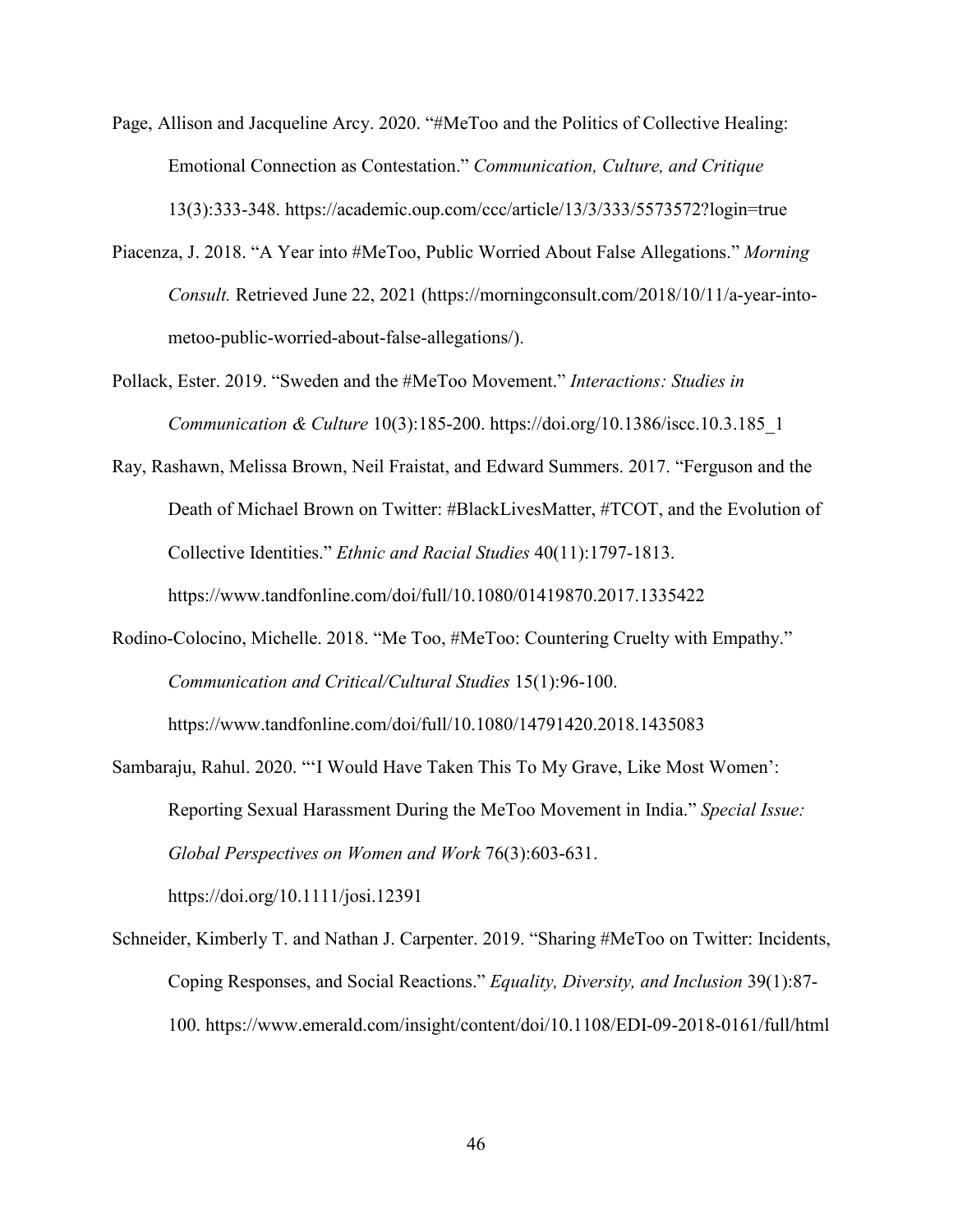- Page, Allison and Jacqueline Arcy. 2020. "#MeToo and the Politics of Collective Healing: Emotional Connection as Contestation." *Communication, Culture, and Critique* 13(3):333-348.<https://academic.oup.com/ccc/article/13/3/333/5573572?login=true>
- Piacenza, J. 2018. "A Year into #MeToo, Public Worried About False Allegations." *Morning Consult.* Retrieved June 22, 2021 [\(https://morningconsult.com/2018/10/11/a-year-into](https://morningconsult.com/2018/10/11/a-year-into-metoo-public-worried-about-false-allegations/)[metoo-public-worried-about-false-allegations/\)](https://morningconsult.com/2018/10/11/a-year-into-metoo-public-worried-about-false-allegations/).
- Pollack, Ester. 2019. "Sweden and the #MeToo Movement." *Interactions: Studies in Communication & Culture* 10(3):185-200. [https://doi.org/10.1386/iscc.10.3.185\\_1](https://doi.org/10.1386/iscc.10.3.185_1)
- Ray, Rashawn, Melissa Brown, Neil Fraistat, and Edward Summers. 2017. "Ferguson and the Death of Michael Brown on Twitter: #BlackLivesMatter, #TCOT, and the Evolution of Collective Identities." *Ethnic and Racial Studies* 40(11):1797-1813. <https://www.tandfonline.com/doi/full/10.1080/01419870.2017.1335422>
- Rodino-Colocino, Michelle. 2018. "Me Too, #MeToo: Countering Cruelty with Empathy." *Communication and Critical/Cultural Studies* 15(1):96-100.

<https://www.tandfonline.com/doi/full/10.1080/14791420.2018.1435083>

Sambaraju, Rahul. 2020. "'I Would Have Taken This To My Grave, Like Most Women': Reporting Sexual Harassment During the MeToo Movement in India." *Special Issue: Global Perspectives on Women and Work* 76(3):603-631.

<https://doi.org/10.1111/josi.12391>

Schneider, Kimberly T. and Nathan J. Carpenter. 2019. "Sharing #MeToo on Twitter: Incidents, Coping Responses, and Social Reactions." *Equality, Diversity, and Inclusion* 39(1):87- 100.<https://www.emerald.com/insight/content/doi/10.1108/EDI-09-2018-0161/full/html>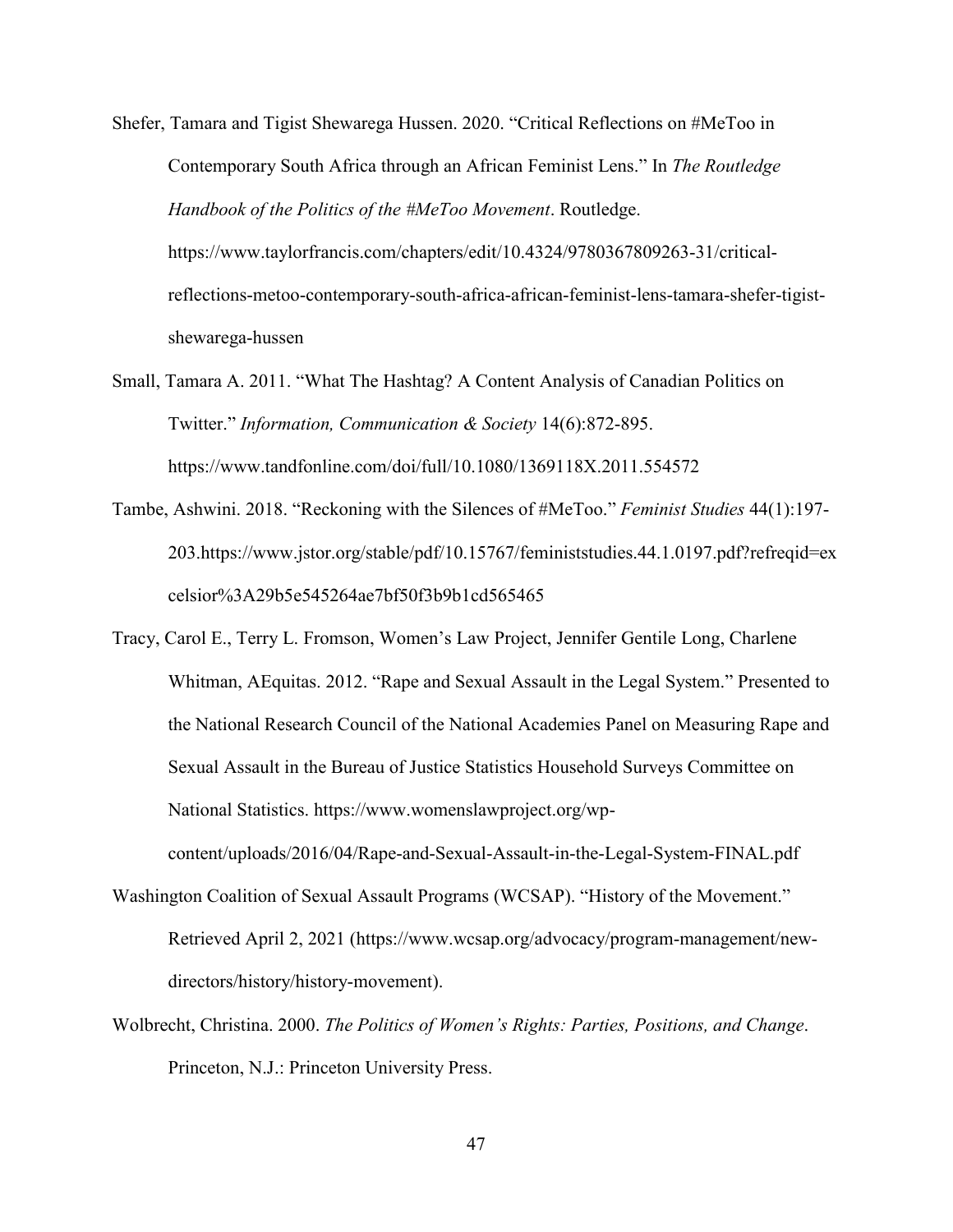- Shefer, Tamara and Tigist Shewarega Hussen. 2020. "Critical Reflections on #MeToo in Contemporary South Africa through an African Feminist Lens." In *The Routledge Handbook of the Politics of the #MeToo Movement*. Routledge. https://www.taylorfrancis.com/chapters/edit/10.4324/9780367809263-31/criticalreflections-metoo-contemporary-south-africa-african-feminist-lens-tamara-shefer-tigistshewarega-hussen
- Small, Tamara A. 2011. "What The Hashtag? A Content Analysis of Canadian Politics on Twitter." *Information, Communication & Society* 14(6):872-895. <https://www.tandfonline.com/doi/full/10.1080/1369118X.2011.554572>
- Tambe, Ashwini. 2018. "Reckoning with the Silences of #MeToo." *Feminist Studies* 44(1):197- 203[.https://www.jstor.org/stable/pdf/10.15767/feministstudies.44.1.0197.pdf?refreqid=ex](https://www.jstor.org/stable/pdf/10.15767/feministstudies.44.1.0197.pdf?refreqid=excelsior%3A29b5e545264ae7bf50f3b9b1cd565465) [celsior%3A29b5e545264ae7bf50f3b9b1cd565465](https://www.jstor.org/stable/pdf/10.15767/feministstudies.44.1.0197.pdf?refreqid=excelsior%3A29b5e545264ae7bf50f3b9b1cd565465)
- Tracy, Carol E., Terry L. Fromson, Women's Law Project, Jennifer Gentile Long, Charlene Whitman, AEquitas. 2012. "Rape and Sexual Assault in the Legal System." Presented to the National Research Council of the National Academies Panel on Measuring Rape and Sexual Assault in the Bureau of Justice Statistics Household Surveys Committee on National Statistics. [https://www.womenslawproject.org/wp](https://www.womenslawproject.org/wp-content/uploads/2016/04/Rape-and-Sexual-Assault-in-the-Legal-System-FINAL.pdf)[content/uploads/2016/04/Rape-and-Sexual-Assault-in-the-Legal-System-FINAL.pdf](https://www.womenslawproject.org/wp-content/uploads/2016/04/Rape-and-Sexual-Assault-in-the-Legal-System-FINAL.pdf)
- Washington Coalition of Sexual Assault Programs (WCSAP). "History of the Movement." Retrieved April 2, 2021 [\(https://www.wcsap.org/advocacy/program-management/new](https://www.wcsap.org/advocacy/program-management/new-directors/history/history-movement)[directors/history/history-movement\)](https://www.wcsap.org/advocacy/program-management/new-directors/history/history-movement).
- Wolbrecht, Christina. 2000. *The Politics of Women's Rights: Parties, Positions, and Change*. Princeton, N.J.: Princeton University Press.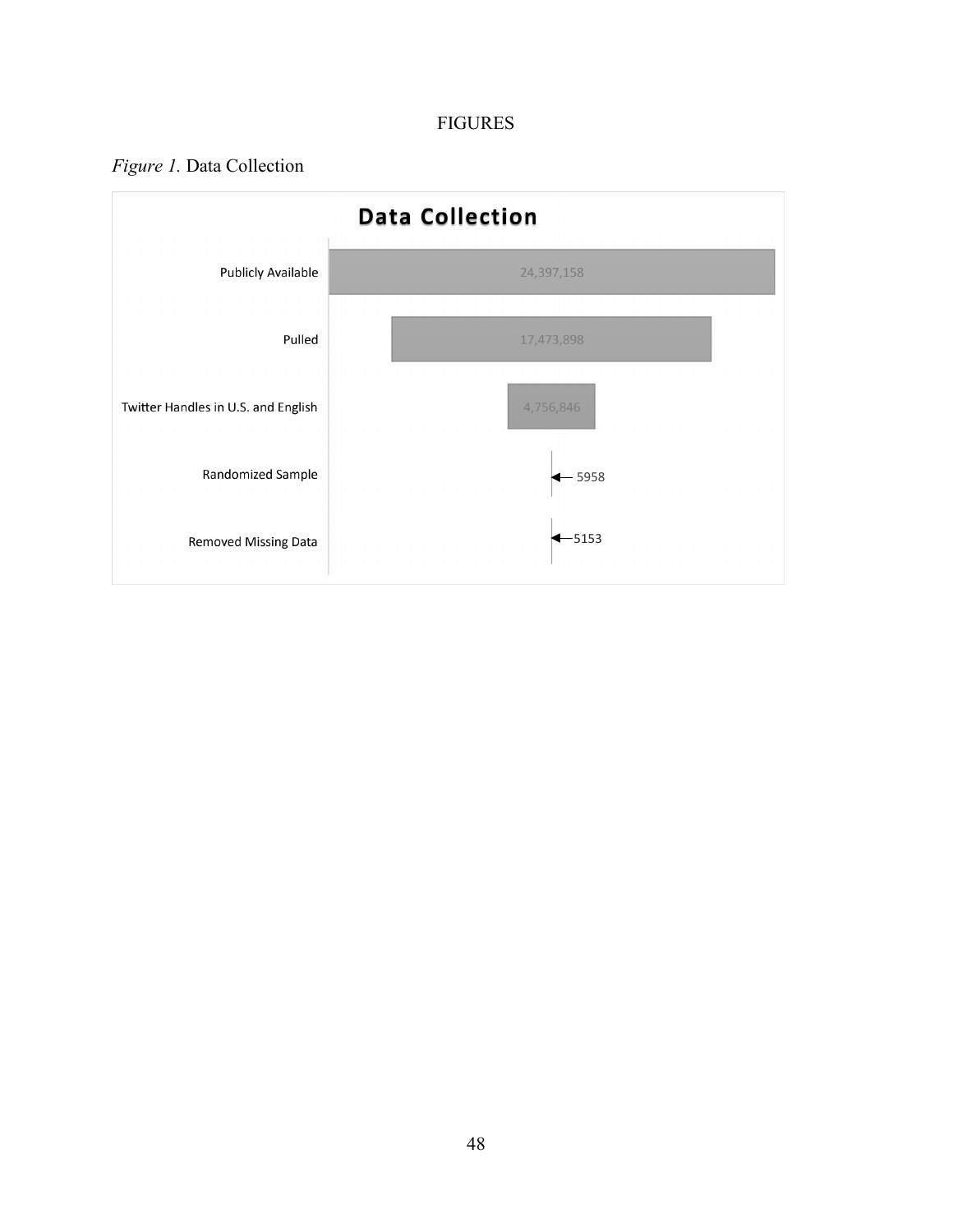# FIGURES

# <span id="page-53-1"></span><span id="page-53-0"></span>*Figure 1.* Data Collection

<span id="page-53-2"></span>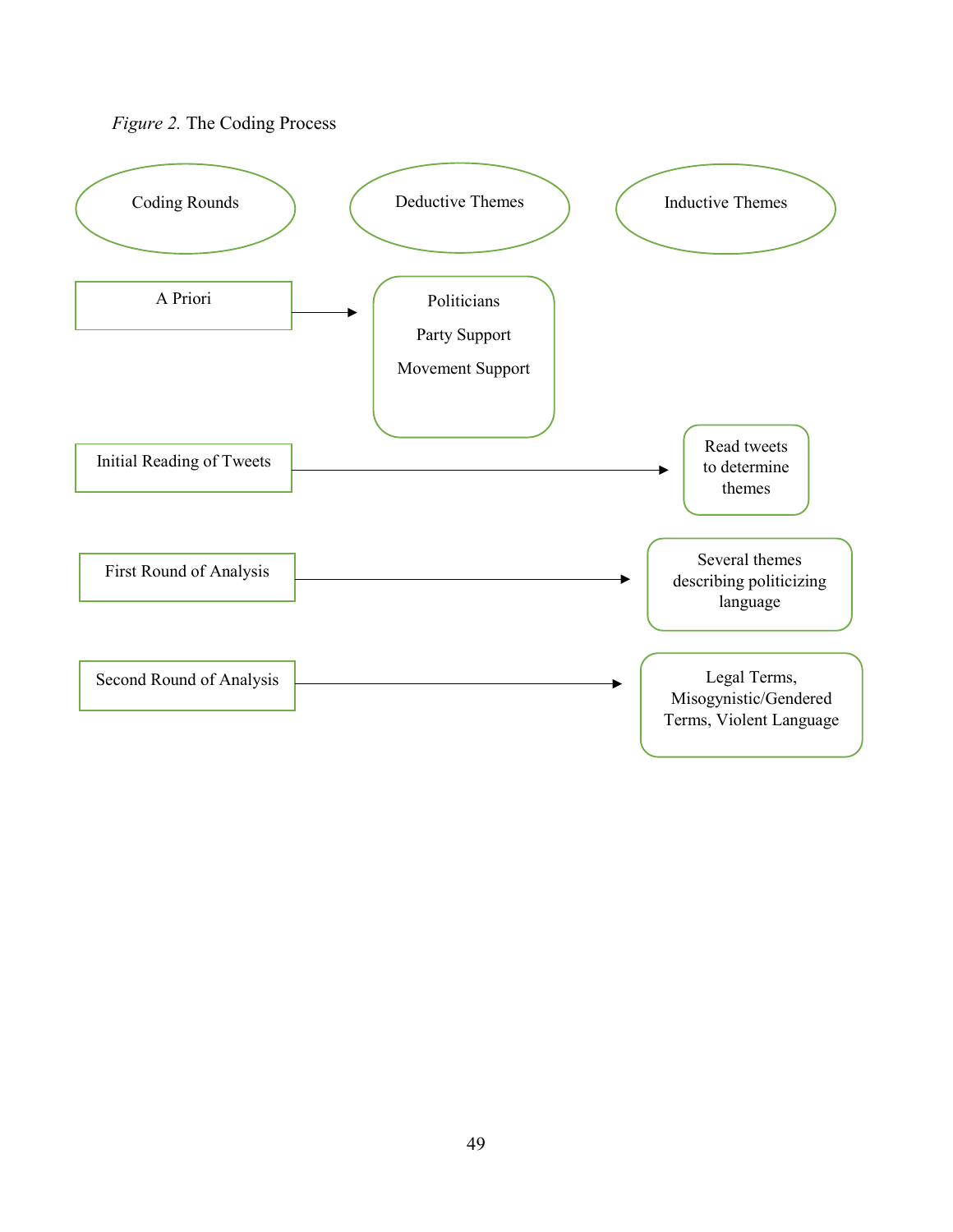<span id="page-54-0"></span>

<span id="page-54-1"></span>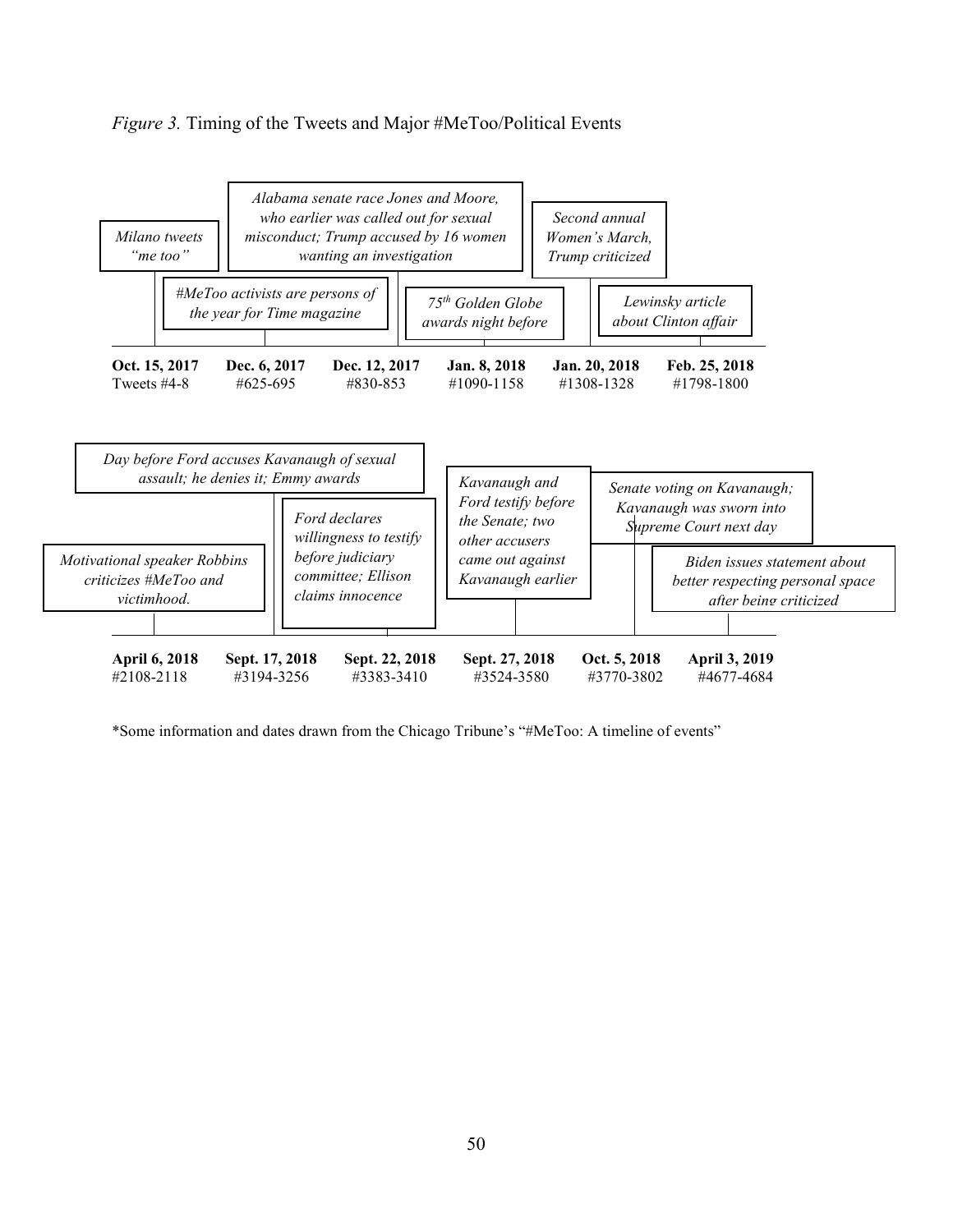# <span id="page-55-0"></span>*Figure 3.* Timing of the Tweets and Major #MeToo/Political Events



\*Some information and dates drawn from the Chicago Tribune's "#MeToo: A timeline of events"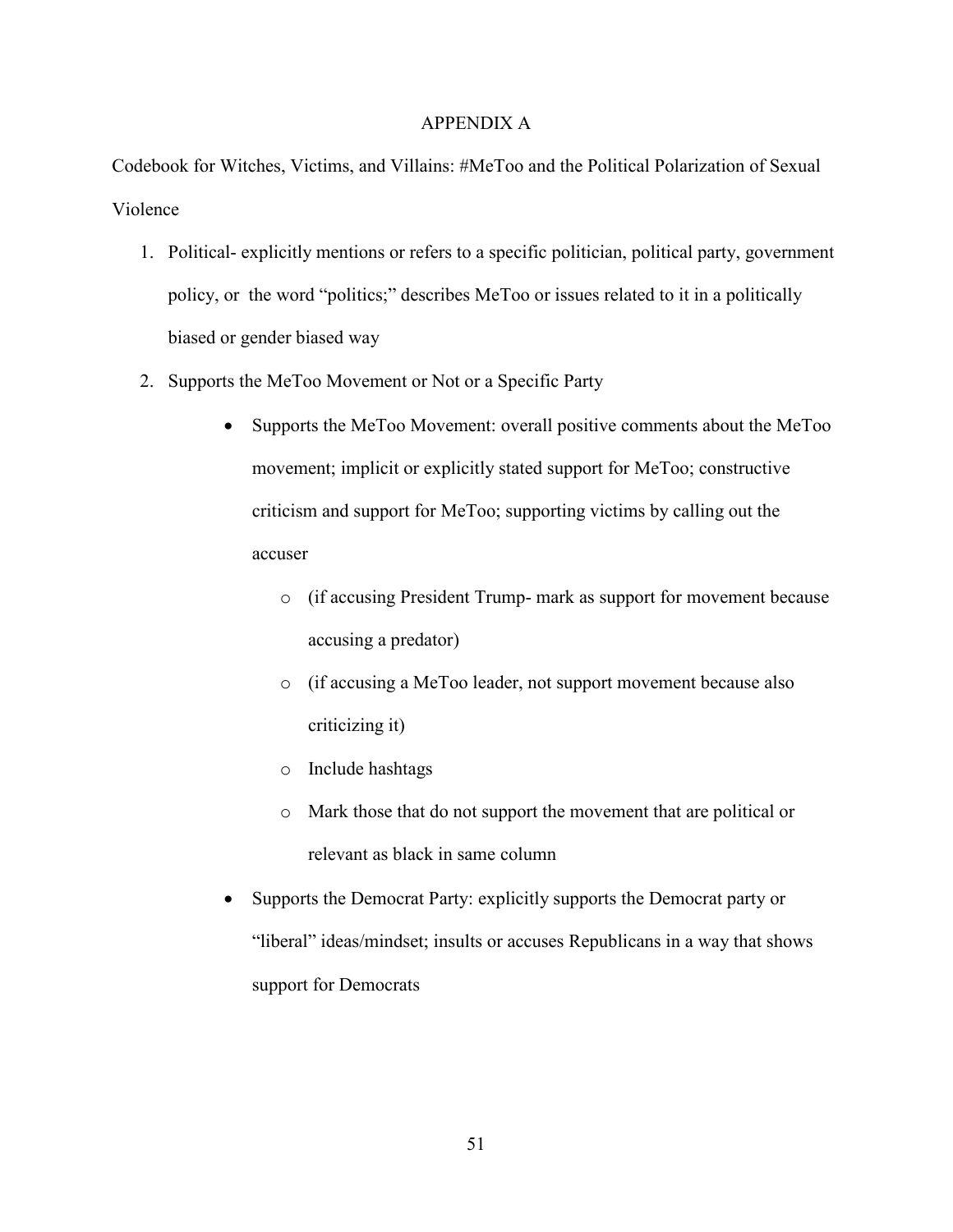# APPENDIX A

<span id="page-56-0"></span>Codebook for Witches, Victims, and Villains: #MeToo and the Political Polarization of Sexual Violence

- 1. Political- explicitly mentions or refers to a specific politician, political party, government policy, or the word "politics;" describes MeToo or issues related to it in a politically biased or gender biased way
- 2. Supports the MeToo Movement or Not or a Specific Party
	- Supports the MeToo Movement: overall positive comments about the MeToo movement; implicit or explicitly stated support for MeToo; constructive criticism and support for MeToo; supporting victims by calling out the accuser
		- o (if accusing President Trump- mark as support for movement because accusing a predator)
		- o (if accusing a MeToo leader, not support movement because also criticizing it)
		- o Include hashtags
		- o Mark those that do not support the movement that are political or relevant as black in same column
	- Supports the Democrat Party: explicitly supports the Democrat party or "liberal" ideas/mindset; insults or accuses Republicans in a way that shows support for Democrats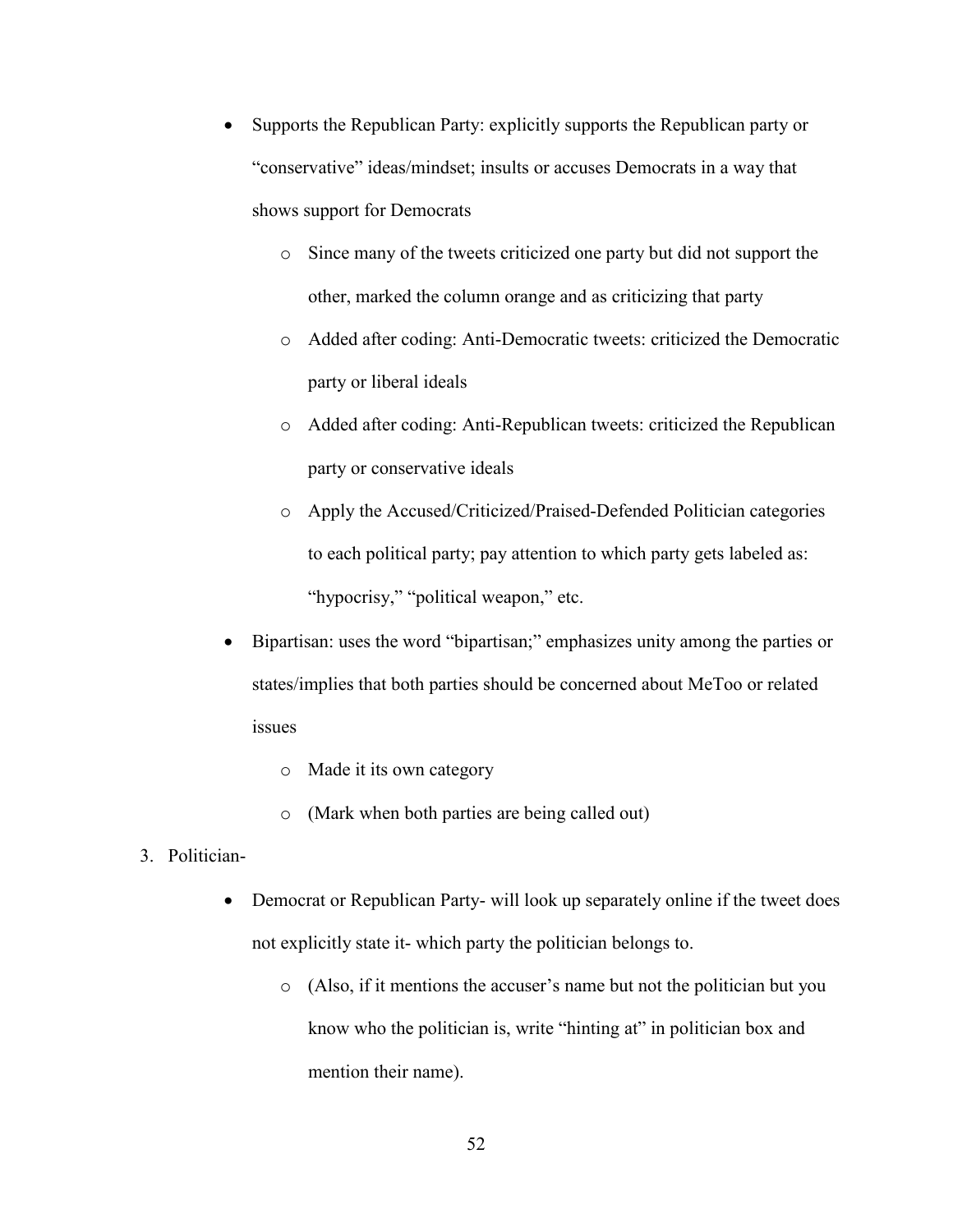- Supports the Republican Party: explicitly supports the Republican party or "conservative" ideas/mindset; insults or accuses Democrats in a way that shows support for Democrats
	- o Since many of the tweets criticized one party but did not support the other, marked the column orange and as criticizing that party
	- o Added after coding: Anti-Democratic tweets: criticized the Democratic party or liberal ideals
	- o Added after coding: Anti-Republican tweets: criticized the Republican party or conservative ideals
	- o Apply the Accused/Criticized/Praised-Defended Politician categories to each political party; pay attention to which party gets labeled as: "hypocrisy," "political weapon," etc.
- Bipartisan: uses the word "bipartisan;" emphasizes unity among the parties or states/implies that both parties should be concerned about MeToo or related issues
	- o Made it its own category
	- o (Mark when both parties are being called out)
- 3. Politician-
	- Democrat or Republican Party- will look up separately online if the tweet does not explicitly state it- which party the politician belongs to.
		- o (Also, if it mentions the accuser's name but not the politician but you know who the politician is, write "hinting at" in politician box and mention their name).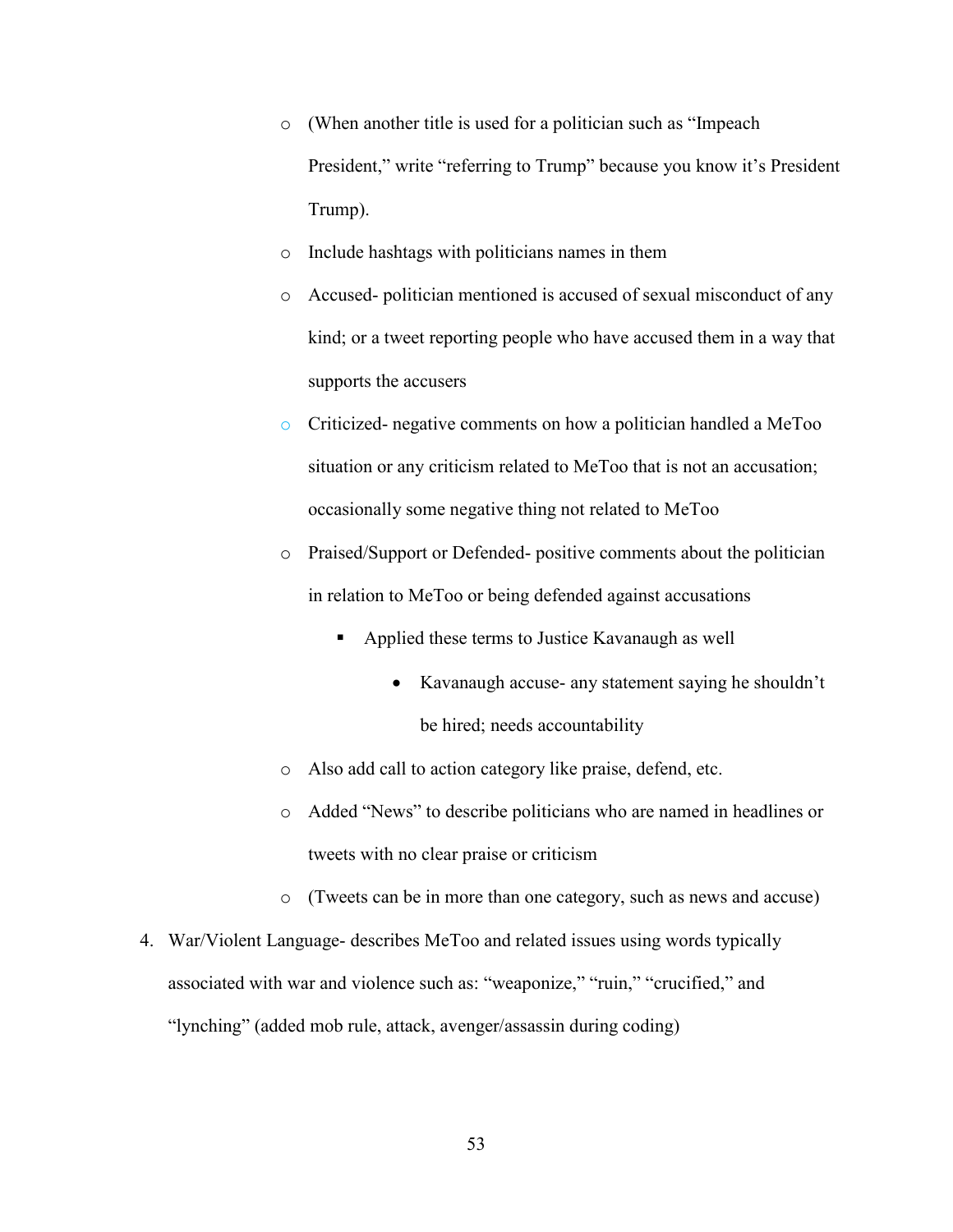- o (When another title is used for a politician such as "Impeach President," write "referring to Trump" because you know it's President Trump).
- o Include hashtags with politicians names in them
- o Accused- politician mentioned is accused of sexual misconduct of any kind; or a tweet reporting people who have accused them in a way that supports the accusers
- o Criticized- negative comments on how a politician handled a MeToo situation or any criticism related to MeToo that is not an accusation; occasionally some negative thing not related to MeToo
- o Praised/Support or Defended- positive comments about the politician in relation to MeToo or being defended against accusations
	- Applied these terms to Justice Kavanaugh as well
		- Kavanaugh accuse- any statement saying he shouldn't be hired; needs accountability
- o Also add call to action category like praise, defend, etc.
- o Added "News" to describe politicians who are named in headlines or tweets with no clear praise or criticism
- o (Tweets can be in more than one category, such as news and accuse)
- 4. War/Violent Language- describes MeToo and related issues using words typically associated with war and violence such as: "weaponize," "ruin," "crucified," and "lynching" (added mob rule, attack, avenger/assassin during coding)